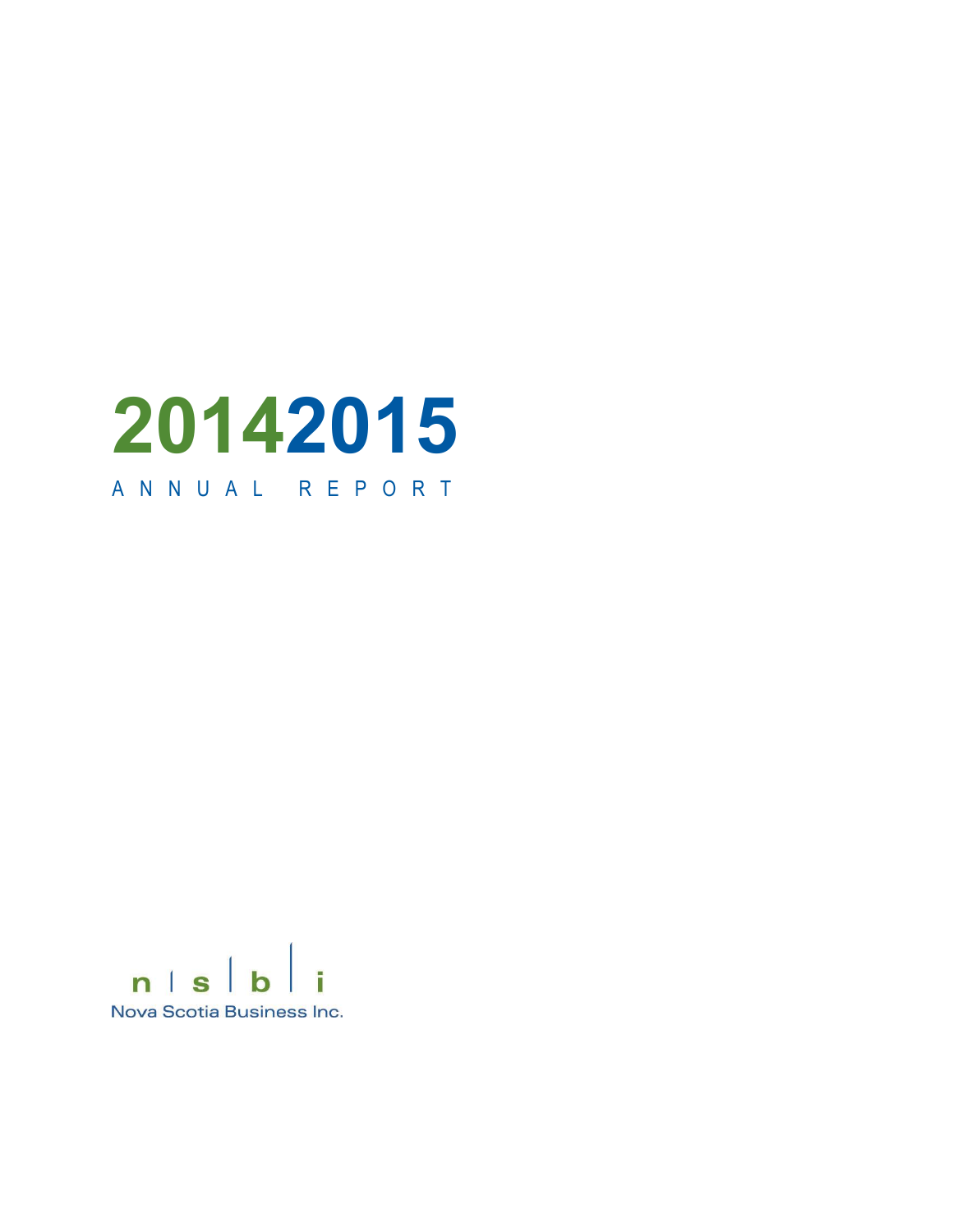# **20142015** A N N U A L R E P O R T

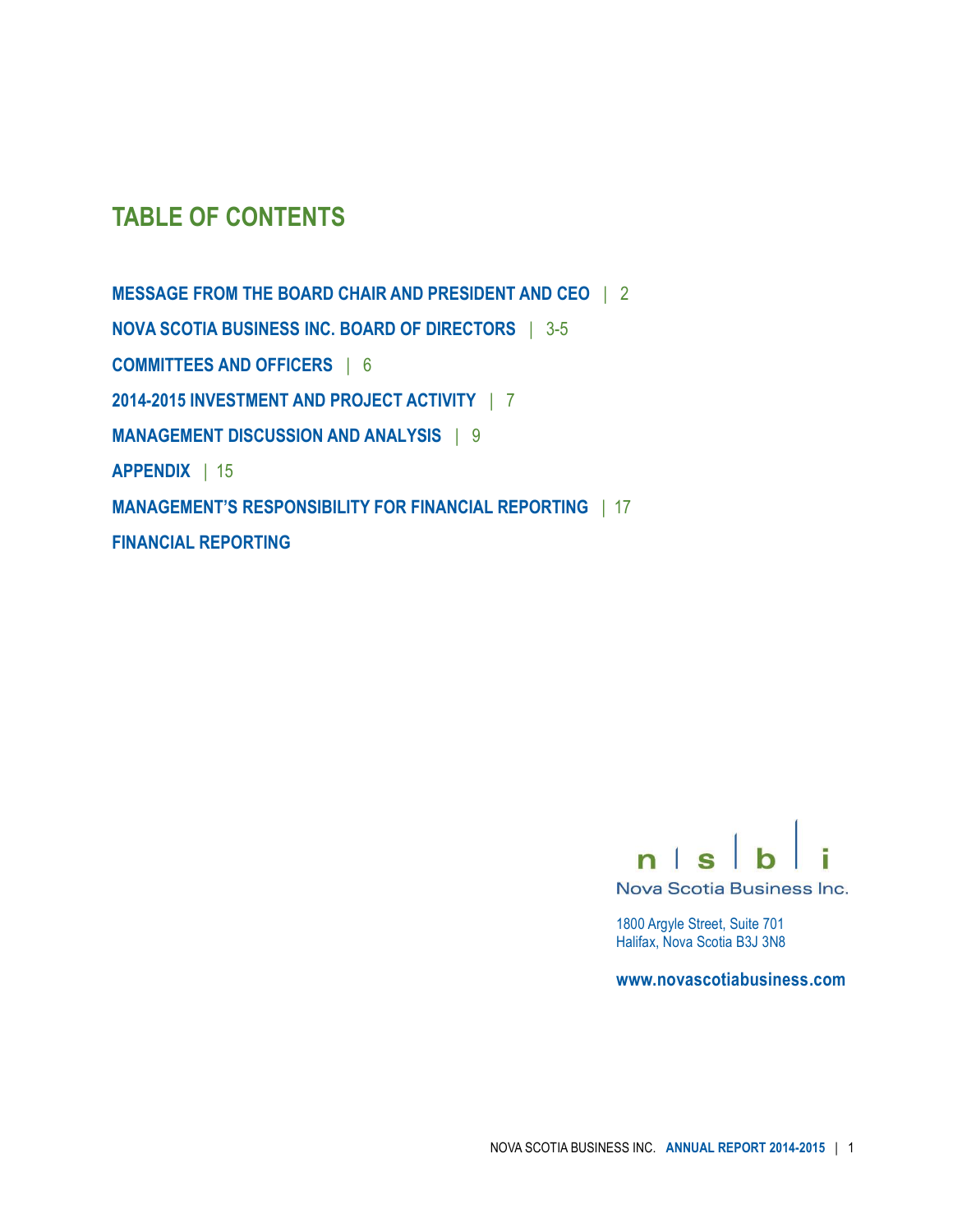## **TABLE OF CONTENTS**

**MESSAGE FROM THE BOARD CHAIR AND PRESIDENT AND CEO** | 2 **NOVA SCOTIA BUSINESS INC. BOARD OF DIRECTORS** | 3-5 **COMMITTEES AND OFFICERS** | 6 **2014-2015 INVESTMENT AND PROJECT ACTIVITY** | 7 **MANAGEMENT DISCUSSION AND ANALYSIS** | 9 **APPENDIX** | 15 **MANAGEMENT'S RESPONSIBILITY FOR FINANCIAL REPORTING** | 17 **FINANCIAL REPORTING**



1800 Argyle Street, Suite 701 Halifax, Nova Scotia B3J 3N8

**www.novascotiabusiness.com**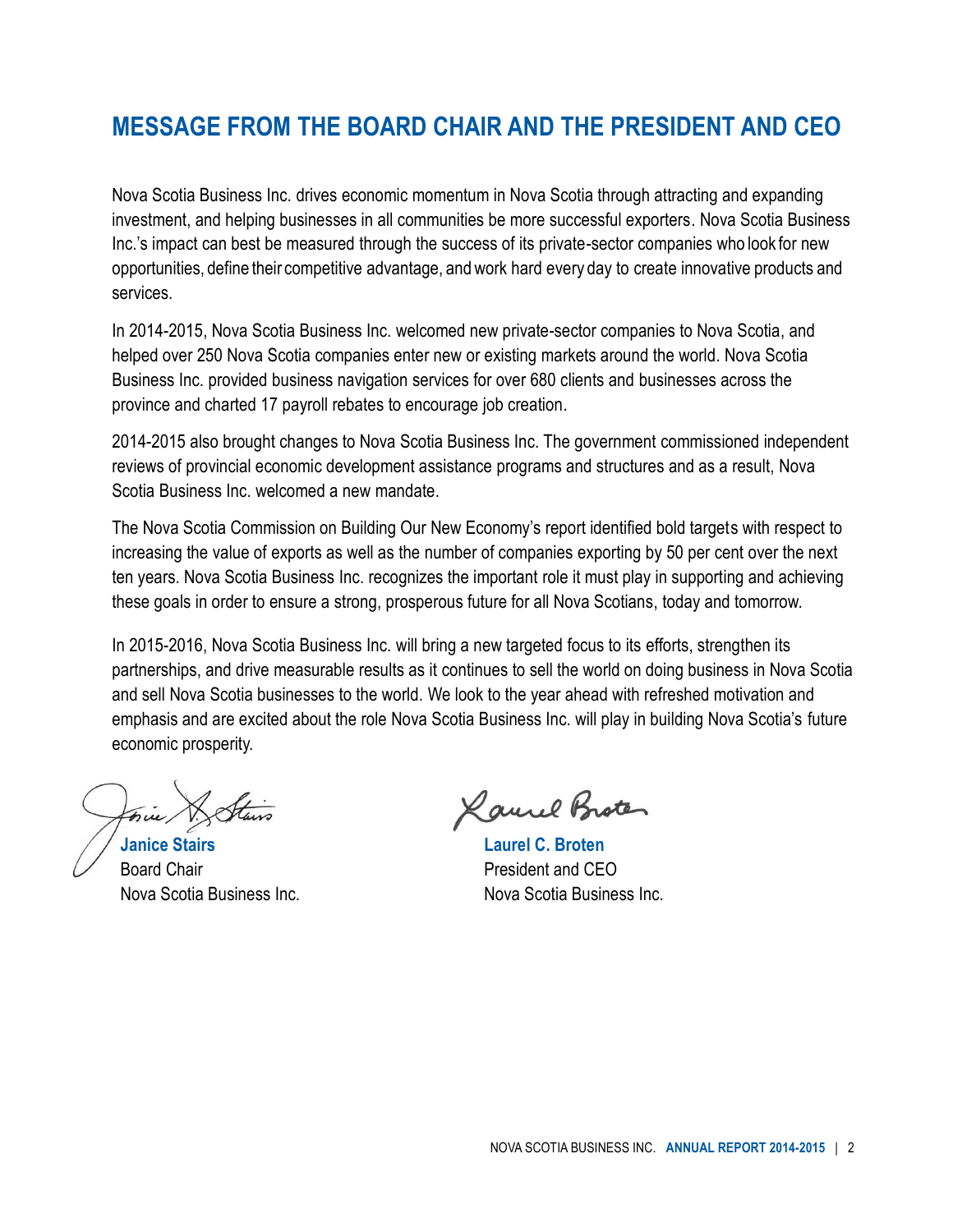## **MESSAGE FROM THE BOARD CHAIR AND THE PRESIDENT AND CEO**

Nova Scotia Business Inc. drives economic momentum in Nova Scotia through attracting and expanding investment, and helping businesses in all communities be more successful exporters. Nova Scotia Business Inc.'s impact can best be measured through the success of its private-sector companies who look for new opportunities, define their competitive advantage, and work hard every day to create innovative products and services.

In 2014-2015, Nova Scotia Business Inc. welcomed new private-sector companies to Nova Scotia, and helped over 250 Nova Scotia companies enter new or existing markets around the world. Nova Scotia Business Inc. provided business navigation services for over 680 clients and businesses across the province and charted 17 payroll rebates to encourage job creation.

2014-2015 also brought changes to Nova Scotia Business Inc. The government commissioned independent reviews of provincial economic development assistance programs and structures and as a result, Nova Scotia Business Inc. welcomed a new mandate.

The Nova Scotia Commission on Building Our New Economy's report identified bold targets with respect to increasing the value of exports as well as the number of companies exporting by 50 per cent over the next ten years. Nova Scotia Business Inc. recognizes the important role it must play in supporting and achieving these goals in order to ensure a strong, prosperous future for all Nova Scotians, today and tomorrow.

In 2015-2016, Nova Scotia Business Inc. will bring a new targeted focus to its efforts, strengthen its partnerships, and drive measurable results as it continues to sell the world on doing business in Nova Scotia and sell Nova Scotia businesses to the world. We look to the year ahead with refreshed motivation and emphasis and are excited about the role Nova Scotia Business Inc. will play in building Nova Scotia's future economic prosperity.

**Janice Stairs** Board Chair Nova Scotia Business Inc.

Laurel Broter

**Laurel C. Broten** President and CEO Nova Scotia Business Inc.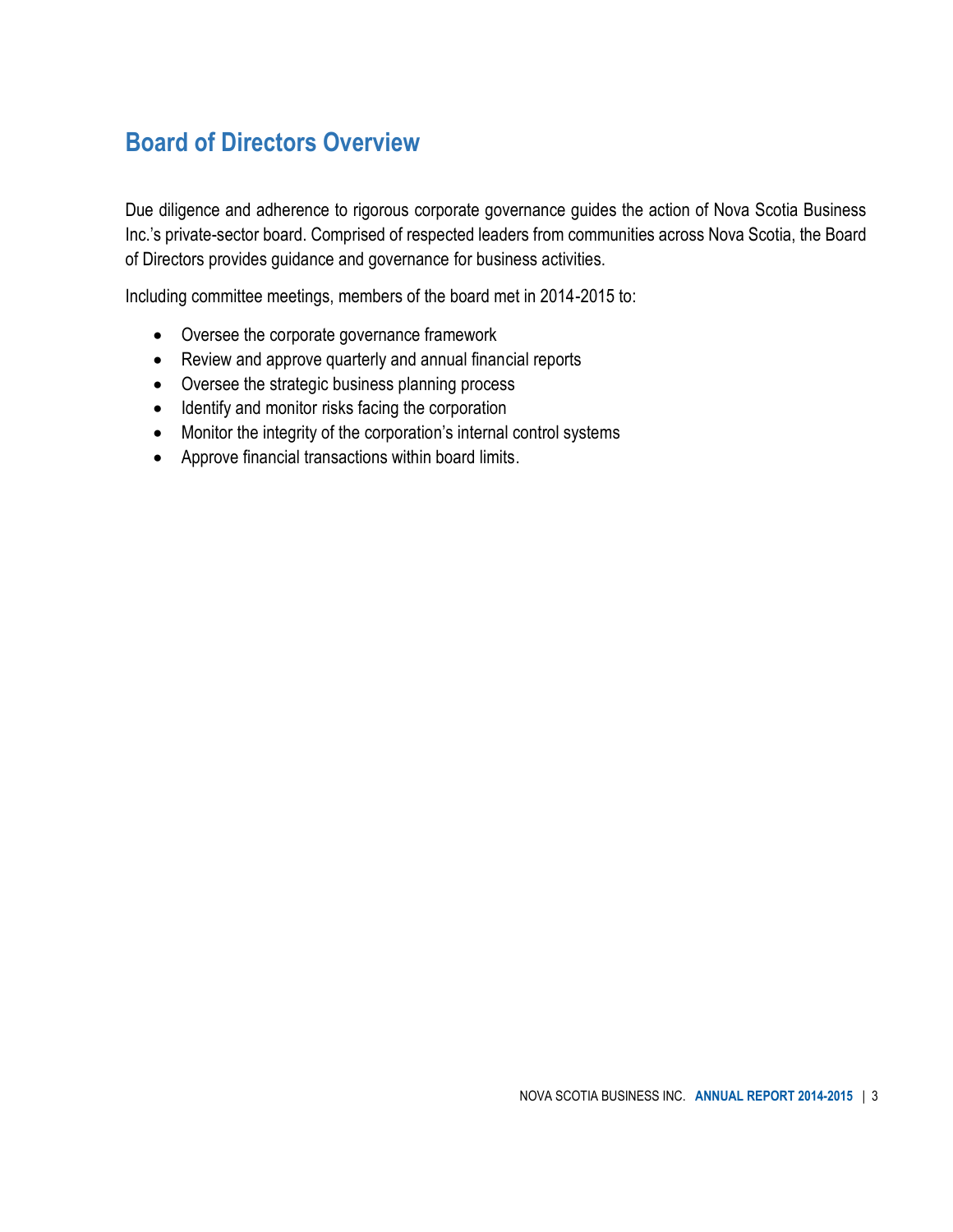## **Board of Directors Overview**

Due diligence and adherence to rigorous corporate governance guides the action of Nova Scotia Business Inc.'s private-sector board. Comprised of respected leaders from communities across Nova Scotia, the Board of Directors provides guidance and governance for business activities.

Including committee meetings, members of the board met in 2014-2015 to:

- Oversee the corporate governance framework
- Review and approve quarterly and annual financial reports
- Oversee the strategic business planning process
- Identify and monitor risks facing the corporation
- Monitor the integrity of the corporation's internal control systems
- Approve financial transactions within board limits.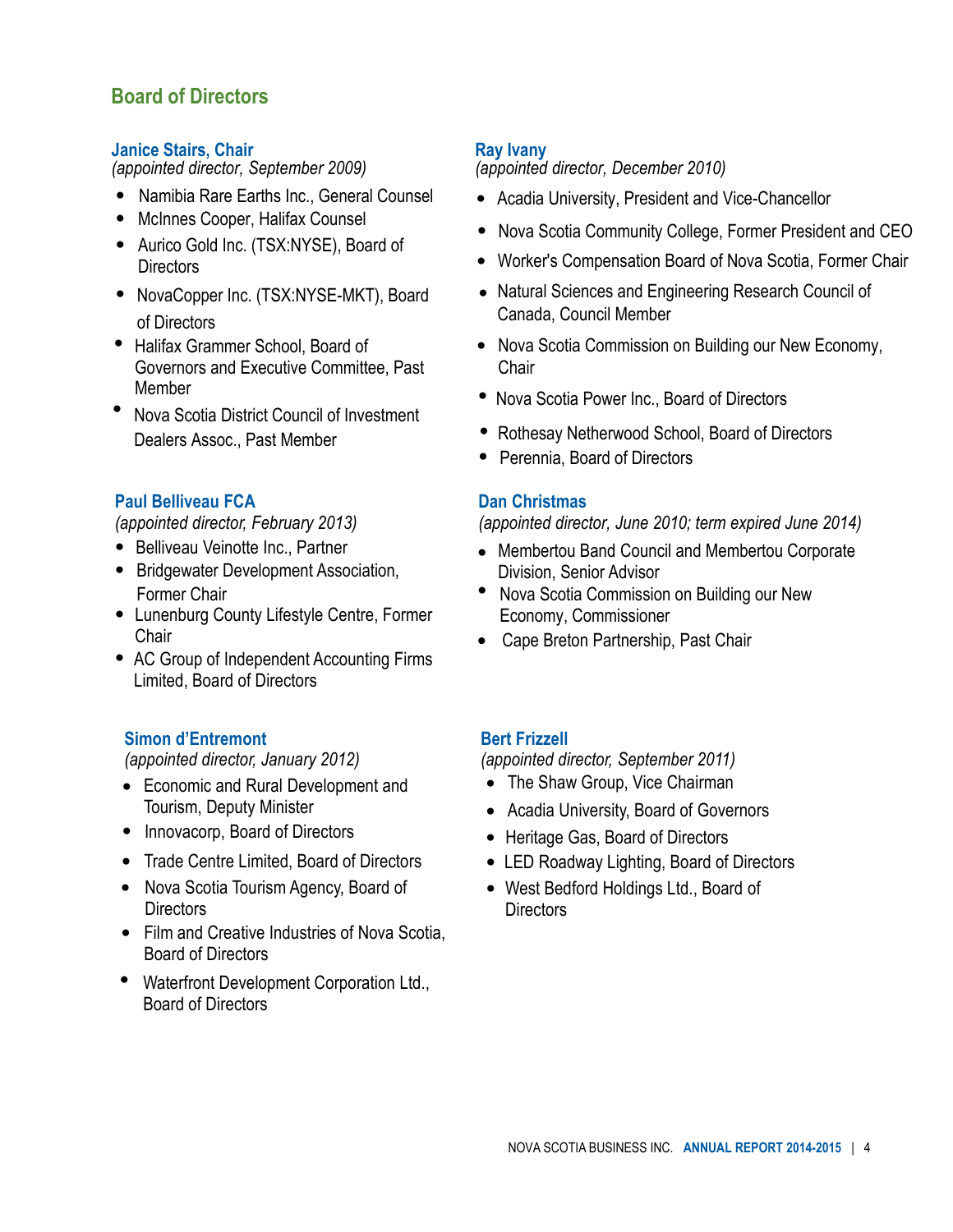### **Board of Directors**

#### **Janice Stairs, Chair**

*(appointed director, September 2009)*

- Namibia Rare Earths Inc., General Counsel
- McInnes Cooper, Halifax Counsel
- Aurico Gold Inc. (TSX:NYSE), Board of **Directors**
- NovaCopper Inc. (TSX:NYSE-MKT), Board of Directors
- Halifax Grammer School, Board of Governors and Executive Committee, Past Member
- Nova Scotia District Council of Investment Dealers Assoc., Past Member

### **Paul Belliveau FCA**

*(appointed director, February 2013)* 

- Belliveau Veinotte Inc., Partner
- Bridgewater Development Association, Former Chair
- Lunenburg County Lifestyle Centre, Former **Chair**
- AC Group of Independent Accounting Firms Limited, Board of Directors

### **Simon d'Entremont**

*(appointed director, January 2012)* 

- Economic and Rural Development and Tourism, Deputy Minister
- Innovacorp, Board of Directors
- Trade Centre Limited, Board of Directors
- Nova Scotia Tourism Agency, Board of **Directors**
- Film and Creative Industries of Nova Scotia, Board of Directors
- Waterfront Development Corporation Ltd., Board of Directors

#### **Ray Ivany**

*(appointed director, December 2010)*

- Acadia University, President and Vice-Chancellor
- Nova Scotia Community College, Former President and CEO
- Worker's Compensation Board of Nova Scotia, Former Chair
- Natural Sciences and Engineering Research Council of Canada, Council Member
- Nova Scotia Commission on Building our New Economy, **Chair**
- Nova Scotia Power Inc., Board of Directors
- Rothesay Netherwood School, Board of Directors
- Perennia, Board of Directors

#### **Dan Christmas**

### *(appointed director, June 2010; term expired June 2014)*

- Membertou Band Council and Membertou Corporate Division, Senior Advisor
- Nova Scotia Commission on Building our New Economy, Commissioner
- Cape Breton Partnership, Past Chair

### **Bert Frizzell**

*(appointed director, September 2011)* 

- The Shaw Group, Vice Chairman
- Acadia University, Board of Governors
- Heritage Gas, Board of Directors
- LED Roadway Lighting, Board of Directors
- West Bedford Holdings Ltd., Board of **Directors**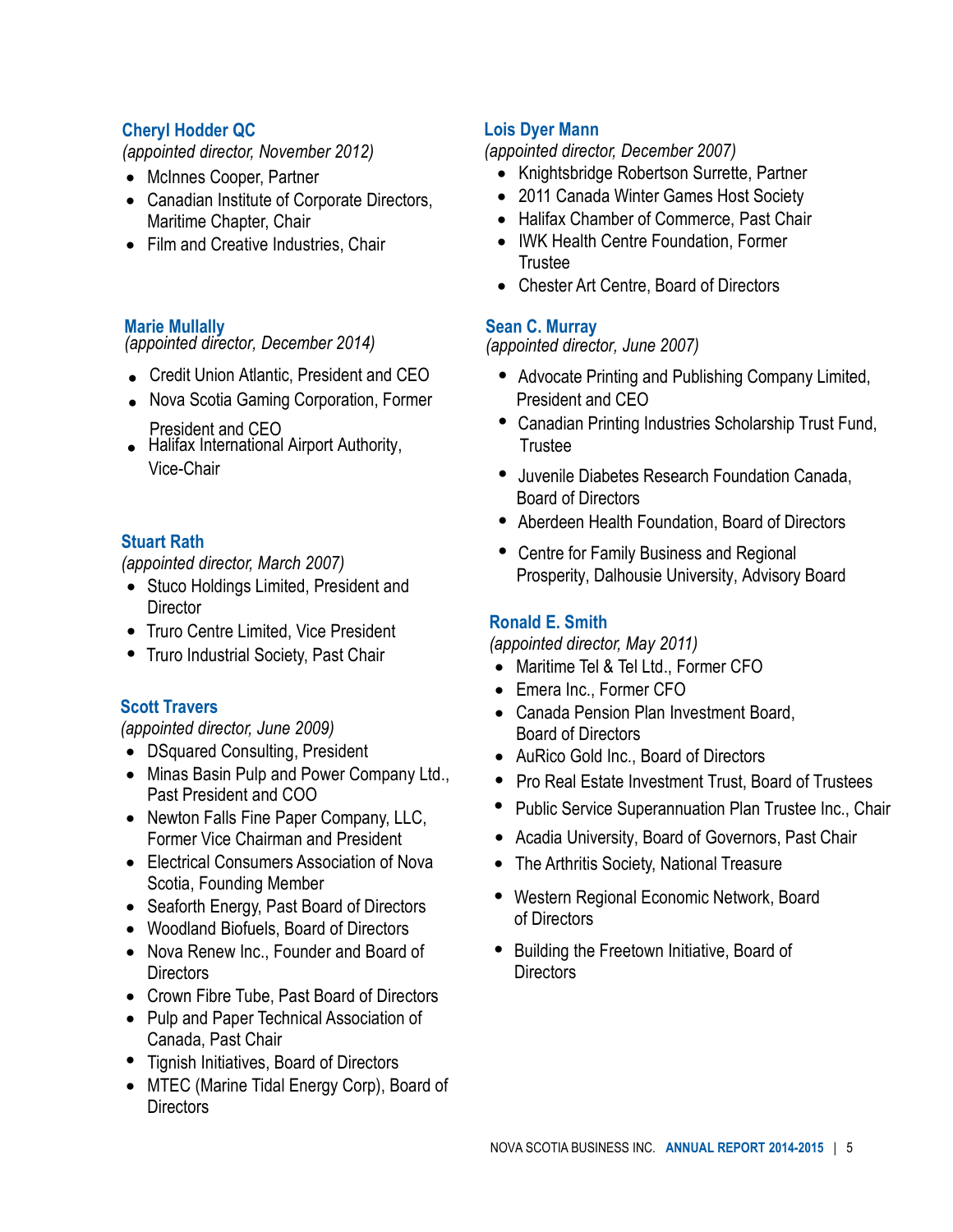### **Cheryl Hodder QC**

*(appointed director, November 2012)* 

- McInnes Cooper, Partner
- Canadian Institute of Corporate Directors, Maritime Chapter, Chair
- Film and Creative Industries, Chair

### **Marie Mullally**

*(appointed director, December 2014)*

- Credit Union Atlantic, President and CEO
- Nova Scotia Gaming Corporation, Former
- President and CEO
- Halifax International Airport Authority, Trustee

### **Stuart Rath**

*(appointed director, March 2007)*

- Stuco Holdings Limited, President and **Director**
- Truro Centre Limited, Vice President
- Truro Industrial Society, Past Chair

### **Scott Travers**

*(appointed director, June 2009)*

- DSquared Consulting, President
- Minas Basin Pulp and Power Company Ltd., Past President and COO
- Newton Falls Fine Paper Company, LLC, Former Vice Chairman and President
- Electrical Consumers Association of Nova Scotia, Founding Member
- Seaforth Energy, Past Board of Directors
- Woodland Biofuels, Board of Directors
- Nova Renew Inc., Founder and Board of **Directors**
- Crown Fibre Tube, Past Board of Directors
- Pulp and Paper Technical Association of Canada, Past Chair
- Tignish Initiatives, Board of Directors
- MTEC (Marine Tidal Energy Corp), Board of **Directors**

### **Lois Dyer Mann**

*(appointed director, December 2007)* 

- Knightsbridge Robertson Surrette, Partner
- 2011 Canada Winter Games Host Society
- Halifax Chamber of Commerce, Past Chair
- IWK Health Centre Foundation, Former **Trustee**
- Chester Art Centre, Board of Directors

### **Sean C. Murray**

*(appointed director, June 2007)*

- Advocate Printing and Publishing Company Limited, President and CEO
- Canadian Printing Industries Scholarship Trust Fund,
- Vice-Chair **Vice-Chair Juvenile Diabetes Research Foundation Canada**, Board of Directors
	- Aberdeen Health Foundation, Board of Directors
	- Centre for Family Business and Regional Prosperity, Dalhousie University, Advisory Board

### **Ronald E. Smith**

*(appointed director, May 2011)*

- Maritime Tel & Tel Ltd., Former CFO
- Emera Inc., Former CFO
- Canada Pension Plan Investment Board, Board of Directors
- AuRico Gold Inc., Board of Directors
- Pro Real Estate Investment Trust, Board of Trustees
- Public Service Superannuation Plan Trustee Inc., Chair
- Acadia University, Board of Governors, Past Chair
- The Arthritis Society, National Treasure
- Western Regional Economic Network, Board of Directors
- Building the Freetown Initiative, Board of **Directors**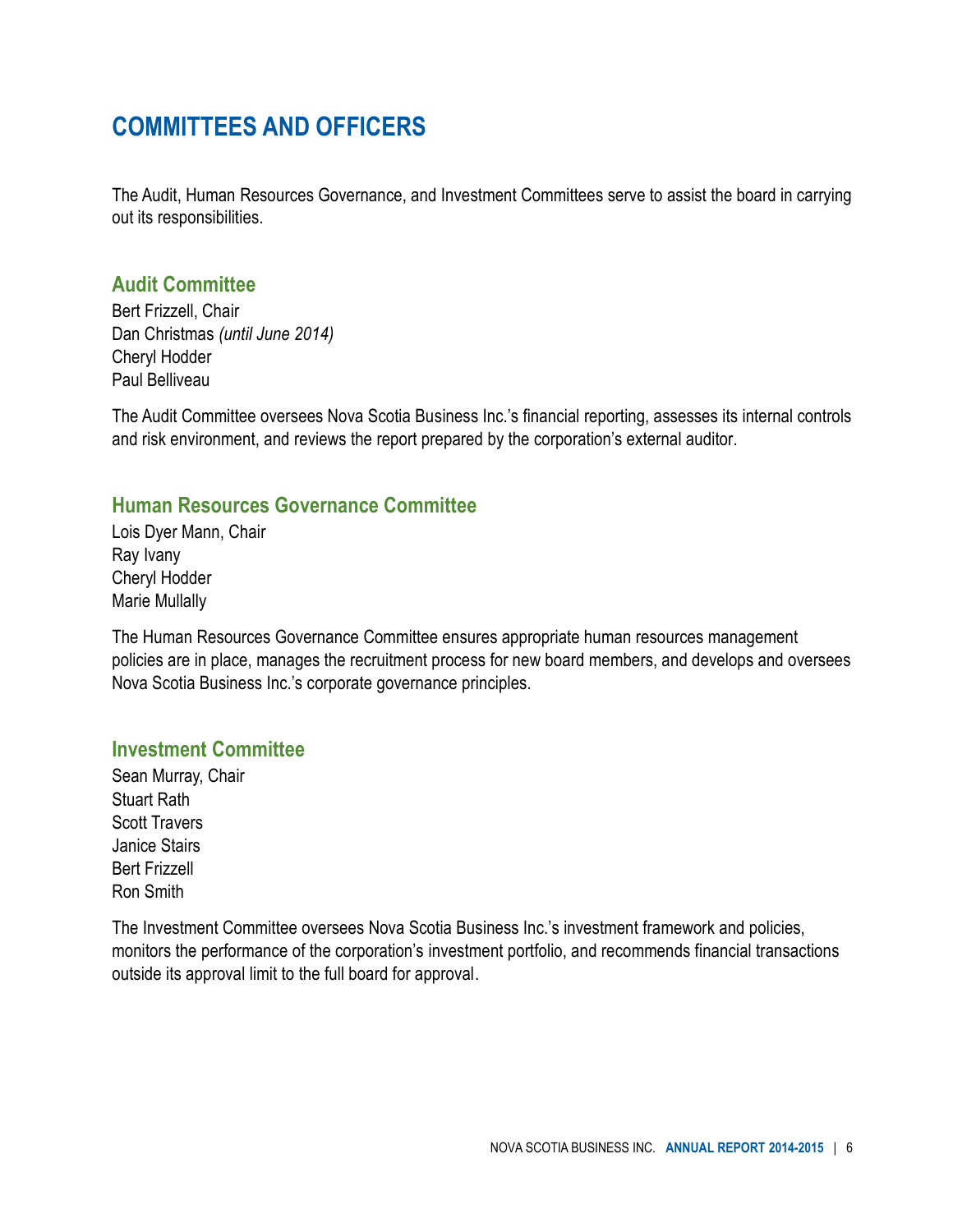## **COMMITTEES AND OFFICERS**

The Audit, Human Resources Governance, and Investment Committees serve to assist the board in carrying out its responsibilities.

### **Audit Committee**

Bert Frizzell, Chair Dan Christmas *(until June 2014)* Cheryl Hodder Paul Belliveau

The Audit Committee oversees Nova Scotia Business Inc.'s financial reporting, assesses its internal controls and risk environment, and reviews the report prepared by the corporation's external auditor.

### **Human Resources Governance Committee**

Lois Dyer Mann, Chair Ray Ivany Cheryl Hodder Marie Mullally

The Human Resources Governance Committee ensures appropriate human resources management policies are in place, manages the recruitment process for new board members, and develops and oversees Nova Scotia Business Inc.'s corporate governance principles.

### **Investment Committee**

Sean Murray, Chair Stuart Rath Scott Travers Janice Stairs Bert Frizzell Ron Smith

The Investment Committee oversees Nova Scotia Business Inc.'s investment framework and policies, monitors the performance of the corporation's investment portfolio, and recommends financial transactions outside its approval limit to the full board for approval.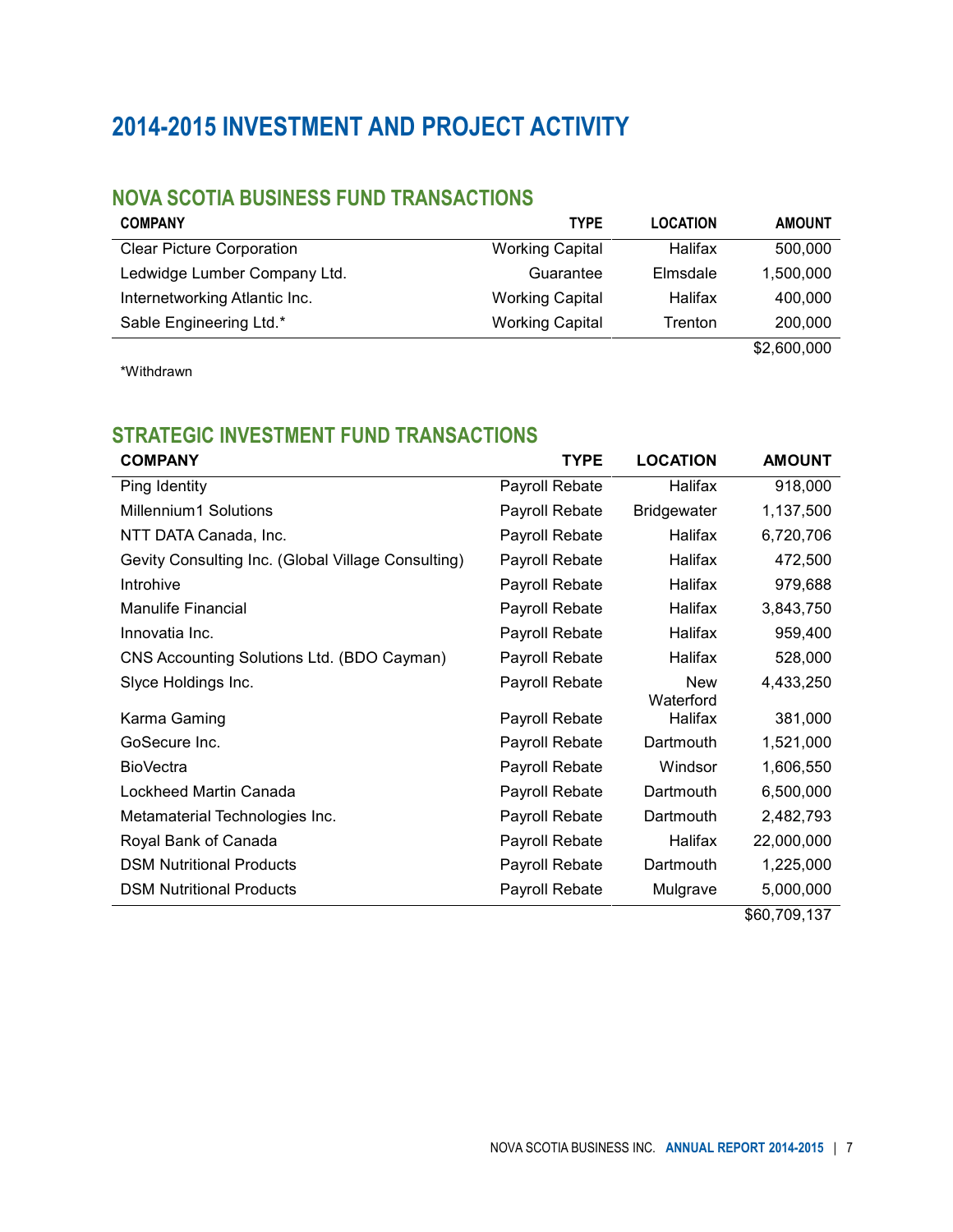## **2014-2015 INVESTMENT AND PROJECT ACTIVITY**

### **NOVA SCOTIA BUSINESS FUND TRANSACTIONS**

| <b>COMPANY</b>                   | <b>TYPE</b>            | <b>LOCATION</b> | <b>AMOUNT</b> |
|----------------------------------|------------------------|-----------------|---------------|
| <b>Clear Picture Corporation</b> | <b>Working Capital</b> | Halifax         | 500,000       |
| Ledwidge Lumber Company Ltd.     | Guarantee              | Elmsdale        | 1,500,000     |
| Internetworking Atlantic Inc.    | <b>Working Capital</b> | Halifax         | 400,000       |
| Sable Engineering Ltd.*          | <b>Working Capital</b> | Trenton         | 200,000       |
|                                  |                        |                 | \$2,600,000   |

\*Withdrawn

### **STRATEGIC INVESTMENT FUND TRANSACTIONS**

| <b>COMPANY</b>                                     | <b>TYPE</b>    | <b>LOCATION</b>         | <b>AMOUNT</b> |
|----------------------------------------------------|----------------|-------------------------|---------------|
| Ping Identity                                      | Payroll Rebate | Halifax                 | 918,000       |
| Millennium1 Solutions                              | Payroll Rebate | <b>Bridgewater</b>      | 1,137,500     |
| NTT DATA Canada, Inc.                              | Payroll Rebate | Halifax                 | 6,720,706     |
| Gevity Consulting Inc. (Global Village Consulting) | Payroll Rebate | Halifax                 | 472,500       |
| Introhive                                          | Payroll Rebate | Halifax                 | 979,688       |
| <b>Manulife Financial</b>                          | Payroll Rebate | Halifax                 | 3,843,750     |
| Innovatia Inc.                                     | Payroll Rebate | Halifax                 | 959,400       |
| CNS Accounting Solutions Ltd. (BDO Cayman)         | Payroll Rebate | <b>Halifax</b>          | 528,000       |
| Slyce Holdings Inc.                                | Payroll Rebate | <b>New</b><br>Waterford | 4,433,250     |
| Karma Gaming                                       | Payroll Rebate | Halifax                 | 381,000       |
| GoSecure Inc.                                      | Payroll Rebate | Dartmouth               | 1,521,000     |
| <b>BioVectra</b>                                   | Payroll Rebate | Windsor                 | 1,606,550     |
| Lockheed Martin Canada                             | Payroll Rebate | Dartmouth               | 6,500,000     |
| Metamaterial Technologies Inc.                     | Payroll Rebate | Dartmouth               | 2,482,793     |
| Royal Bank of Canada                               | Payroll Rebate | Halifax                 | 22,000,000    |
| <b>DSM Nutritional Products</b>                    | Payroll Rebate | Dartmouth               | 1,225,000     |
| <b>DSM Nutritional Products</b>                    | Payroll Rebate | Mulgrave                | 5,000,000     |
|                                                    |                |                         | \$60,709,137  |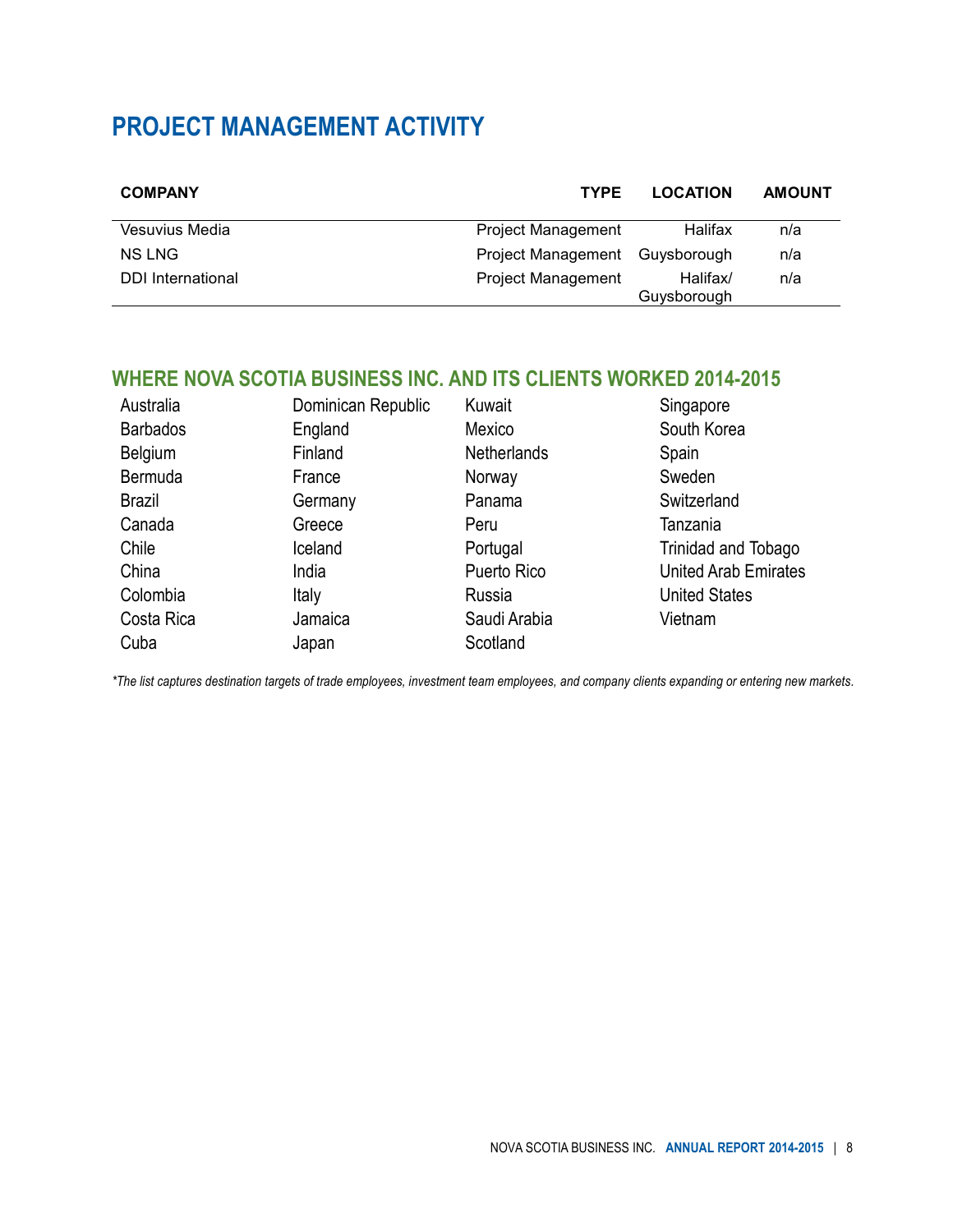## **PROJECT MANAGEMENT ACTIVITY**

| <b>COMPANY</b>    | <b>TYPE</b>                    | <b>LOCATION</b>         | <b>AMOUNT</b> |
|-------------------|--------------------------------|-------------------------|---------------|
| Vesuvius Media    | <b>Project Management</b>      | Halifax                 | n/a           |
| NS LNG            | Project Management Guysborough |                         | n/a           |
| DDI International | <b>Project Management</b>      | Halifax/<br>Guysborough | n/a           |

### **WHERE NOVA SCOTIA BUSINESS INC. AND ITS CLIENTS WORKED 2014-2015**

| Australia       | Dominican Republic | Kuwait             | Singapore                   |
|-----------------|--------------------|--------------------|-----------------------------|
| <b>Barbados</b> | England            | Mexico             | South Korea                 |
| Belgium         | Finland            | <b>Netherlands</b> | Spain                       |
| Bermuda         | France             | Norway             | Sweden                      |
| <b>Brazil</b>   | Germany            | Panama             | Switzerland                 |
| Canada          | Greece             | Peru               | Tanzania                    |
| Chile           | Iceland            | Portugal           | Trinidad and Tobago         |
| China           | India              | <b>Puerto Rico</b> | <b>United Arab Emirates</b> |
| Colombia        | Italy              | Russia             | <b>United States</b>        |
| Costa Rica      | Jamaica            | Saudi Arabia       | Vietnam                     |
| Cuba            | Japan              | Scotland           |                             |

*\*The list captures destination targets of trade employees, investment team employees, and company clients expanding or entering new markets.*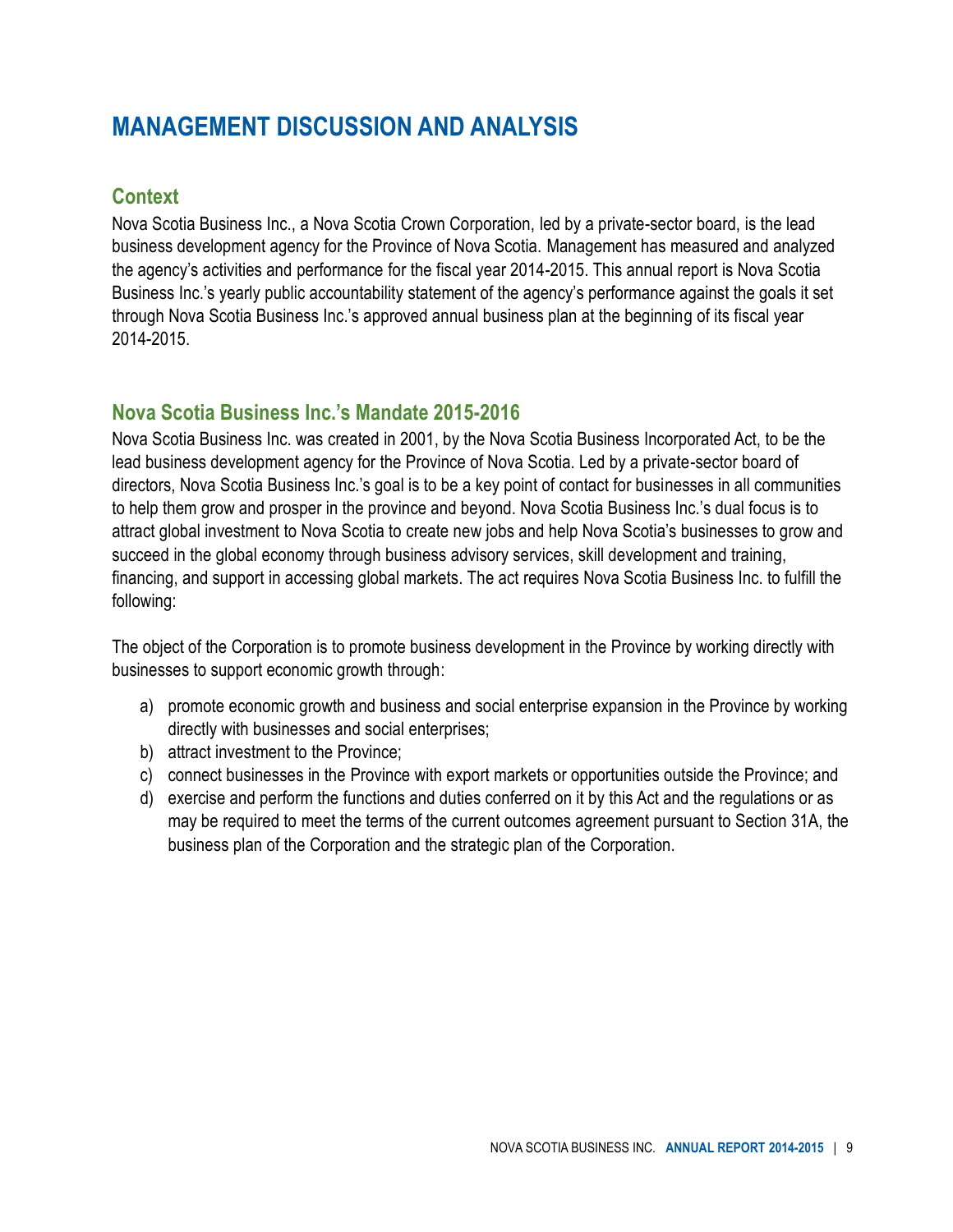## **MANAGEMENT DISCUSSION AND ANALYSIS**

### **Context**

Nova Scotia Business Inc., a Nova Scotia Crown Corporation, led by a private-sector board, is the lead business development agency for the Province of Nova Scotia. Management has measured and analyzed the agency's activities and performance for the fiscal year 2014-2015. This annual report is Nova Scotia Business Inc.'s yearly public accountability statement of the agency's performance against the goals it set through Nova Scotia Business Inc.'s approved annual business plan at the beginning of its fiscal year 2014-2015.

### **Nova Scotia Business Inc.'s Mandate 2015-2016**

Nova Scotia Business Inc. was created in 2001, by the Nova Scotia Business Incorporated Act, to be the lead business development agency for the Province of Nova Scotia. Led by a private-sector board of directors, Nova Scotia Business Inc.'s goal is to be a key point of contact for businesses in all communities to help them grow and prosper in the province and beyond. Nova Scotia Business Inc.'s dual focus is to attract global investment to Nova Scotia to create new jobs and help Nova Scotia's businesses to grow and succeed in the global economy through business advisory services, skill development and training, financing, and support in accessing global markets. The act requires Nova Scotia Business Inc. to fulfill the following:

The object of the Corporation is to promote business development in the Province by working directly with businesses to support economic growth through:

- a) promote economic growth and business and social enterprise expansion in the Province by working directly with businesses and social enterprises;
- b) attract investment to the Province;
- c) connect businesses in the Province with export markets or opportunities outside the Province; and
- d) exercise and perform the functions and duties conferred on it by this Act and the regulations or as may be required to meet the terms of the current outcomes agreement pursuant to Section 31A, the business plan of the Corporation and the strategic plan of the Corporation.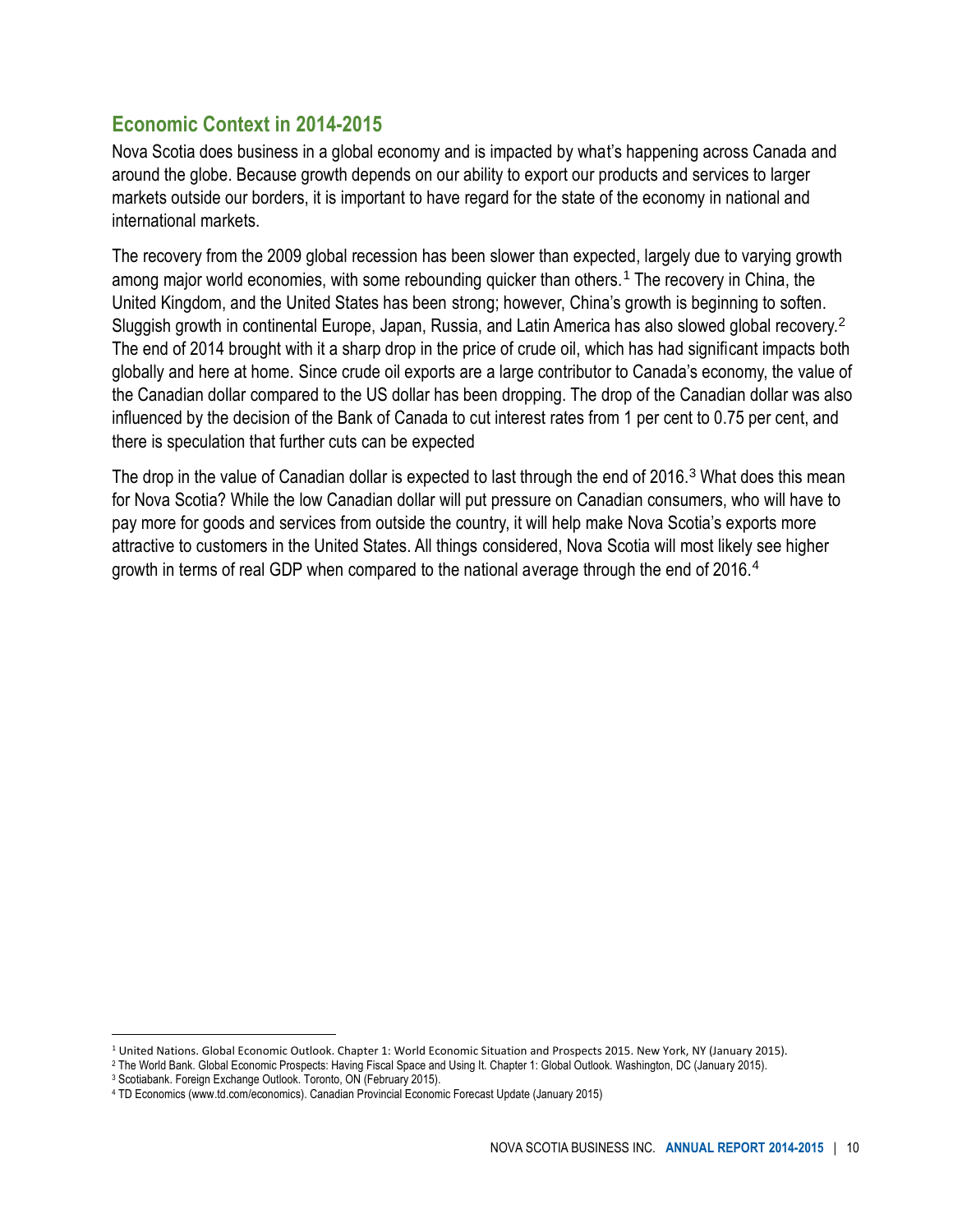### **Economic Context in 2014-2015**

Nova Scotia does business in a global economy and is impacted by what's happening across Canada and around the globe. Because growth depends on our ability to export our products and services to larger markets outside our borders, it is important to have regard for the state of the economy in national and international markets.

The recovery from the 2009 global recession has been slower than expected, largely due to varying growth among major world economies, with some rebounding quicker than others.<sup>1</sup> The recovery in China, the United Kingdom, and the United States has been strong; however, China's growth is beginning to soften. Sluggish growth in continental Europe, Japan, Russia, and Latin America has also slowed global recovery.<sup>2</sup> The end of 2014 brought with it a sharp drop in the price of crude oil, which has had significant impacts both globally and here at home. Since crude oil exports are a large contributor to Canada's economy, the value of the Canadian dollar compared to the US dollar has been dropping. The drop of the Canadian dollar was also influenced by the decision of the Bank of Canada to cut interest rates from 1 per cent to 0.75 per cent, and there is speculation that further cuts can be expected

The drop in the value of Canadian dollar is expected to last through the end of 2016.<sup>3</sup> What does this mean for Nova Scotia? While the low Canadian dollar will put pressure on Canadian consumers, who will have to pay more for goods and services from outside the country, it will help make Nova Scotia's exports more attractive to customers in the United States. All things considered, Nova Scotia will most likely see higher growth in terms of real GDP when compared to the national average through the end of 2016.<sup>4</sup>

<sup>1</sup> United Nations. Global Economic Outlook. Chapter 1: World Economic Situation and Prospects 2015. New York, NY (January 2015).

<sup>2</sup> The World Bank. Global Economic Prospects: Having Fiscal Space and Using It. Chapter 1: Global Outlook. Washington, DC (January 2015).

<sup>3</sup> Scotiabank. Foreign Exchange Outlook. Toronto, ON (February 2015).

<sup>4</sup> TD Economics (www.td.com/economics). Canadian Provincial Economic Forecast Update (January 2015)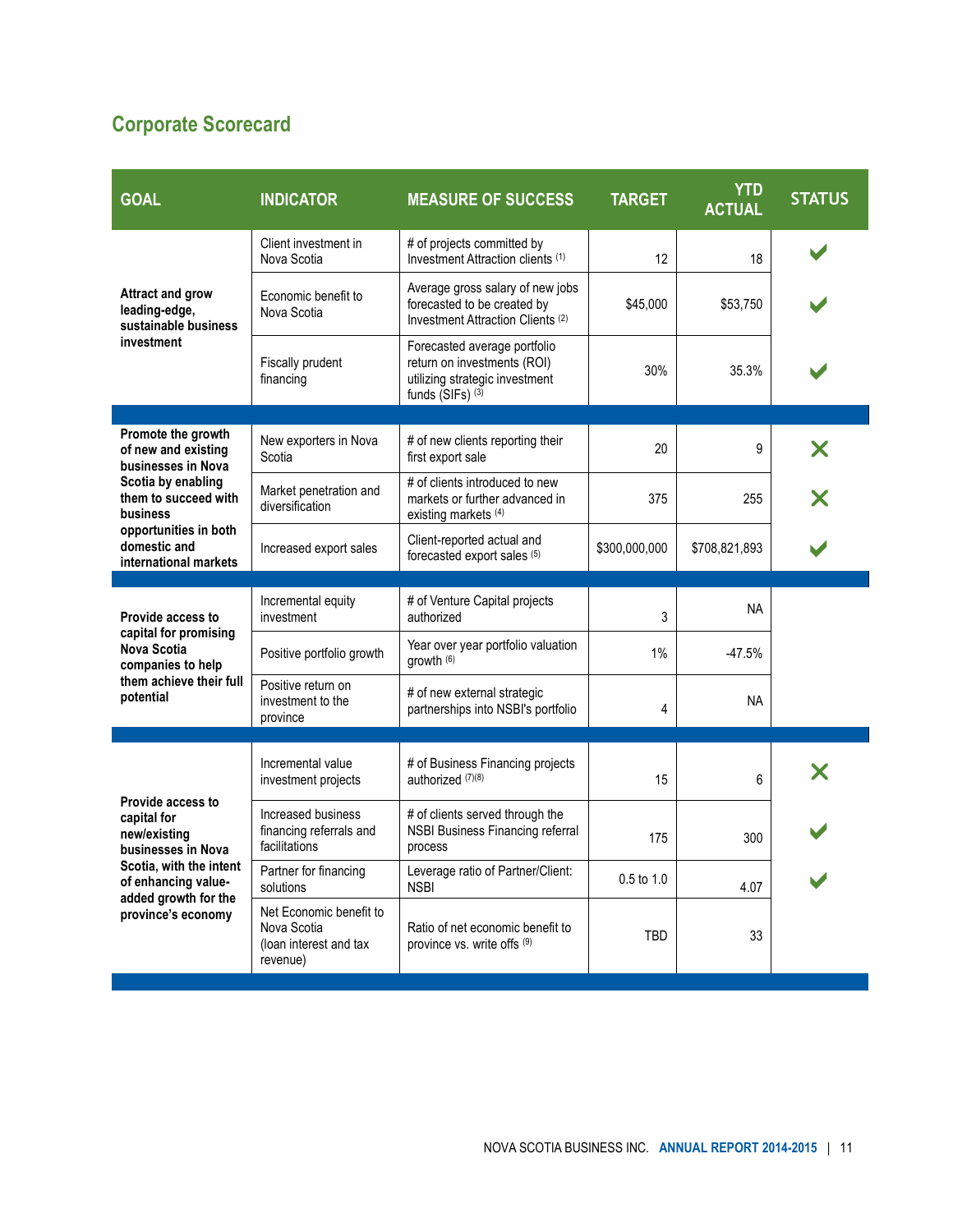## **Corporate Scorecard**

| <b>GOAL</b>                                                            | <b>INDICATOR</b>                                                             | <b>MEASURE OF SUCCESS</b>                                                                                         | <b>TARGET</b> | <b>YTD</b><br><b>ACTUAL</b> | <b>STATUS</b> |
|------------------------------------------------------------------------|------------------------------------------------------------------------------|-------------------------------------------------------------------------------------------------------------------|---------------|-----------------------------|---------------|
|                                                                        | Client investment in<br>Nova Scotia                                          | # of projects committed by<br>Investment Attraction clients (1)                                                   | 12            | 18                          |               |
| <b>Attract and grow</b><br>leading-edge,<br>sustainable business       | Economic benefit to<br>Nova Scotia                                           | Average gross salary of new jobs<br>forecasted to be created by<br>Investment Attraction Clients (2)              | \$45,000      | \$53,750                    |               |
| investment                                                             | Fiscally prudent<br>financing                                                | Forecasted average portfolio<br>return on investments (ROI)<br>utilizing strategic investment<br>funds (SIFs) (3) | 30%           | 35.3%                       |               |
|                                                                        |                                                                              |                                                                                                                   |               |                             |               |
| Promote the growth<br>of new and existing<br>businesses in Nova        | New exporters in Nova<br>Scotia                                              | # of new clients reporting their<br>first export sale                                                             | 20            | 9                           | Х             |
| Scotia by enabling<br>them to succeed with<br>business                 | Market penetration and<br>diversification                                    | # of clients introduced to new<br>markets or further advanced in<br>existing markets (4)                          | 375           | 255                         |               |
| opportunities in both<br>domestic and<br>international markets         | Increased export sales                                                       | Client-reported actual and<br>forecasted export sales (5)                                                         | \$300,000,000 | \$708,821,893               |               |
|                                                                        | Incremental equity                                                           | # of Venture Capital projects                                                                                     |               |                             |               |
| Provide access to                                                      | investment                                                                   | authorized                                                                                                        | 3             | <b>NA</b>                   |               |
| capital for promising<br>Nova Scotia<br>companies to help              | Positive portfolio growth                                                    | Year over year portfolio valuation<br>growth $(6)$                                                                | 1%            | $-47.5%$                    |               |
| them achieve their full<br>potential                                   | Positive return on<br>investment to the<br>province                          | # of new external strategic<br>partnerships into NSBI's portfolio                                                 | 4             | <b>NA</b>                   |               |
|                                                                        |                                                                              |                                                                                                                   |               |                             |               |
|                                                                        | Incremental value<br>investment projects                                     | # of Business Financing projects<br>authorized (7)(8)                                                             | 15            | 6                           | Х             |
| Provide access to<br>capital for<br>new/existing<br>businesses in Nova | Increased business<br>financing referrals and<br>facilitations               | # of clients served through the<br><b>NSBI Business Financing referral</b><br>process                             | 175           | 300                         |               |
| Scotia, with the intent<br>of enhancing value-                         | Partner for financing<br>solutions                                           | Leverage ratio of Partner/Client:<br><b>NSBI</b>                                                                  | 0.5 to 1.0    | 4.07                        |               |
| added growth for the<br>province's economy                             | Net Economic benefit to<br>Nova Scotia<br>(loan interest and tax<br>revenue) | Ratio of net economic benefit to<br>province vs. write offs (9)                                                   | TBD           | 33                          |               |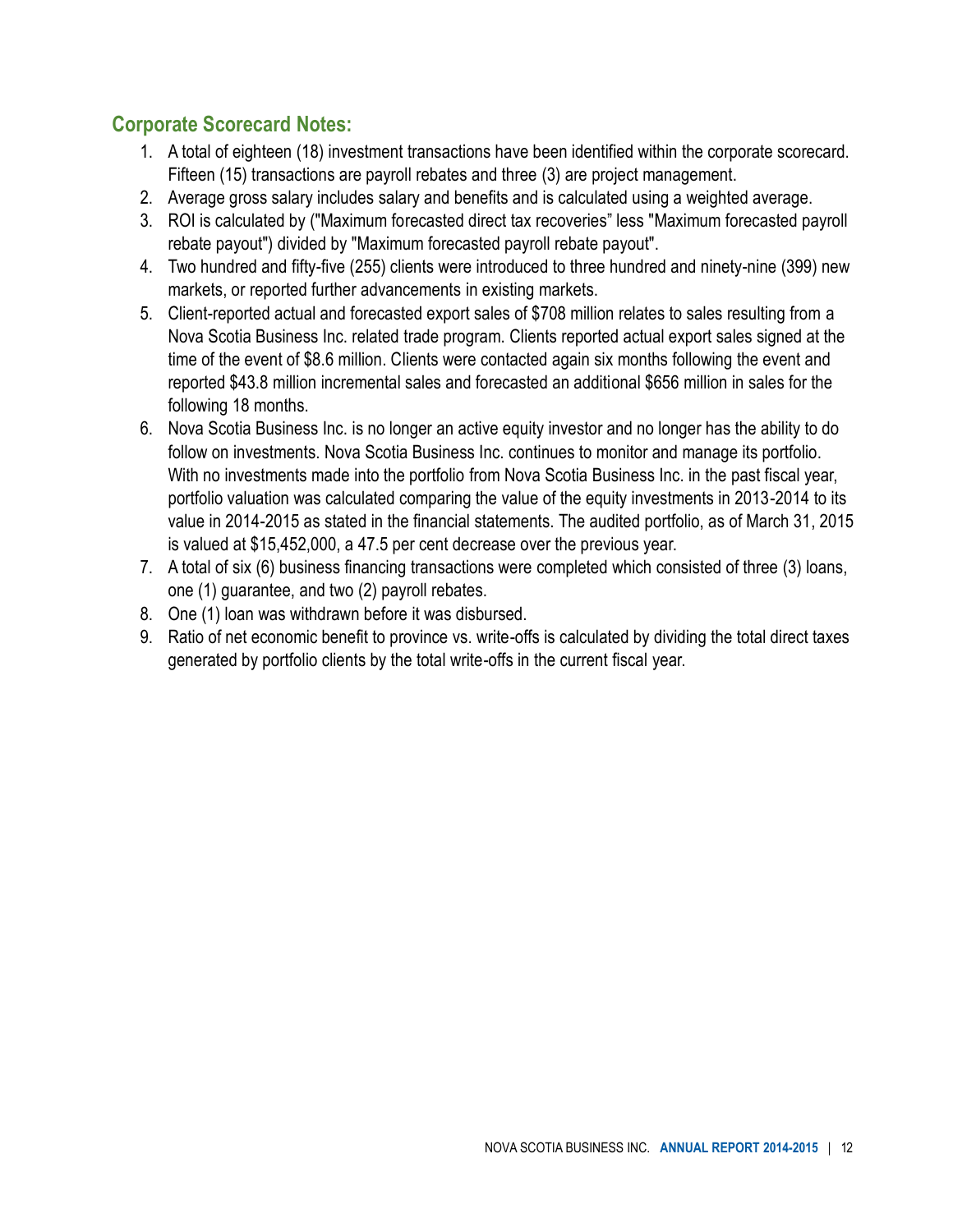### **Corporate Scorecard Notes:**

- 1. A total of eighteen (18) investment transactions have been identified within the corporate scorecard. Fifteen (15) transactions are payroll rebates and three (3) are project management.
- 2. Average gross salary includes salary and benefits and is calculated using a weighted average.
- 3. ROI is calculated by ("Maximum forecasted direct tax recoveries" less "Maximum forecasted payroll rebate payout") divided by "Maximum forecasted payroll rebate payout".
- 4. Two hundred and fifty-five (255) clients were introduced to three hundred and ninety-nine (399) new markets, or reported further advancements in existing markets.
- 5. Client-reported actual and forecasted export sales of \$708 million relates to sales resulting from a Nova Scotia Business Inc. related trade program. Clients reported actual export sales signed at the time of the event of \$8.6 million. Clients were contacted again six months following the event and reported \$43.8 million incremental sales and forecasted an additional \$656 million in sales for the following 18 months.
- 6. Nova Scotia Business Inc. is no longer an active equity investor and no longer has the ability to do follow on investments. Nova Scotia Business Inc. continues to monitor and manage its portfolio. With no investments made into the portfolio from Nova Scotia Business Inc. in the past fiscal year, portfolio valuation was calculated comparing the value of the equity investments in 2013-2014 to its value in 2014-2015 as stated in the financial statements. The audited portfolio, as of March 31, 2015 is valued at \$15,452,000, a 47.5 per cent decrease over the previous year.
- 7. A total of six (6) business financing transactions were completed which consisted of three (3) loans, one (1) guarantee, and two (2) payroll rebates.
- 8. One (1) loan was withdrawn before it was disbursed.
- 9. Ratio of net economic benefit to province vs. write-offs is calculated by dividing the total direct taxes generated by portfolio clients by the total write-offs in the current fiscal year.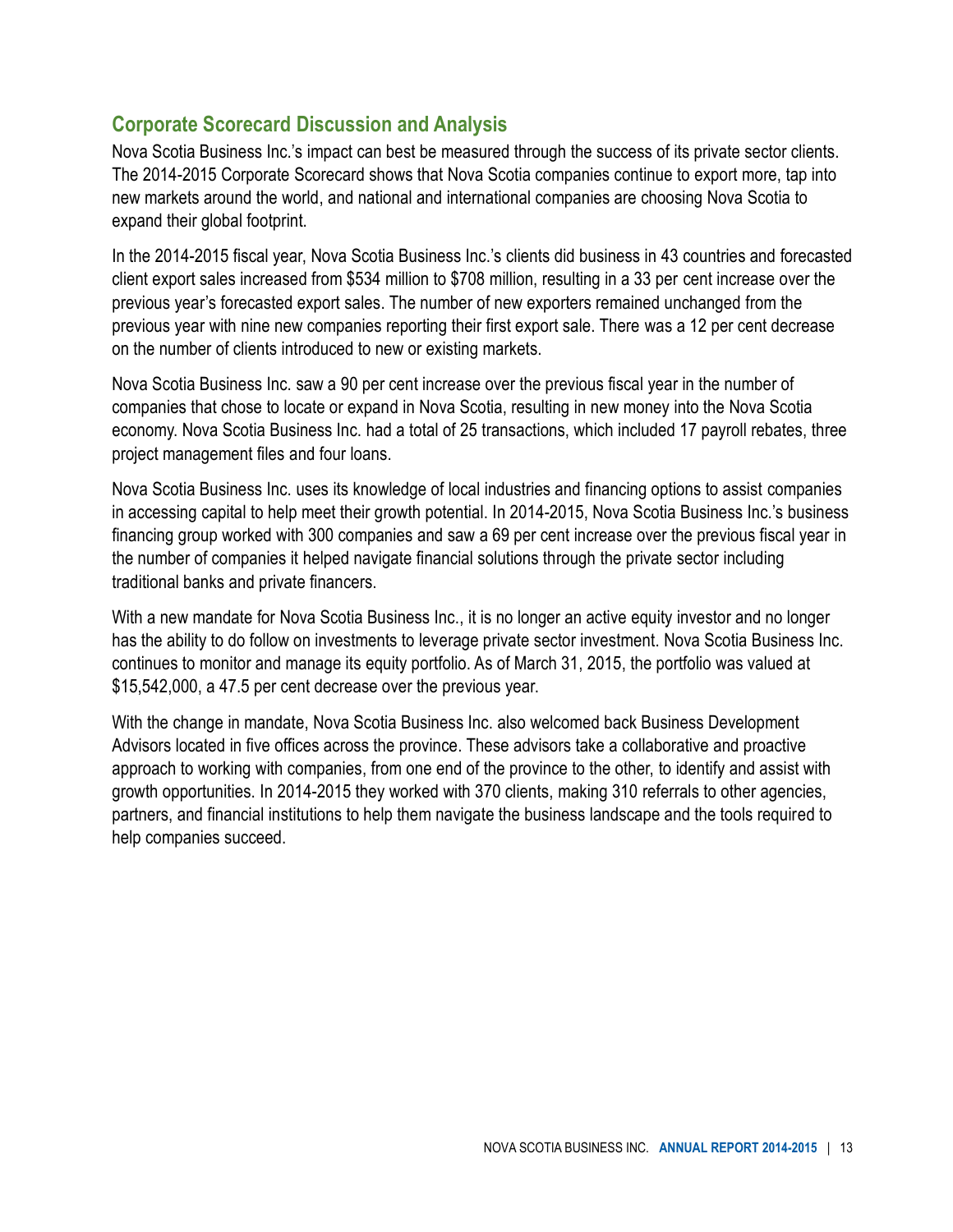### **Corporate Scorecard Discussion and Analysis**

Nova Scotia Business Inc.'s impact can best be measured through the success of its private sector clients. The 2014-2015 Corporate Scorecard shows that Nova Scotia companies continue to export more, tap into new markets around the world, and national and international companies are choosing Nova Scotia to expand their global footprint.

In the 2014-2015 fiscal year, Nova Scotia Business Inc.'s clients did business in 43 countries and forecasted client export sales increased from \$534 million to \$708 million, resulting in a 33 per cent increase over the previous year's forecasted export sales. The number of new exporters remained unchanged from the previous year with nine new companies reporting their first export sale. There was a 12 per cent decrease on the number of clients introduced to new or existing markets.

Nova Scotia Business Inc. saw a 90 per cent increase over the previous fiscal year in the number of companies that chose to locate or expand in Nova Scotia, resulting in new money into the Nova Scotia economy. Nova Scotia Business Inc. had a total of 25 transactions, which included 17 payroll rebates, three project management files and four loans.

Nova Scotia Business Inc. uses its knowledge of local industries and financing options to assist companies in accessing capital to help meet their growth potential. In 2014-2015, Nova Scotia Business Inc.'s business financing group worked with 300 companies and saw a 69 per cent increase over the previous fiscal year in the number of companies it helped navigate financial solutions through the private sector including traditional banks and private financers.

With a new mandate for Nova Scotia Business Inc., it is no longer an active equity investor and no longer has the ability to do follow on investments to leverage private sector investment. Nova Scotia Business Inc. continues to monitor and manage its equity portfolio. As of March 31, 2015, the portfolio was valued at \$15,542,000, a 47.5 per cent decrease over the previous year.

With the change in mandate, Nova Scotia Business Inc. also welcomed back Business Development Advisors located in five offices across the province. These advisors take a collaborative and proactive approach to working with companies, from one end of the province to the other, to identify and assist with growth opportunities. In 2014-2015 they worked with 370 clients, making 310 referrals to other agencies, partners, and financial institutions to help them navigate the business landscape and the tools required to help companies succeed.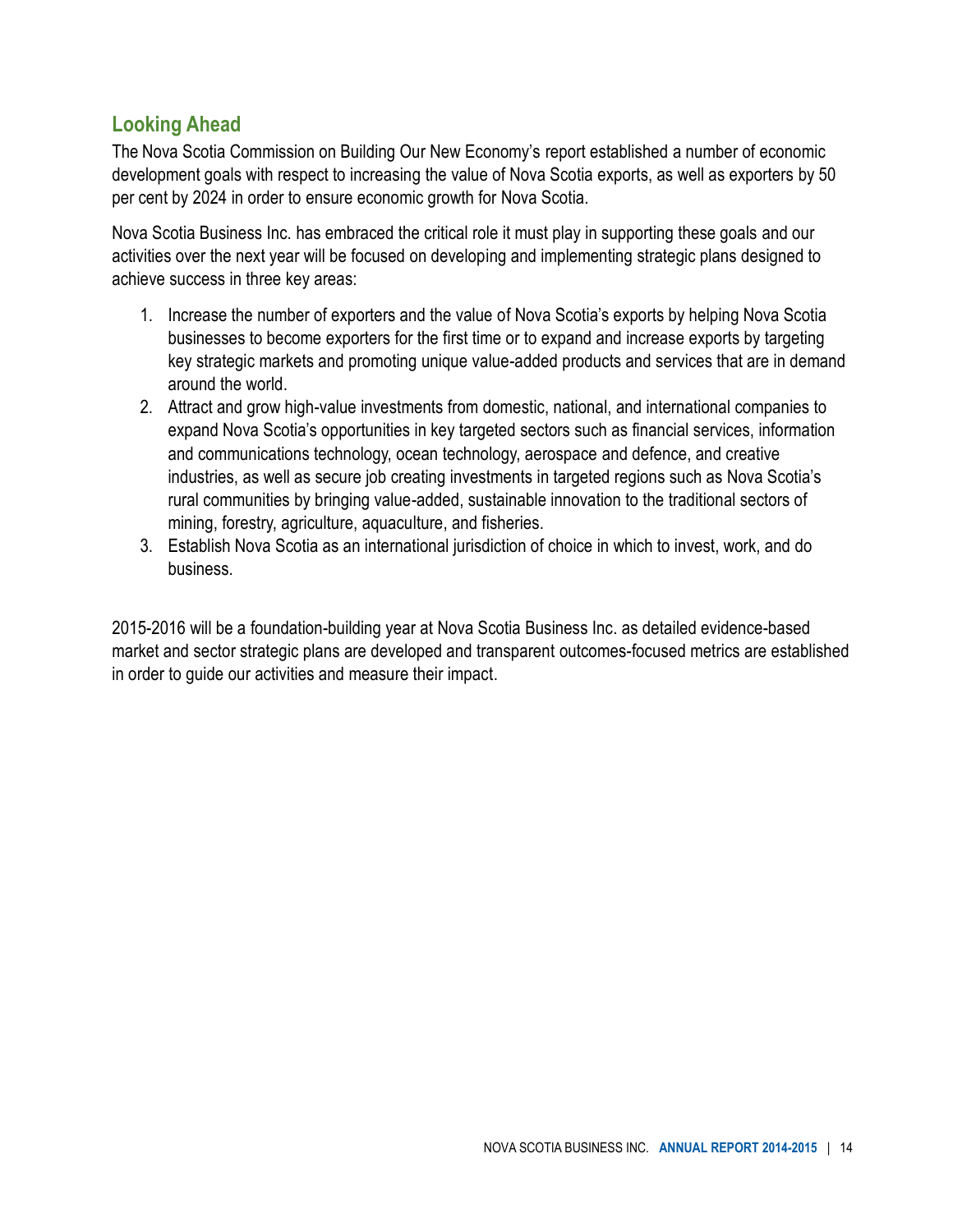### **Looking Ahead**

The Nova Scotia Commission on Building Our New Economy's report established a number of economic development goals with respect to increasing the value of Nova Scotia exports, as well as exporters by 50 per cent by 2024 in order to ensure economic growth for Nova Scotia.

Nova Scotia Business Inc. has embraced the critical role it must play in supporting these goals and our activities over the next year will be focused on developing and implementing strategic plans designed to achieve success in three key areas:

- 1. Increase the number of exporters and the value of Nova Scotia's exports by helping Nova Scotia businesses to become exporters for the first time or to expand and increase exports by targeting key strategic markets and promoting unique value-added products and services that are in demand around the world.
- 2. Attract and grow high-value investments from domestic, national, and international companies to expand Nova Scotia's opportunities in key targeted sectors such as financial services, information and communications technology, ocean technology, aerospace and defence, and creative industries, as well as secure job creating investments in targeted regions such as Nova Scotia's rural communities by bringing value-added, sustainable innovation to the traditional sectors of mining, forestry, agriculture, aquaculture, and fisheries.
- 3. Establish Nova Scotia as an international jurisdiction of choice in which to invest, work, and do business.

2015-2016 will be a foundation-building year at Nova Scotia Business Inc. as detailed evidence-based market and sector strategic plans are developed and transparent outcomes-focused metrics are established in order to guide our activities and measure their impact.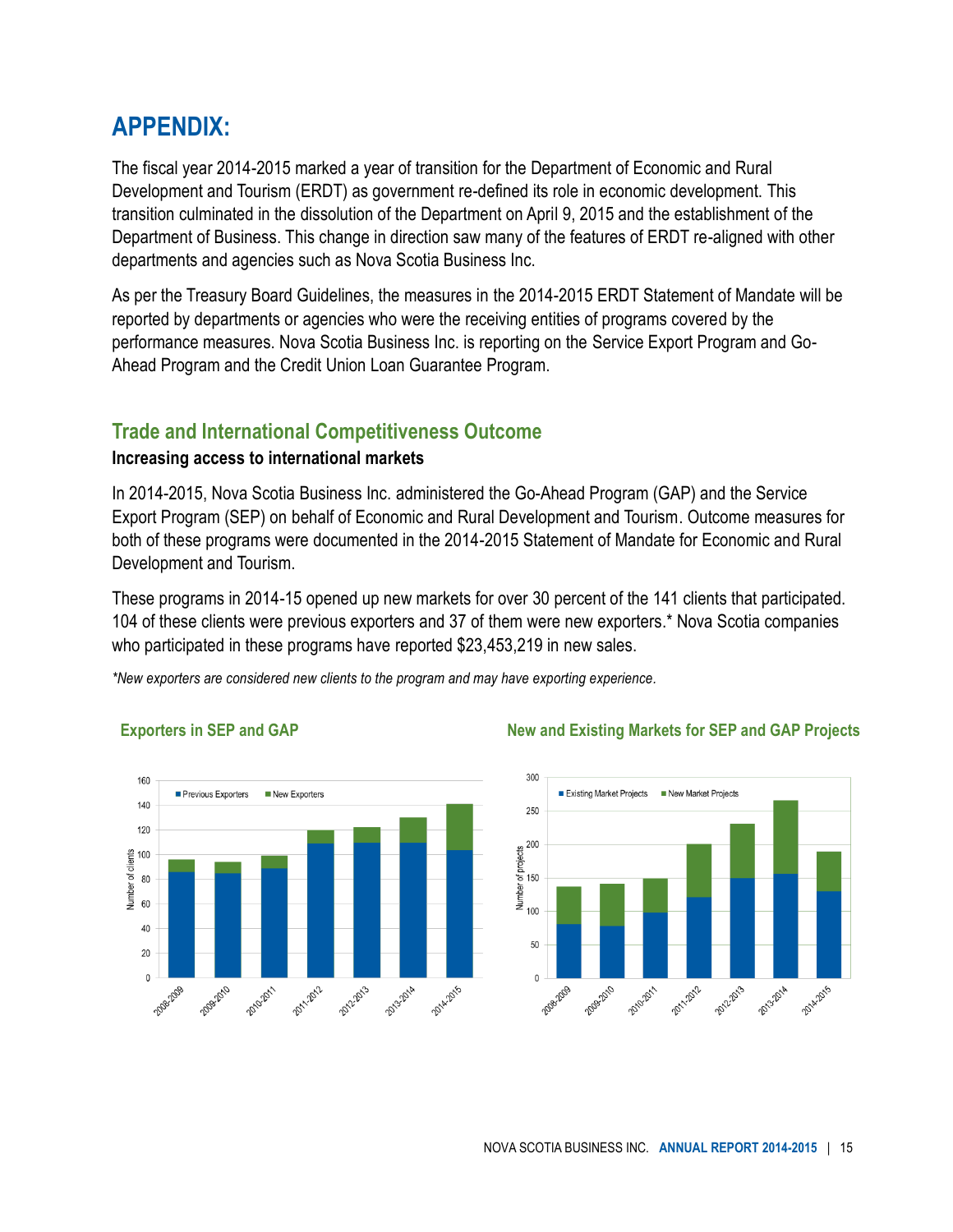## **APPENDIX:**

The fiscal year 2014-2015 marked a year of transition for the Department of Economic and Rural Development and Tourism (ERDT) as government re-defined its role in economic development. This transition culminated in the dissolution of the Department on April 9, 2015 and the establishment of the Department of Business. This change in direction saw many of the features of ERDT re-aligned with other departments and agencies such as Nova Scotia Business Inc.

As per the Treasury Board Guidelines, the measures in the 2014-2015 ERDT Statement of Mandate will be reported by departments or agencies who were the receiving entities of programs covered by the performance measures. Nova Scotia Business Inc. is reporting on the Service Export Program and Go-Ahead Program and the Credit Union Loan Guarantee Program.

### **Trade and International Competitiveness Outcome**

### **Increasing access to international markets**

In 2014-2015, Nova Scotia Business Inc. administered the Go-Ahead Program (GAP) and the Service Export Program (SEP) on behalf of Economic and Rural Development and Tourism. Outcome measures for both of these programs were documented in the 2014-2015 Statement of Mandate for Economic and Rural Development and Tourism.

These programs in 2014-15 opened up new markets for over 30 percent of the 141 clients that participated. 104 of these clients were previous exporters and 37 of them were new exporters.\* Nova Scotia companies who participated in these programs have reported \$23,453,219 in new sales.

*\*New exporters are considered new clients to the program and may have exporting experience.*



### **Exporters in SEP and GAP New and Existing Markets for SEP and GAP Projects**

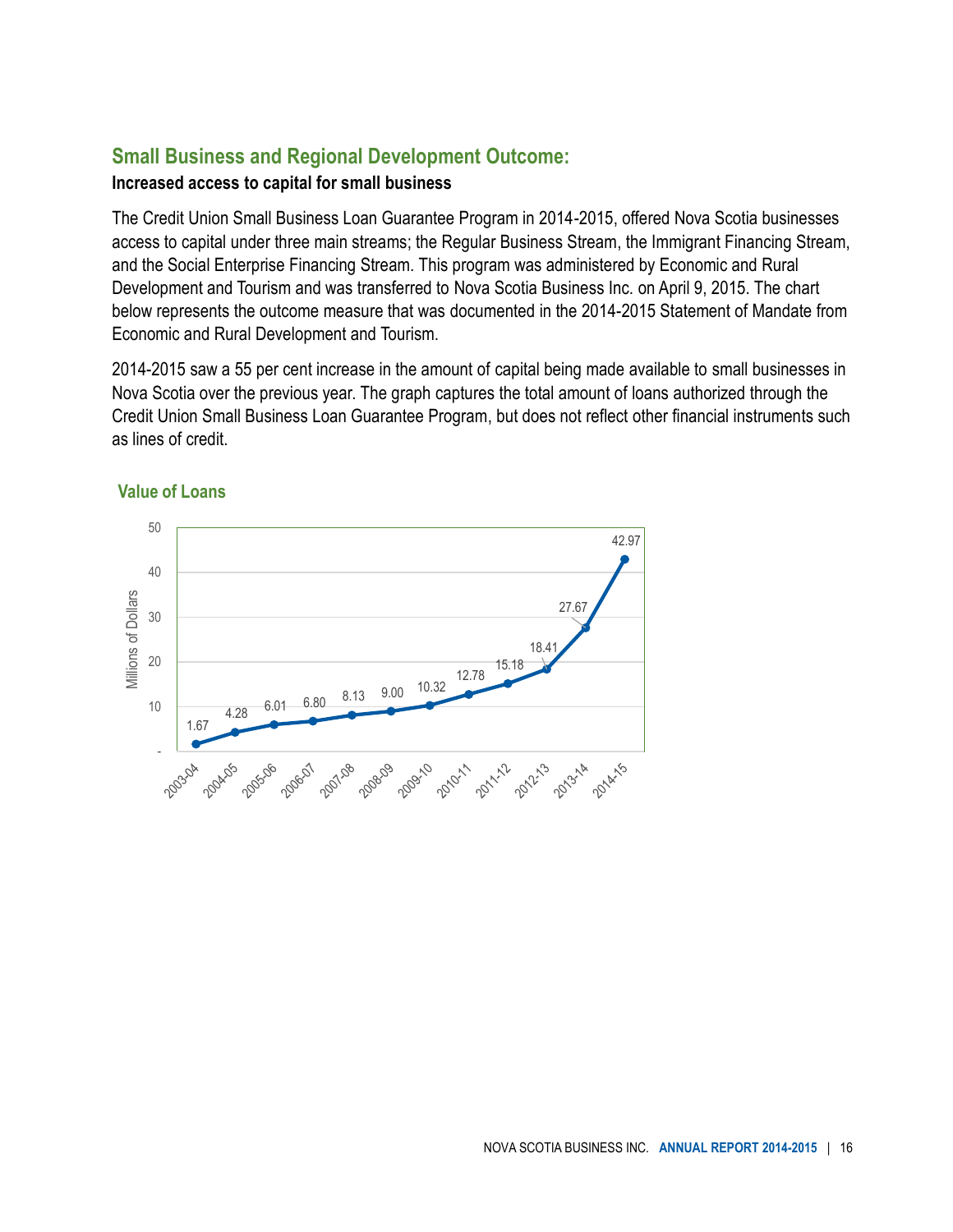### **Small Business and Regional Development Outcome:**

### **Increased access to capital for small business**

The Credit Union Small Business Loan Guarantee Program in 2014-2015, offered Nova Scotia businesses access to capital under three main streams; the Regular Business Stream, the Immigrant Financing Stream, and the Social Enterprise Financing Stream. This program was administered by Economic and Rural Development and Tourism and was transferred to Nova Scotia Business Inc. on April 9, 2015. The chart below represents the outcome measure that was documented in the 2014-2015 Statement of Mandate from Economic and Rural Development and Tourism.

2014-2015 saw a 55 per cent increase in the amount of capital being made available to small businesses in Nova Scotia over the previous year. The graph captures the total amount of loans authorized through the Credit Union Small Business Loan Guarantee Program, but does not reflect other financial instruments such as lines of credit.



### **Value of Loans**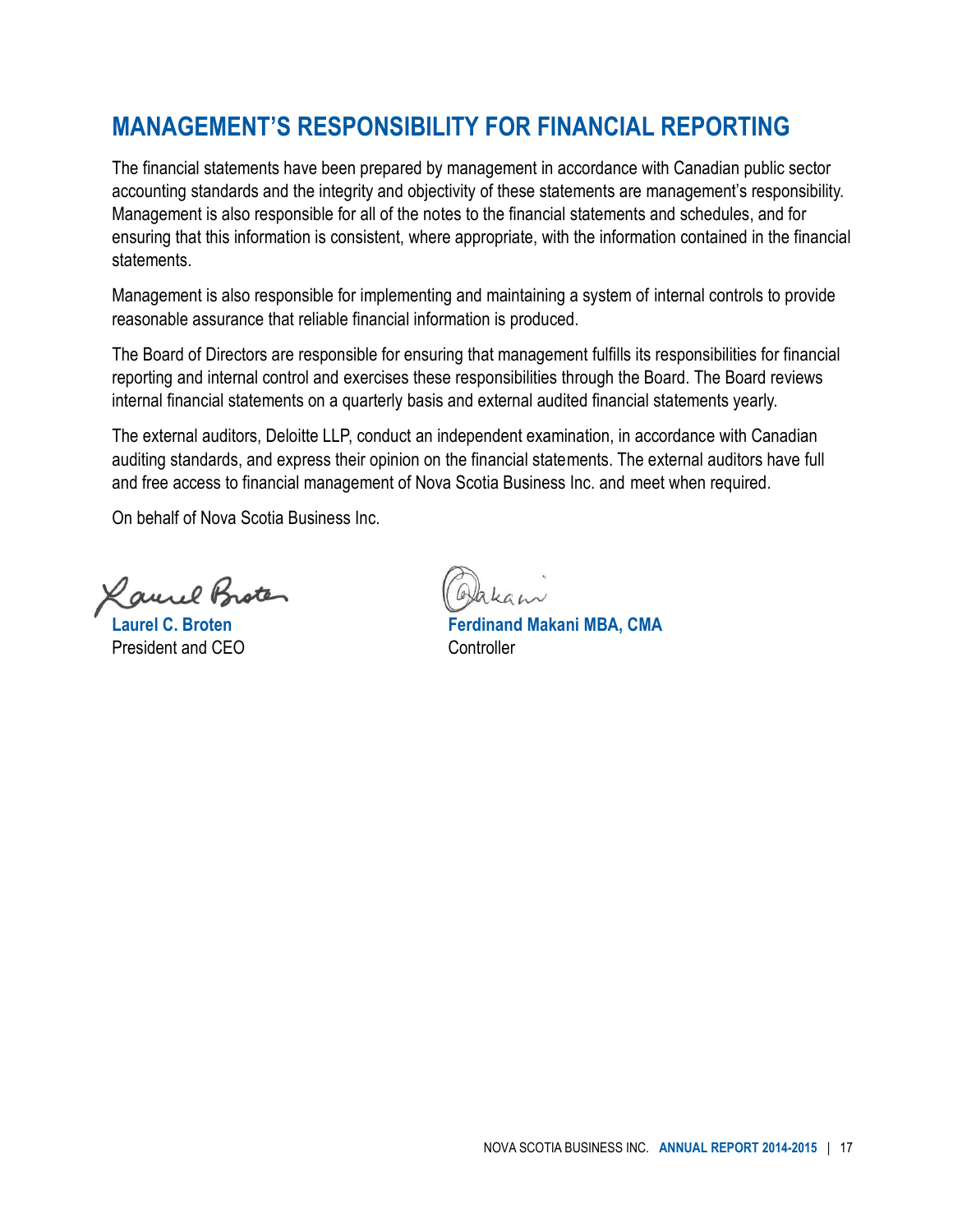## **MANAGEMENT'S RESPONSIBILITY FOR FINANCIAL REPORTING**

The financial statements have been prepared by management in accordance with Canadian public sector accounting standards and the integrity and objectivity of these statements are management's responsibility. Management is also responsible for all of the notes to the financial statements and schedules, and for ensuring that this information is consistent, where appropriate, with the information contained in the financial statements.

Management is also responsible for implementing and maintaining a system of internal controls to provide reasonable assurance that reliable financial information is produced.

The Board of Directors are responsible for ensuring that management fulfills its responsibilities for financial reporting and internal control and exercises these responsibilities through the Board. The Board reviews internal financial statements on a quarterly basis and external audited financial statements yearly.

The external auditors, Deloitte LLP, conduct an independent examination, in accordance with Canadian auditing standards, and express their opinion on the financial statements. The external auditors have full and free access to financial management of Nova Scotia Business Inc. and meet when required.

On behalf of Nova Scotia Business Inc.

President and CEO Controller

**Laurel C. Broten Ferdinand Makani MBA, CMA**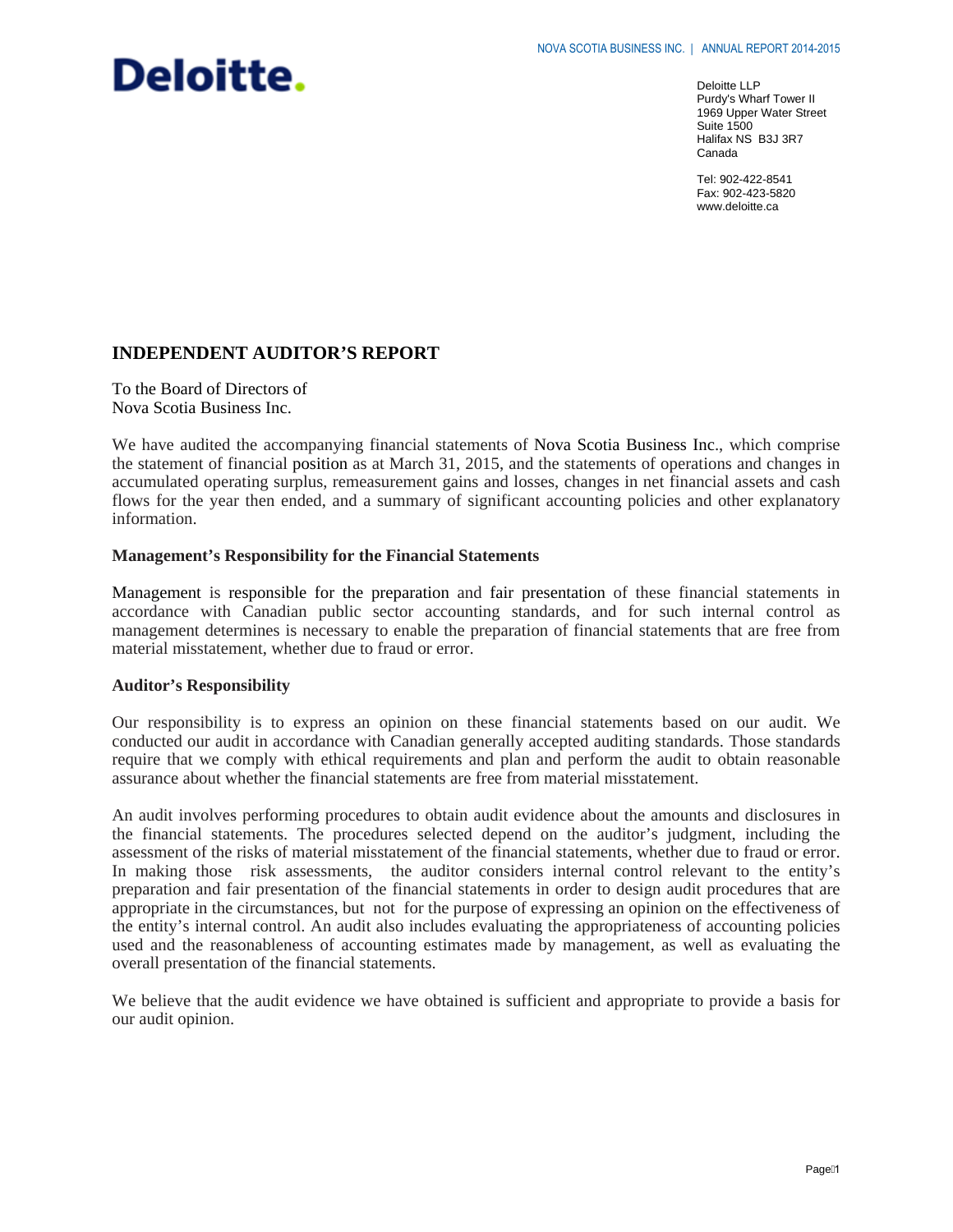

Deloitte LLP Purdy's Wharf Tower II 1969 Upper Water Street Suite 1500 Halifax NS B3J 3R7 Canada

Tel: 902-422-8541 Fax: 902-423-5820 www.deloitte.ca

### **INDEPENDENT AUDITOR'S REPORT**

To the Board of Directors of Nova Scotia Business Inc.

We have audited the accompanying financial statements of Nova Scotia Business Inc., which comprise the statement of financial position as at March 31, 2015, and the statements of operations and changes in accumulated operating surplus, remeasurement gains and losses, changes in net financial assets and cash flows for the year then ended, and a summary of significant accounting policies and other explanatory information.

#### **Management's Responsibility for the Financial Statements**

Management is responsible for the preparation and fair presentation of these financial statements in accordance with Canadian public sector accounting standards, and for such internal control as management determines is necessary to enable the preparation of financial statements that are free from material misstatement, whether due to fraud or error.

#### **Auditor's Responsibility**

Our responsibility is to express an opinion on these financial statements based on our audit. We conducted our audit in accordance with Canadian generally accepted auditing standards. Those standards require that we comply with ethical requirements and plan and perform the audit to obtain reasonable assurance about whether the financial statements are free from material misstatement.

An audit involves performing procedures to obtain audit evidence about the amounts and disclosures in the financial statements. The procedures selected depend on the auditor's judgment, including the assessment of the risks of material misstatement of the financial statements, whether due to fraud or error. In making those risk assessments, the auditor considers internal control relevant to the entity's preparation and fair presentation of the financial statements in order to design audit procedures that are appropriate in the circumstances, but not for the purpose of expressing an opinion on the effectiveness of the entity's internal control. An audit also includes evaluating the appropriateness of accounting policies used and the reasonableness of accounting estimates made by management, as well as evaluating the overall presentation of the financial statements.

We believe that the audit evidence we have obtained is sufficient and appropriate to provide a basis for our audit opinion.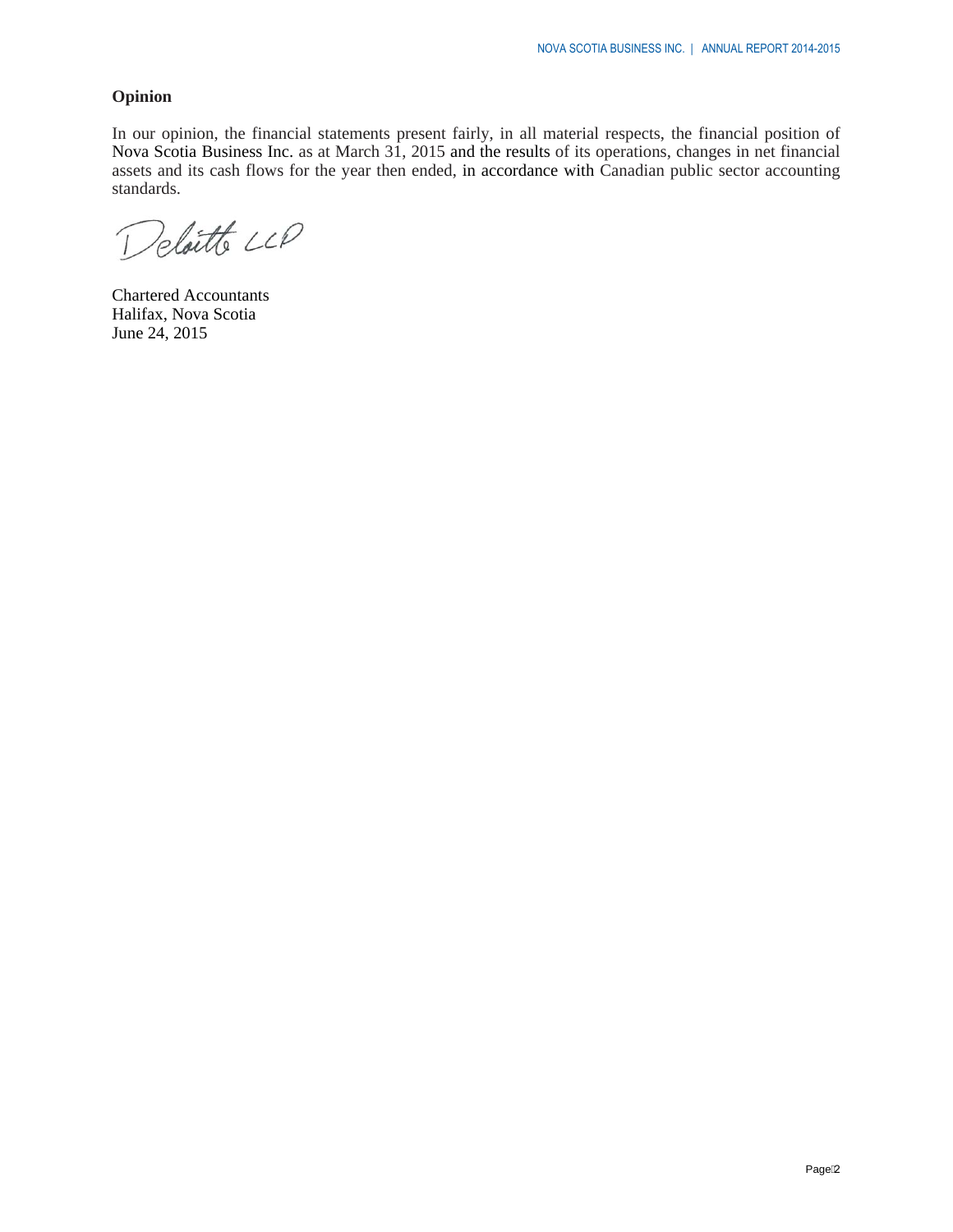#### **Opinion**

In our opinion, the financial statements present fairly, in all material respects, the financial position of Nova Scotia Business Inc. as at March 31, 2015 and the results of its operations, changes in net financial assets and its cash flows for the year then ended, in accordance with Canadian public sector accounting standards.

Peloitte LLP  $\frac{1}{2}$ 

Chartered Accountants Halifax, Nova Scotia June 24, 2015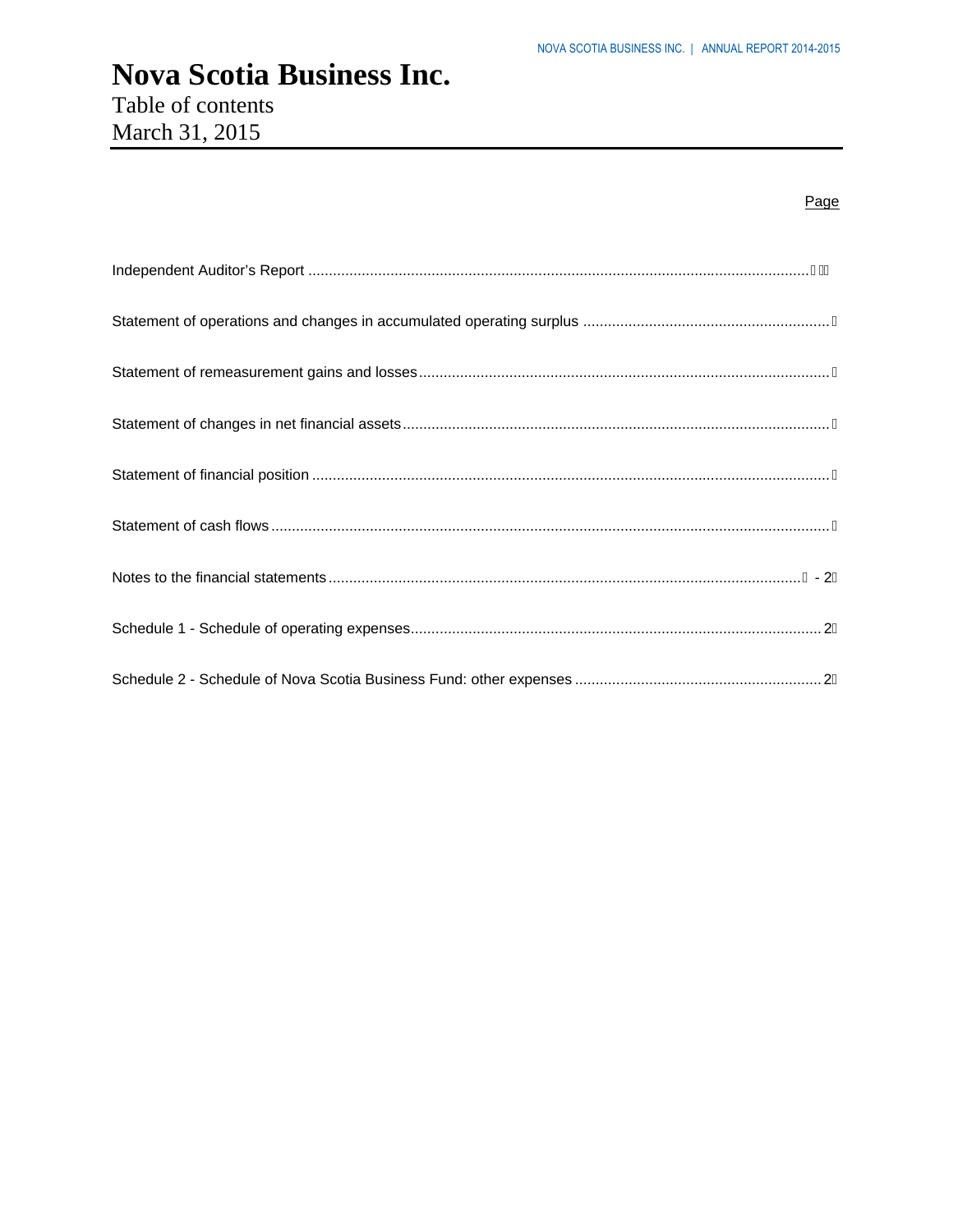### Table of contents March 31, 2015

#### Page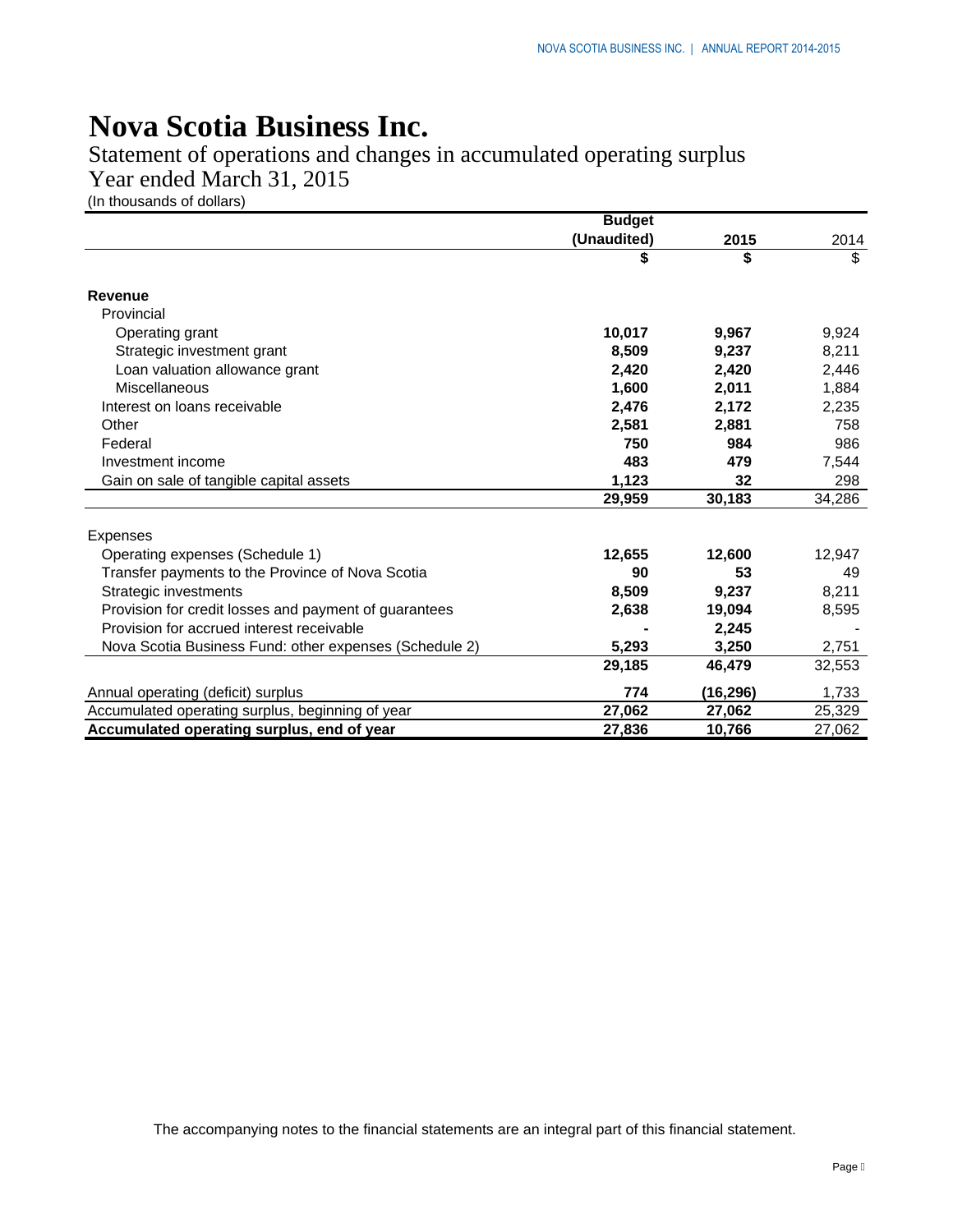Statement of operations and changes in accumulated operating surplus Year ended March 31, 2015

(In thousands of dollars)

|                                                        | <b>Budget</b> |           |        |
|--------------------------------------------------------|---------------|-----------|--------|
|                                                        | (Unaudited)   | 2015      | 2014   |
|                                                        | \$            | \$        | \$     |
| Revenue                                                |               |           |        |
| Provincial                                             |               |           |        |
| Operating grant                                        | 10,017        | 9,967     | 9,924  |
| Strategic investment grant                             | 8,509         | 9,237     | 8,211  |
| Loan valuation allowance grant                         | 2,420         | 2,420     | 2,446  |
| Miscellaneous                                          | 1,600         | 2,011     | 1,884  |
| Interest on loans receivable                           | 2,476         | 2,172     | 2,235  |
| Other                                                  | 2,581         | 2,881     | 758    |
| Federal                                                | 750           | 984       | 986    |
| Investment income                                      | 483           | 479       | 7,544  |
| Gain on sale of tangible capital assets                | 1,123         | 32        | 298    |
|                                                        | 29,959        | 30,183    | 34,286 |
| <b>Expenses</b>                                        |               |           |        |
| Operating expenses (Schedule 1)                        | 12,655        | 12,600    | 12,947 |
| Transfer payments to the Province of Nova Scotia       | 90            | 53        | 49     |
| Strategic investments                                  | 8,509         | 9,237     | 8,211  |
| Provision for credit losses and payment of guarantees  | 2,638         | 19,094    | 8,595  |
| Provision for accrued interest receivable              |               | 2,245     |        |
| Nova Scotia Business Fund: other expenses (Schedule 2) | 5,293         | 3,250     | 2,751  |
|                                                        | 29,185        | 46,479    | 32,553 |
| Annual operating (deficit) surplus                     | 774           | (16, 296) | 1,733  |
| Accumulated operating surplus, beginning of year       | 27,062        | 27,062    | 25,329 |
| Accumulated operating surplus, end of year             | 27,836        | 10,766    | 27,062 |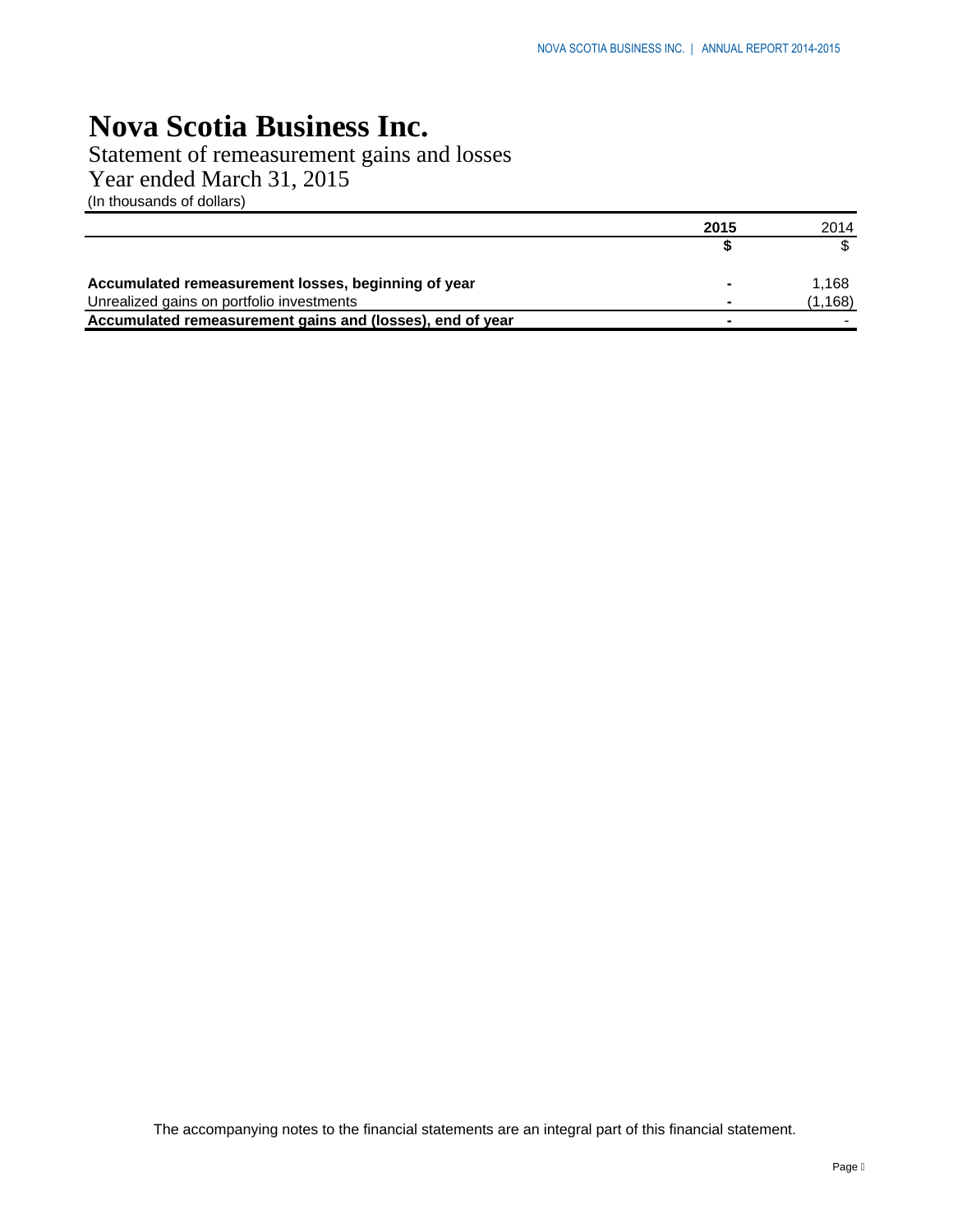Statement of remeasurement gains and losses Year ended March 31, 2015 (In thousands of dollars)

**2015** 2014 **\$** \$ **Accumulated remeasurement losses, beginning of year -** 1,168 Unrealized gains on portfolio investments **and the set of the set of the set of the set of the set of the set of the set of the set of the set of the set of the set of the set of the set of the set of the set of the set of Accumulated remeasurement gains and (losses), end of year -** -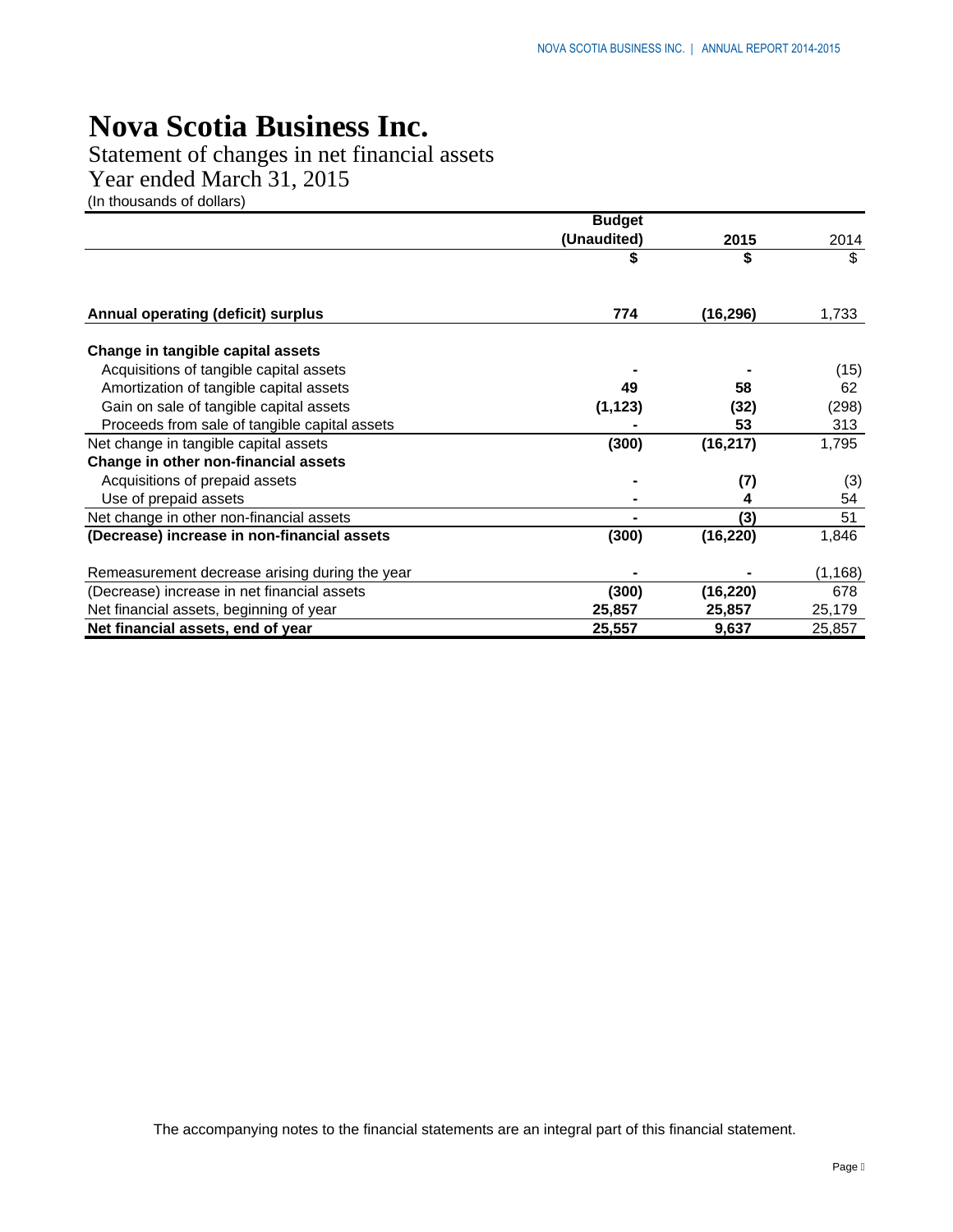Statement of changes in net financial assets Year ended March 31, 2015

(In thousands of dollars)

|                                                | <b>Budget</b> |           |          |
|------------------------------------------------|---------------|-----------|----------|
|                                                | (Unaudited)   | 2015      | 2014     |
|                                                | \$            | \$        | \$       |
| <b>Annual operating (deficit) surplus</b>      | 774           | (16,296)  | 1,733    |
| Change in tangible capital assets              |               |           |          |
| Acquisitions of tangible capital assets        |               |           | (15)     |
| Amortization of tangible capital assets        | 49            | 58        | 62       |
| Gain on sale of tangible capital assets        | (1, 123)      | (32)      | (298)    |
| Proceeds from sale of tangible capital assets  |               | 53        | 313      |
| Net change in tangible capital assets          | (300)         | (16, 217) | 1,795    |
| Change in other non-financial assets           |               |           |          |
| Acquisitions of prepaid assets                 |               | (7)       | (3)      |
| Use of prepaid assets                          |               | 4         | 54       |
| Net change in other non-financial assets       |               | (3)       | 51       |
| (Decrease) increase in non-financial assets    | (300)         | (16, 220) | 1,846    |
| Remeasurement decrease arising during the year |               |           | (1, 168) |
| (Decrease) increase in net financial assets    | (300)         | (16,220)  | 678      |
| Net financial assets, beginning of year        | 25,857        | 25,857    | 25,179   |
| Net financial assets, end of year              | 25,557        | 9,637     | 25,857   |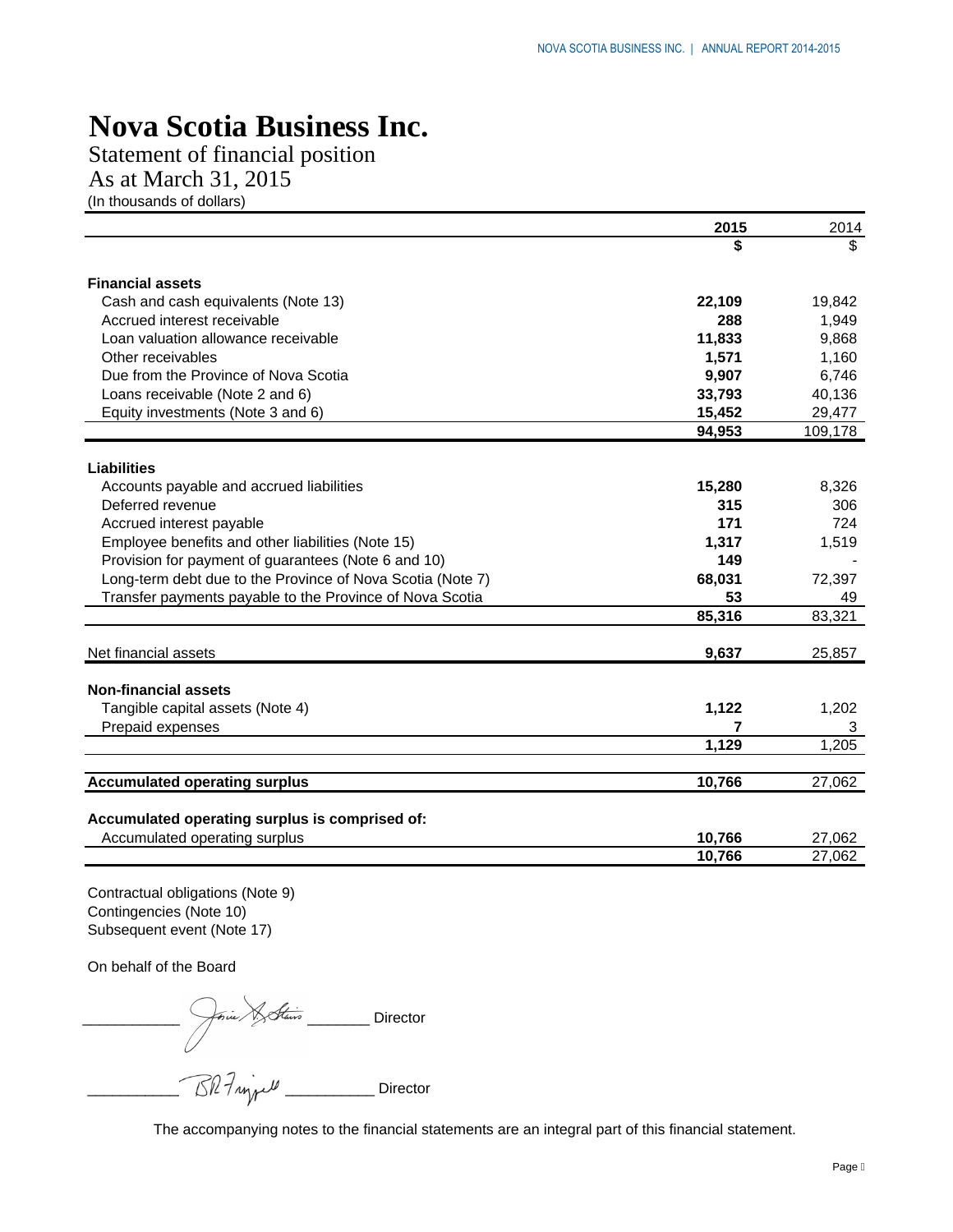Statement of financial position As at March 31, 2015

(In thousands of dollars)

|                                                            | 2015   | 2014    |
|------------------------------------------------------------|--------|---------|
|                                                            | \$     | \$      |
| <b>Financial assets</b>                                    |        |         |
| Cash and cash equivalents (Note 13)                        | 22,109 | 19,842  |
| Accrued interest receivable                                | 288    | 1,949   |
| Loan valuation allowance receivable                        | 11,833 | 9,868   |
| Other receivables                                          | 1,571  | 1,160   |
| Due from the Province of Nova Scotia                       | 9,907  | 6,746   |
| Loans receivable (Note 2 and 6)                            | 33,793 | 40,136  |
| Equity investments (Note 3 and 6)                          | 15,452 | 29,477  |
|                                                            | 94,953 | 109,178 |
| <b>Liabilities</b>                                         |        |         |
| Accounts payable and accrued liabilities                   | 15,280 | 8,326   |
| Deferred revenue                                           | 315    | 306     |
| Accrued interest payable                                   | 171    | 724     |
| Employee benefits and other liabilities (Note 15)          | 1,317  | 1,519   |
| Provision for payment of guarantees (Note 6 and 10)        | 149    |         |
| Long-term debt due to the Province of Nova Scotia (Note 7) | 68,031 | 72,397  |
| Transfer payments payable to the Province of Nova Scotia   | 53     | 49      |
|                                                            | 85,316 | 83,321  |
|                                                            |        |         |
| Net financial assets                                       | 9,637  | 25,857  |
| <b>Non-financial assets</b>                                |        |         |
| Tangible capital assets (Note 4)                           | 1,122  | 1,202   |
| Prepaid expenses                                           | 7      |         |
|                                                            | 1,129  | 1,205   |
|                                                            |        |         |
| <b>Accumulated operating surplus</b>                       | 10,766 | 27,062  |
| Accumulated operating surplus is comprised of:             |        |         |
| Accumulated operating surplus                              | 10,766 | 27,062  |
|                                                            | 10,766 | 27,062  |

Contractual obligations (Note 9) Contingencies (Note 10) Subsequent event (Note 17)

On behalf of the Board

 $\overline{\phantom{a}}$   $\overline{\phantom{a}}$   $\overline{\phantom{a}}$   $\overline{\phantom{a}}$   $\overline{\phantom{a}}$   $\overline{\phantom{a}}$   $\overline{\phantom{a}}$   $\overline{\phantom{a}}$   $\overline{\phantom{a}}$   $\overline{\phantom{a}}$   $\overline{\phantom{a}}$   $\overline{\phantom{a}}$   $\overline{\phantom{a}}$   $\overline{\phantom{a}}$   $\overline{\phantom{a}}$   $\overline{\phantom{a}}$   $\overline{\phantom{a}}$   $\overline{\phantom{a}}$   $\overline{\$ 

 $\sqrt{B}R$   $\frac{7}{4}$   $\frac{1}{2}$   $\frac{1}{2}$   $\frac{1}{2}$   $\frac{1}{2}$   $\frac{1}{2}$   $\frac{1}{2}$   $\frac{1}{2}$   $\frac{1}{2}$   $\frac{1}{2}$   $\frac{1}{2}$   $\frac{1}{2}$   $\frac{1}{2}$   $\frac{1}{2}$   $\frac{1}{2}$   $\frac{1}{2}$   $\frac{1}{2}$   $\frac{1}{2}$   $\frac{1}{2}$   $\frac{1}{2}$   $\frac{1}{2}$   $\$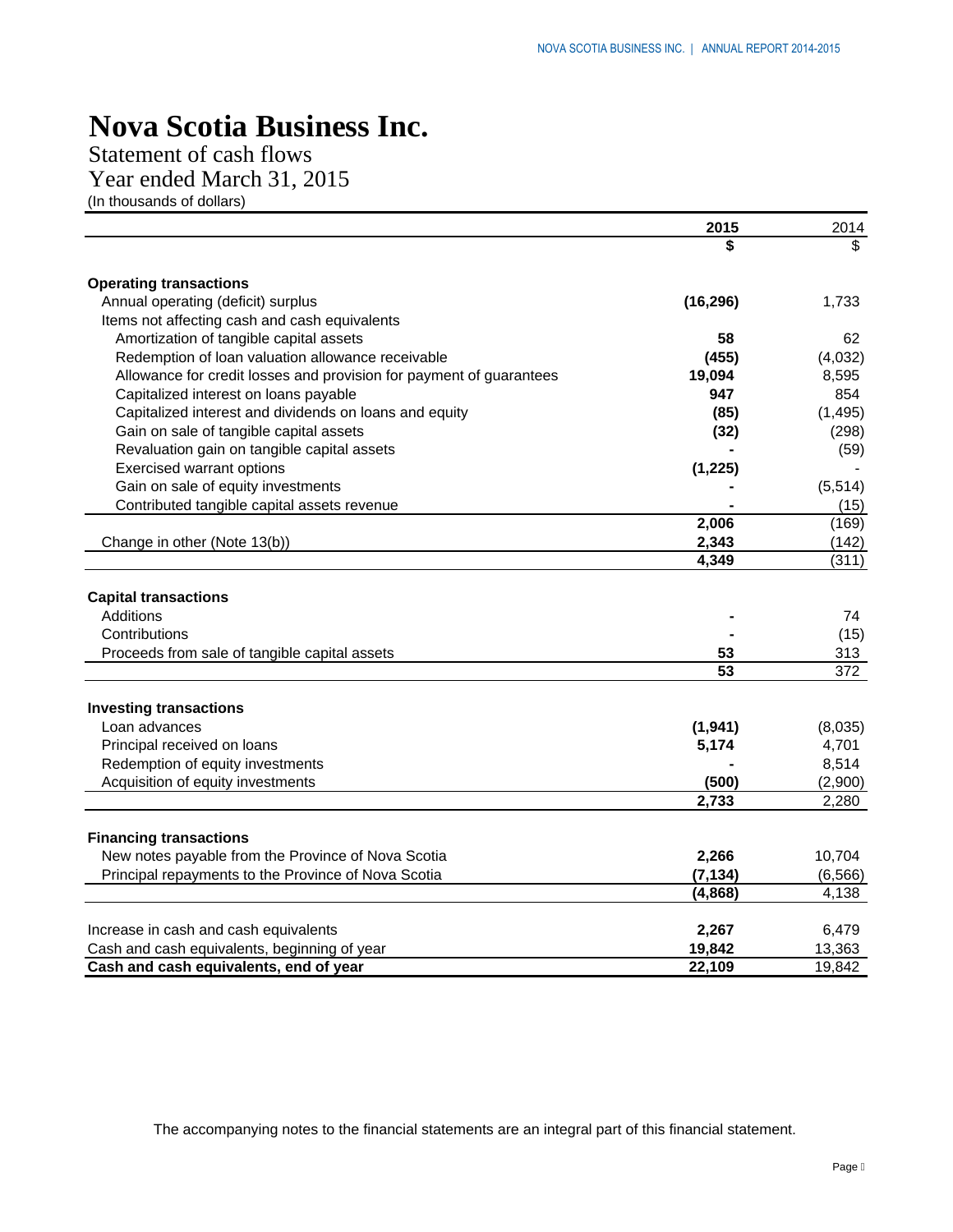Statement of cash flows Year ended March 31, 2015 (In thousands of dollars)

|                                                                     | 2015      | 2014     |
|---------------------------------------------------------------------|-----------|----------|
|                                                                     | \$        | \$.      |
| <b>Operating transactions</b>                                       |           |          |
| Annual operating (deficit) surplus                                  | (16, 296) | 1,733    |
| Items not affecting cash and cash equivalents                       |           |          |
| Amortization of tangible capital assets                             | 58        | 62       |
| Redemption of loan valuation allowance receivable                   | (455)     | (4,032)  |
| Allowance for credit losses and provision for payment of guarantees | 19,094    | 8,595    |
| Capitalized interest on loans payable                               | 947       | 854      |
| Capitalized interest and dividends on loans and equity              | (85)      | (1, 495) |
| Gain on sale of tangible capital assets                             | (32)      | (298)    |
| Revaluation gain on tangible capital assets                         |           | (59)     |
| <b>Exercised warrant options</b>                                    | (1, 225)  |          |
| Gain on sale of equity investments                                  |           | (5, 514) |
| Contributed tangible capital assets revenue                         |           | (15)     |
|                                                                     | 2,006     | (169)    |
| Change in other (Note 13(b))                                        | 2,343     | (142)    |
|                                                                     | 4,349     | (311)    |
|                                                                     |           |          |
| <b>Capital transactions</b>                                         |           |          |
| <b>Additions</b>                                                    |           | 74       |
| Contributions                                                       |           | (15)     |
| Proceeds from sale of tangible capital assets                       | 53        | 313      |
|                                                                     | 53        | 372      |
|                                                                     |           |          |
| <b>Investing transactions</b>                                       |           |          |
| Loan advances                                                       | (1, 941)  | (8,035)  |
| Principal received on loans                                         | 5,174     | 4,701    |
| Redemption of equity investments                                    |           | 8,514    |
| Acquisition of equity investments                                   | (500)     | (2,900)  |
|                                                                     | 2,733     | 2,280    |
|                                                                     |           |          |
| <b>Financing transactions</b>                                       |           |          |
| New notes payable from the Province of Nova Scotia                  | 2,266     | 10,704   |
| Principal repayments to the Province of Nova Scotia                 | (7, 134)  | (6, 566) |
|                                                                     | (4,868)   | 4,138    |
| Increase in cash and cash equivalents                               | 2,267     | 6,479    |
| Cash and cash equivalents, beginning of year                        | 19,842    | 13,363   |
| Cash and cash equivalents, end of year                              | 22,109    | 19,842   |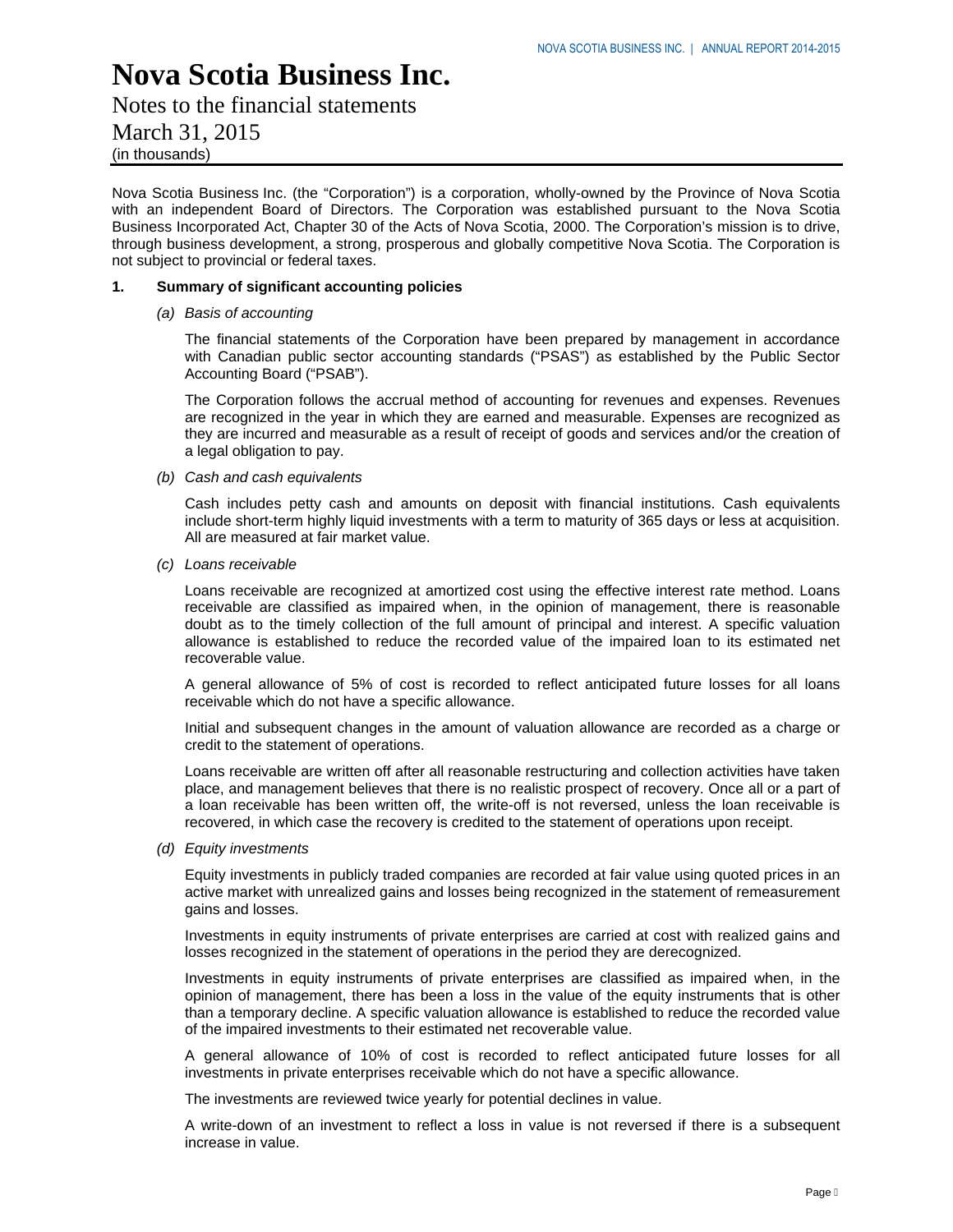Notes to the financial statements

#### March 31, 2015

(in thousands)

Nova Scotia Business Inc. (the "Corporation") is a corporation, wholly-owned by the Province of Nova Scotia with an independent Board of Directors. The Corporation was established pursuant to the Nova Scotia Business Incorporated Act, Chapter 30 of the Acts of Nova Scotia, 2000. The Corporation's mission is to drive, through business development, a strong, prosperous and globally competitive Nova Scotia. The Corporation is not subject to provincial or federal taxes.

#### **1. Summary of significant accounting policies**

#### *(a) Basis of accounting*

The financial statements of the Corporation have been prepared by management in accordance with Canadian public sector accounting standards ("PSAS") as established by the Public Sector Accounting Board ("PSAB").

The Corporation follows the accrual method of accounting for revenues and expenses. Revenues are recognized in the year in which they are earned and measurable. Expenses are recognized as they are incurred and measurable as a result of receipt of goods and services and/or the creation of a legal obligation to pay.

*(b) Cash and cash equivalents* 

Cash includes petty cash and amounts on deposit with financial institutions. Cash equivalents include short-term highly liquid investments with a term to maturity of 365 days or less at acquisition. All are measured at fair market value.

*(c) Loans receivable* 

Loans receivable are recognized at amortized cost using the effective interest rate method. Loans receivable are classified as impaired when, in the opinion of management, there is reasonable doubt as to the timely collection of the full amount of principal and interest. A specific valuation allowance is established to reduce the recorded value of the impaired loan to its estimated net recoverable value.

A general allowance of 5% of cost is recorded to reflect anticipated future losses for all loans receivable which do not have a specific allowance.

Initial and subsequent changes in the amount of valuation allowance are recorded as a charge or credit to the statement of operations.

Loans receivable are written off after all reasonable restructuring and collection activities have taken place, and management believes that there is no realistic prospect of recovery. Once all or a part of a loan receivable has been written off, the write-off is not reversed, unless the loan receivable is recovered, in which case the recovery is credited to the statement of operations upon receipt.

*(d) Equity investments* 

Equity investments in publicly traded companies are recorded at fair value using quoted prices in an active market with unrealized gains and losses being recognized in the statement of remeasurement gains and losses.

Investments in equity instruments of private enterprises are carried at cost with realized gains and losses recognized in the statement of operations in the period they are derecognized.

Investments in equity instruments of private enterprises are classified as impaired when, in the opinion of management, there has been a loss in the value of the equity instruments that is other than a temporary decline. A specific valuation allowance is established to reduce the recorded value of the impaired investments to their estimated net recoverable value.

A general allowance of 10% of cost is recorded to reflect anticipated future losses for all investments in private enterprises receivable which do not have a specific allowance.

The investments are reviewed twice yearly for potential declines in value.

A write-down of an investment to reflect a loss in value is not reversed if there is a subsequent increase in value.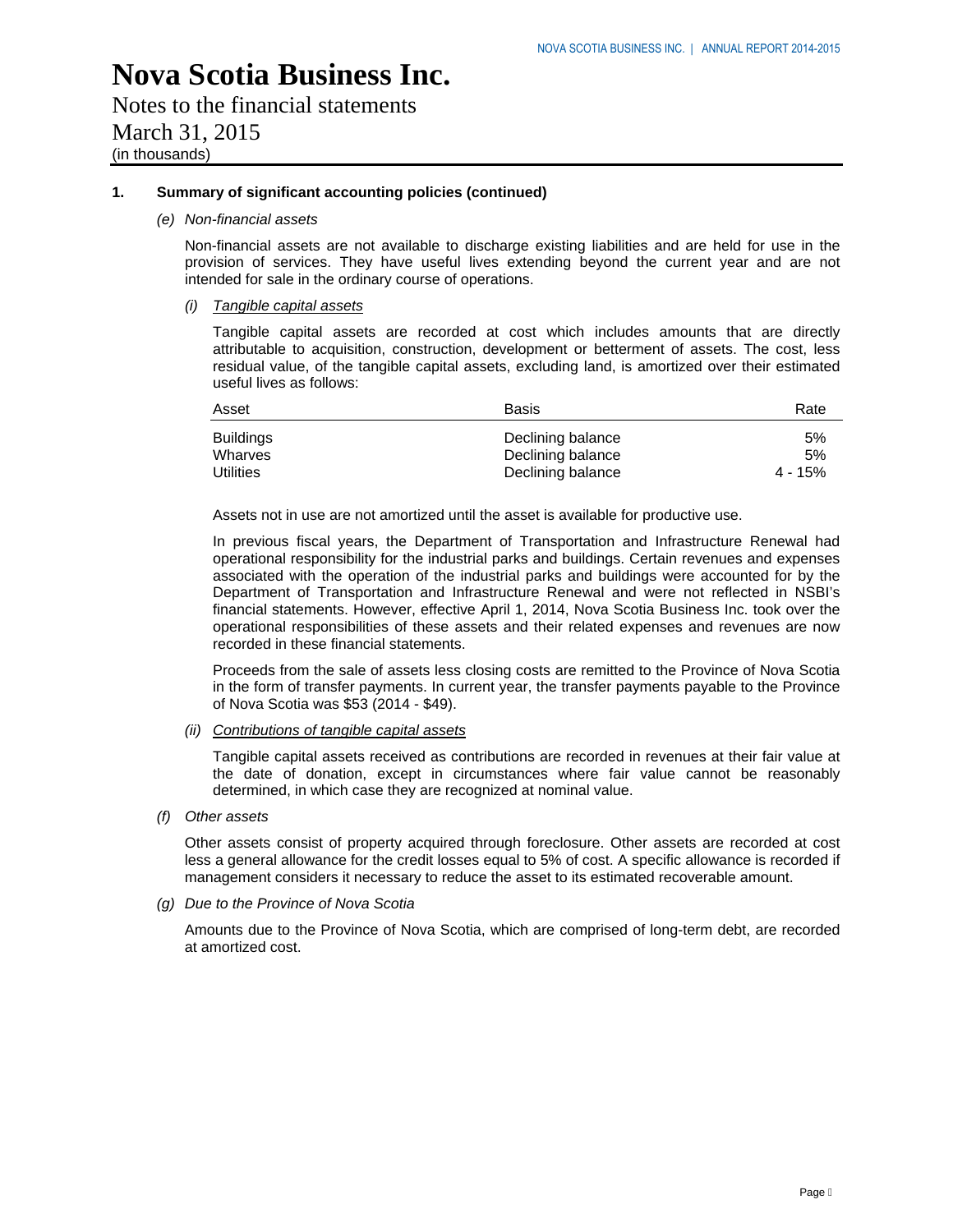Notes to the financial statements March 31, 2015 (in thousands)

#### **1. Summary of significant accounting policies (continued)**

#### *(e) Non-financial assets*

Non-financial assets are not available to discharge existing liabilities and are held for use in the provision of services. They have useful lives extending beyond the current year and are not intended for sale in the ordinary course of operations.

*(i) Tangible capital assets* 

Tangible capital assets are recorded at cost which includes amounts that are directly attributable to acquisition, construction, development or betterment of assets. The cost, less residual value, of the tangible capital assets, excluding land, is amortized over their estimated useful lives as follows:

| Asset            | Basis             | Rate      |
|------------------|-------------------|-----------|
| <b>Buildings</b> | Declining balance | 5%        |
| Wharves          | Declining balance | 5%        |
| <b>Utilities</b> | Declining balance | $4 - 15%$ |

Assets not in use are not amortized until the asset is available for productive use.

In previous fiscal years, the Department of Transportation and Infrastructure Renewal had operational responsibility for the industrial parks and buildings. Certain revenues and expenses associated with the operation of the industrial parks and buildings were accounted for by the Department of Transportation and Infrastructure Renewal and were not reflected in NSBI's financial statements. However, effective April 1, 2014, Nova Scotia Business Inc. took over the operational responsibilities of these assets and their related expenses and revenues are now recorded in these financial statements.

Proceeds from the sale of assets less closing costs are remitted to the Province of Nova Scotia in the form of transfer payments. In current year, the transfer payments payable to the Province of Nova Scotia was \$53 (2014 - \$49).

*(ii) Contributions of tangible capital assets* 

Tangible capital assets received as contributions are recorded in revenues at their fair value at the date of donation, except in circumstances where fair value cannot be reasonably determined, in which case they are recognized at nominal value.

*(f) Other assets* 

Other assets consist of property acquired through foreclosure. Other assets are recorded at cost less a general allowance for the credit losses equal to 5% of cost. A specific allowance is recorded if management considers it necessary to reduce the asset to its estimated recoverable amount.

*(g) Due to the Province of Nova Scotia* 

Amounts due to the Province of Nova Scotia, which are comprised of long-term debt, are recorded at amortized cost.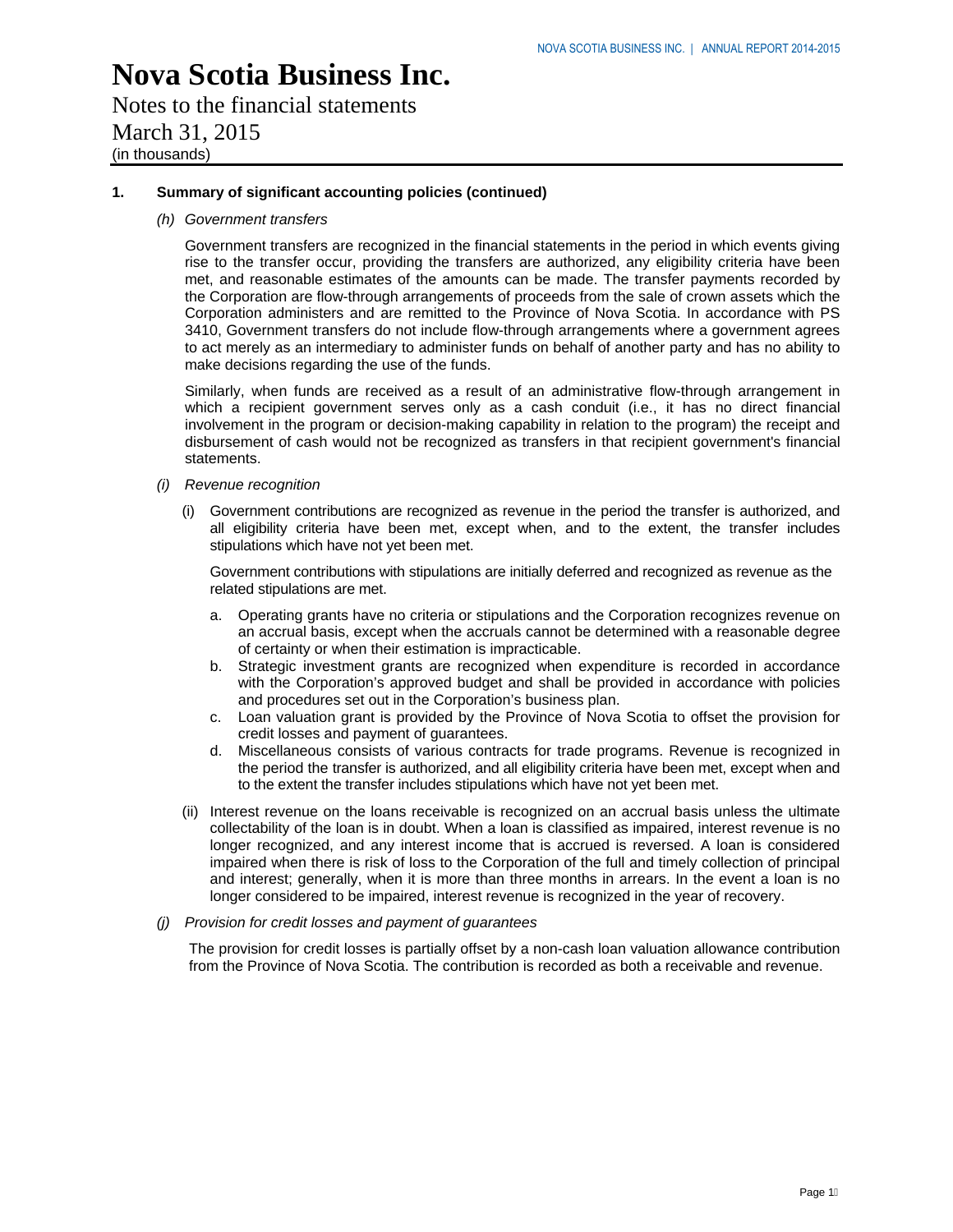Notes to the financial statements March 31, 2015 (in thousands)

#### **1. Summary of significant accounting policies (continued)**

*(h) Government transfers*

Government transfers are recognized in the financial statements in the period in which events giving rise to the transfer occur, providing the transfers are authorized, any eligibility criteria have been met, and reasonable estimates of the amounts can be made. The transfer payments recorded by the Corporation are flow-through arrangements of proceeds from the sale of crown assets which the Corporation administers and are remitted to the Province of Nova Scotia. In accordance with PS 3410, Government transfers do not include flow-through arrangements where a government agrees to act merely as an intermediary to administer funds on behalf of another party and has no ability to make decisions regarding the use of the funds.

Similarly, when funds are received as a result of an administrative flow-through arrangement in which a recipient government serves only as a cash conduit (i.e., it has no direct financial involvement in the program or decision-making capability in relation to the program) the receipt and disbursement of cash would not be recognized as transfers in that recipient government's financial statements.

- *(i) Revenue recognition* 
	- (i) Government contributions are recognized as revenue in the period the transfer is authorized, and all eligibility criteria have been met, except when, and to the extent, the transfer includes stipulations which have not yet been met.

Government contributions with stipulations are initially deferred and recognized as revenue as the related stipulations are met.

- a. Operating grants have no criteria or stipulations and the Corporation recognizes revenue on an accrual basis, except when the accruals cannot be determined with a reasonable degree of certainty or when their estimation is impracticable.
- b. Strategic investment grants are recognized when expenditure is recorded in accordance with the Corporation's approved budget and shall be provided in accordance with policies and procedures set out in the Corporation's business plan.
- c. Loan valuation grant is provided by the Province of Nova Scotia to offset the provision for credit losses and payment of guarantees.
- d. Miscellaneous consists of various contracts for trade programs. Revenue is recognized in the period the transfer is authorized, and all eligibility criteria have been met, except when and to the extent the transfer includes stipulations which have not yet been met.
- (ii) Interest revenue on the loans receivable is recognized on an accrual basis unless the ultimate collectability of the loan is in doubt. When a loan is classified as impaired, interest revenue is no longer recognized, and any interest income that is accrued is reversed. A loan is considered impaired when there is risk of loss to the Corporation of the full and timely collection of principal and interest; generally, when it is more than three months in arrears. In the event a loan is no longer considered to be impaired, interest revenue is recognized in the year of recovery.
- *(j) Provision for credit losses and payment of guarantees*

The provision for credit losses is partially offset by a non-cash loan valuation allowance contribution from the Province of Nova Scotia. The contribution is recorded as both a receivable and revenue.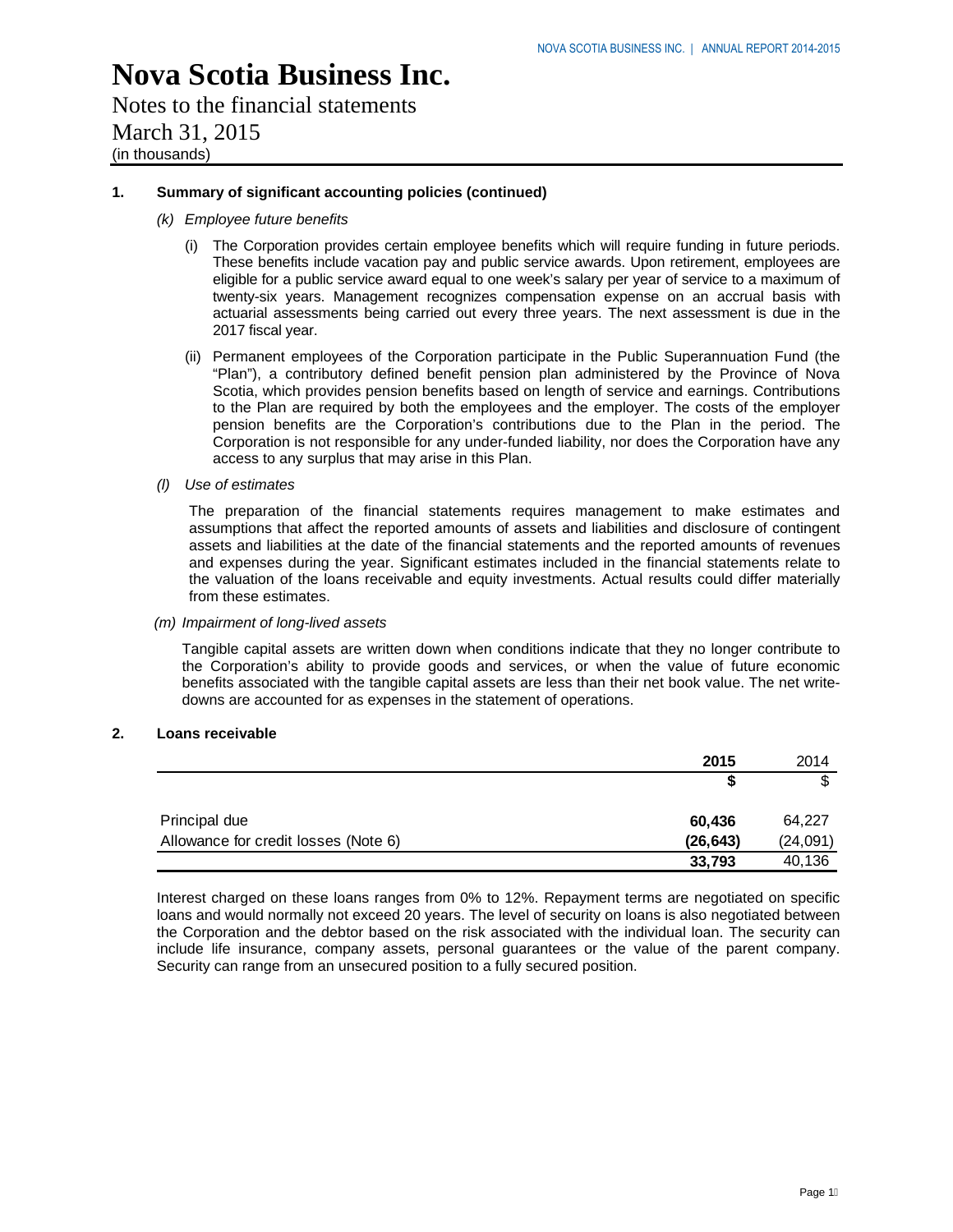Notes to the financial statements March 31, 2015 (in thousands)

#### **1. Summary of significant accounting policies (continued)**

- *(k) Employee future benefits*
	- (i) The Corporation provides certain employee benefits which will require funding in future periods. These benefits include vacation pay and public service awards. Upon retirement, employees are eligible for a public service award equal to one week's salary per year of service to a maximum of twenty-six years. Management recognizes compensation expense on an accrual basis with actuarial assessments being carried out every three years. The next assessment is due in the 2017 fiscal year.
	- (ii) Permanent employees of the Corporation participate in the Public Superannuation Fund (the "Plan"), a contributory defined benefit pension plan administered by the Province of Nova Scotia, which provides pension benefits based on length of service and earnings. Contributions to the Plan are required by both the employees and the employer. The costs of the employer pension benefits are the Corporation's contributions due to the Plan in the period. The Corporation is not responsible for any under-funded liability, nor does the Corporation have any access to any surplus that may arise in this Plan.
- *(l) Use of estimates*

The preparation of the financial statements requires management to make estimates and assumptions that affect the reported amounts of assets and liabilities and disclosure of contingent assets and liabilities at the date of the financial statements and the reported amounts of revenues and expenses during the year. Significant estimates included in the financial statements relate to the valuation of the loans receivable and equity investments. Actual results could differ materially from these estimates.

*(m) Impairment of long-lived assets* 

Tangible capital assets are written down when conditions indicate that they no longer contribute to the Corporation's ability to provide goods and services, or when the value of future economic benefits associated with the tangible capital assets are less than their net book value. The net writedowns are accounted for as expenses in the statement of operations.

#### **2. Loans receivable**

|                                      | 2015      | 2014     |
|--------------------------------------|-----------|----------|
|                                      |           |          |
| Principal due                        | 60,436    | 64,227   |
| Allowance for credit losses (Note 6) | (26, 643) | (24,091) |
|                                      | 33,793    | 40,136   |

Interest charged on these loans ranges from 0% to 12%. Repayment terms are negotiated on specific loans and would normally not exceed 20 years. The level of security on loans is also negotiated between the Corporation and the debtor based on the risk associated with the individual loan. The security can include life insurance, company assets, personal guarantees or the value of the parent company. Security can range from an unsecured position to a fully secured position.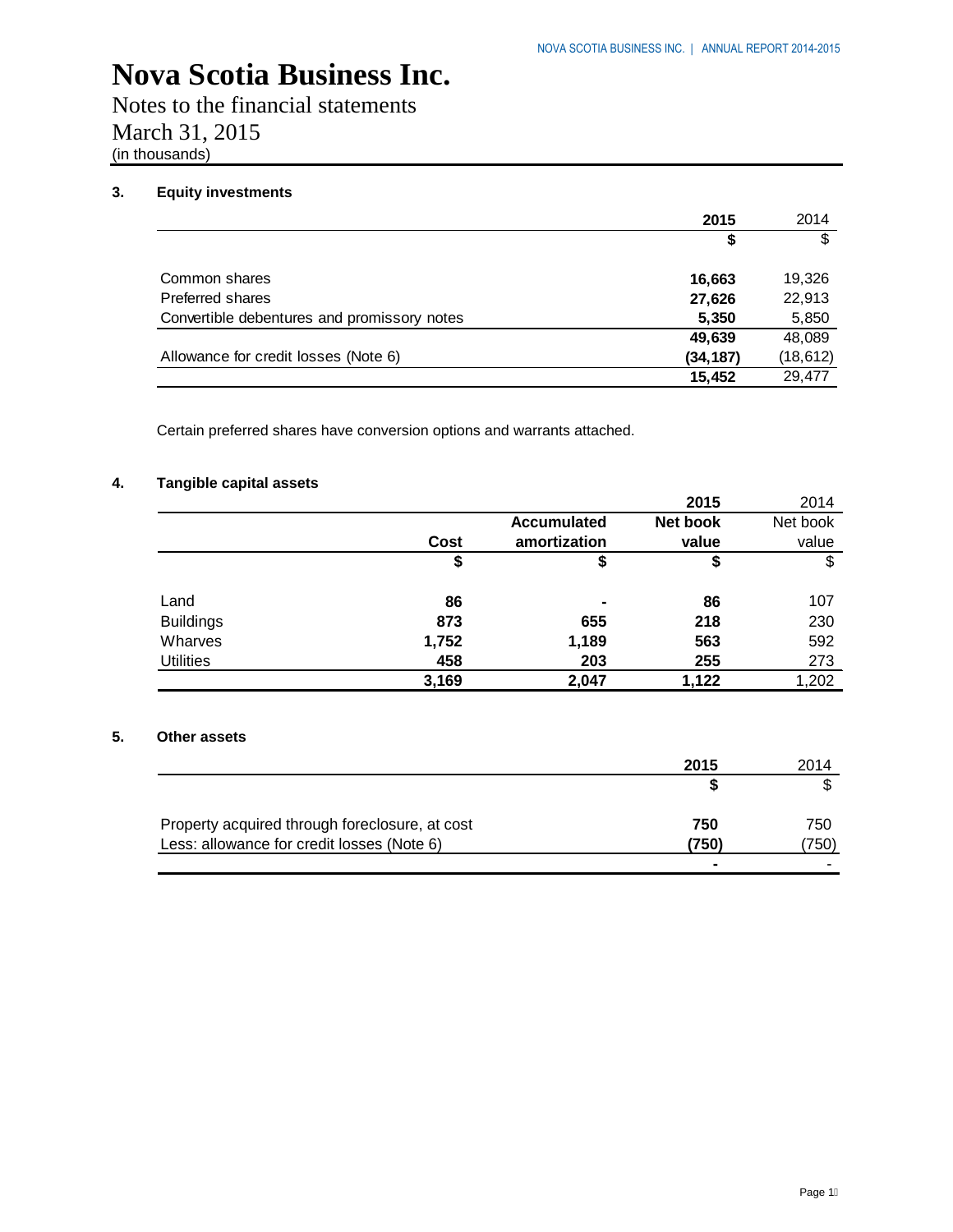Notes to the financial statements March 31, 2015 (in thousands)

#### **3. Equity investments**

|                                             | 2015      | 2014      |
|---------------------------------------------|-----------|-----------|
|                                             | \$        | \$        |
| Common shares                               | 16,663    | 19,326    |
| Preferred shares                            | 27,626    | 22,913    |
| Convertible debentures and promissory notes | 5,350     | 5,850     |
|                                             | 49,639    | 48,089    |
| Allowance for credit losses (Note 6)        | (34, 187) | (18, 612) |
|                                             | 15.452    | 29,477    |

Certain preferred shares have conversion options and warrants attached.

#### **4. Tangible capital assets**

|                  |       |                    | 2015     | 2014     |
|------------------|-------|--------------------|----------|----------|
|                  |       | <b>Accumulated</b> | Net book | Net book |
|                  | Cost  | amortization       | value    | value    |
|                  | \$    | \$                 | \$       | \$       |
| Land             | 86    | -                  | 86       | 107      |
| <b>Buildings</b> | 873   | 655                | 218      | 230      |
| Wharves          | 1,752 | 1,189              | 563      | 592      |
| <b>Utilities</b> | 458   | 203                | 255      | 273      |
|                  | 3,169 | 2,047              | 1,122    | 1,202    |

#### **5. Other assets**

|                                                | 2015  | 2014 |
|------------------------------------------------|-------|------|
|                                                |       |      |
| Property acquired through foreclosure, at cost | 750   | 750  |
| Less: allowance for credit losses (Note 6)     | (750) | 750) |
|                                                | -     |      |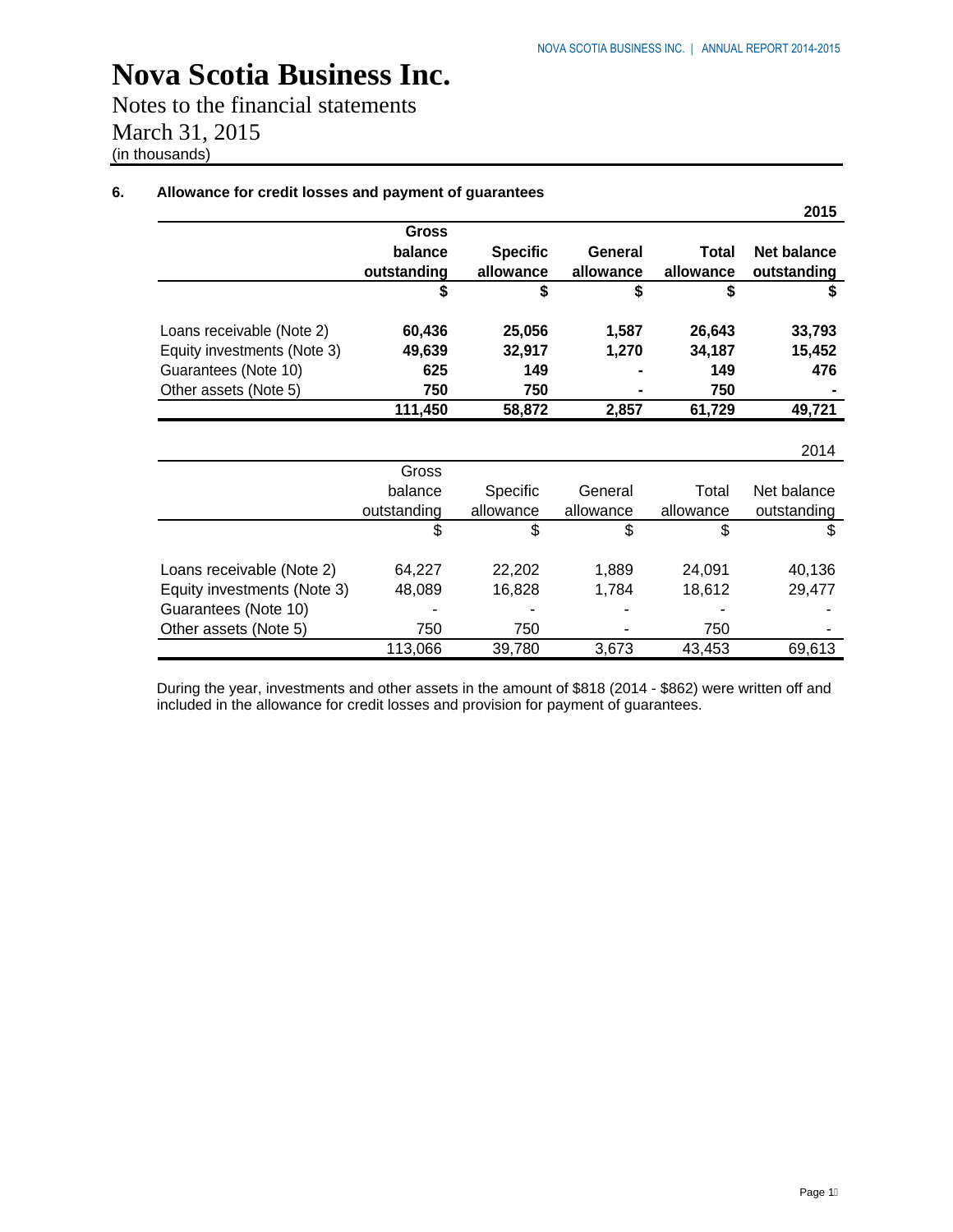Notes to the financial statements March 31, 2015 (in thousands)

#### **6. Allowance for credit losses and payment of guarantees**

|                             |              |                 |           |           | 2015               |
|-----------------------------|--------------|-----------------|-----------|-----------|--------------------|
|                             | <b>Gross</b> |                 |           |           |                    |
|                             | balance      | <b>Specific</b> | General   | Total     | <b>Net balance</b> |
|                             | outstanding  | allowance       | allowance | allowance | outstanding        |
|                             | S            | S               | \$        | \$        | \$                 |
|                             |              |                 |           |           |                    |
| Loans receivable (Note 2)   | 60,436       | 25,056          | 1,587     | 26,643    | 33,793             |
| Equity investments (Note 3) | 49,639       | 32,917          | 1,270     | 34,187    | 15,452             |
| Guarantees (Note 10)        | 625          | 149             |           | 149       | 476                |
| Other assets (Note 5)       | 750          | 750             |           | 750       |                    |
|                             | 111,450      | 58,872          | 2,857     | 61,729    | 49,721             |
|                             |              |                 |           |           |                    |
|                             |              |                 |           |           | 2014               |
|                             | Gross        |                 |           |           |                    |
|                             | balance      | <b>Specific</b> | General   | Total     | Net balance        |
|                             | outstanding  | allowance       | allowance | allowance | outstanding        |
|                             | \$           | \$              | \$        | \$        | \$                 |
|                             |              |                 |           |           |                    |
| Loans receivable (Note 2)   | 64,227       | 22,202          | 1,889     | 24,091    | 40,136             |
| Equity investments (Note 3) | 48,089       | 16,828          | 1,784     | 18,612    | 29,477             |
| Guarantees (Note 10)        |              |                 |           |           |                    |
| Other assets (Note 5)       | 750          | 750             |           | 750       |                    |
|                             | 113,066      | 39,780          | 3,673     | 43,453    | 69,613             |

During the year, investments and other assets in the amount of \$818 (2014 - \$862) were written off and included in the allowance for credit losses and provision for payment of guarantees.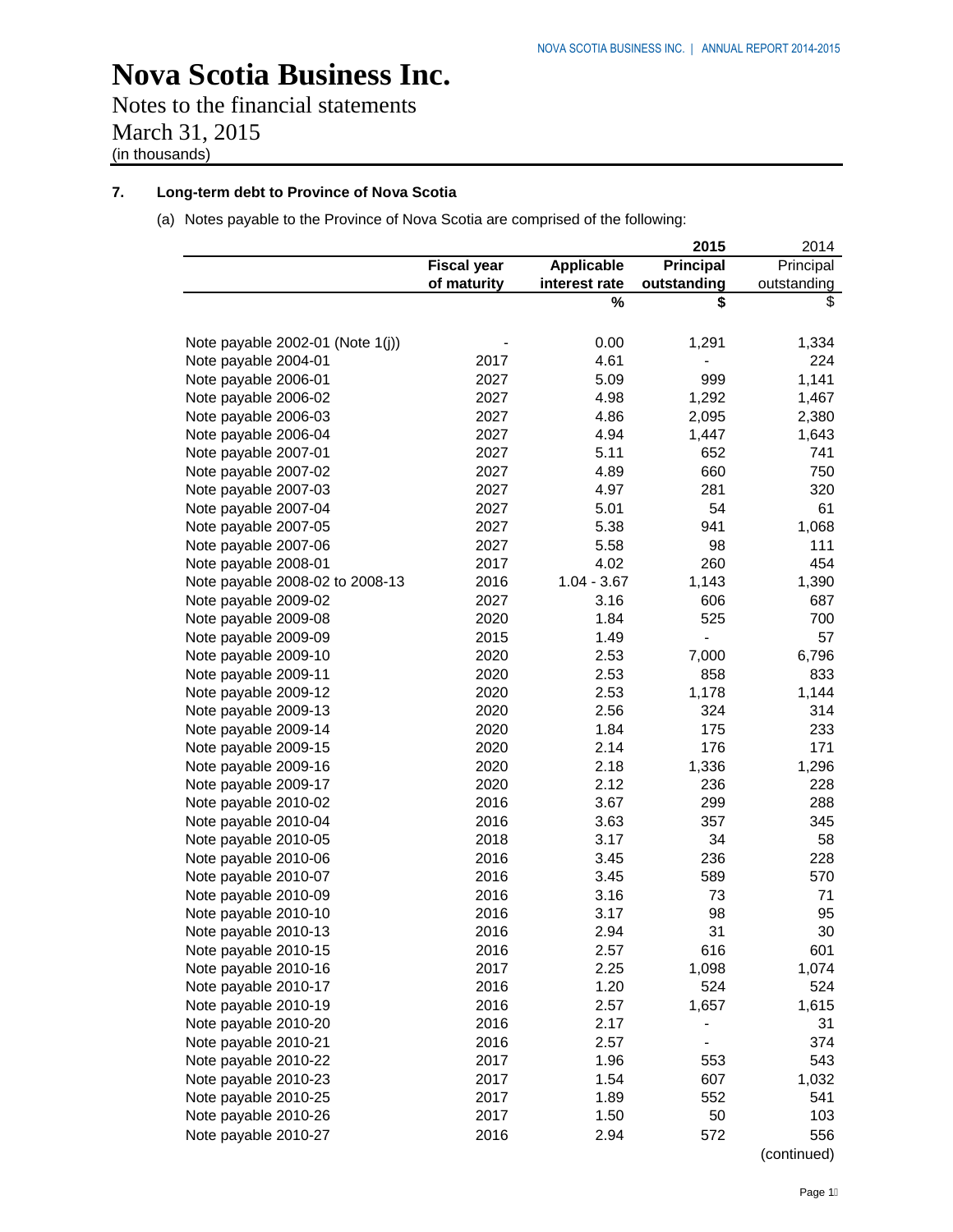Notes to the financial statements March 31, 2015 (in thousands)

#### **7. Long-term debt to Province of Nova Scotia**

(a) Notes payable to the Province of Nova Scotia are comprised of the following:

| Principal<br><b>Principal</b><br><b>Applicable</b><br><b>Fiscal year</b><br>outstanding<br>outstanding<br>of maturity<br>interest rate<br>\$<br>%<br>\$<br>1,334<br>Note payable 2002-01 (Note $1(j)$ )<br>0.00<br>1,291<br>4.61<br>Note payable 2004-01<br>2017<br>224<br>2027<br>5.09<br>999<br>1,141<br>Note payable 2006-01<br>2027<br>4.98<br>1,292<br>1,467<br>Note payable 2006-02<br>2027<br>Note payable 2006-03<br>4.86<br>2,380<br>2,095<br>2027<br>4.94<br>Note payable 2006-04<br>1,447<br>1,643<br>2027<br>5.11<br>652<br>741<br>Note payable 2007-01<br>2027<br>4.89<br>660<br>750<br>Note payable 2007-02<br>281<br>320<br>Note payable 2007-03<br>2027<br>4.97<br>2027<br>5.01<br>54<br>61<br>Note payable 2007-04<br>2027<br>5.38<br>941<br>1,068<br>Note payable 2007-05<br>2027<br>111<br>Note payable 2007-06<br>5.58<br>98<br>260<br>2017<br>4.02<br>454<br>Note payable 2008-01<br>$1.04 - 3.67$<br>Note payable 2008-02 to 2008-13<br>2016<br>1,143<br>1,390<br>687<br>2027<br>3.16<br>606<br>Note payable 2009-02<br>Note payable 2009-08<br>2020<br>1.84<br>525<br>700<br>2015<br>1.49<br>57<br>Note payable 2009-09<br>$\overline{\phantom{0}}$<br>2020<br>2.53<br>7,000<br>6,796<br>Note payable 2009-10<br>858<br>833<br>2020<br>2.53<br>Note payable 2009-11<br>2020<br>2.53<br>1,178<br>1,144<br>Note payable 2009-12<br>2020<br>2.56<br>324<br>314<br>Note payable 2009-13<br>2020<br>1.84<br>175<br>233<br>Note payable 2009-14<br>2020<br>176<br>Note payable 2009-15<br>2.14<br>171<br>2020<br>2.18<br>1,336<br>1,296<br>Note payable 2009-16<br>Note payable 2009-17<br>2020<br>2.12<br>236<br>228<br>2016<br>3.67<br>299<br>288<br>Note payable 2010-02<br>2016<br>3.63<br>357<br>345<br>Note payable 2010-04<br>2018<br>Note payable 2010-05<br>3.17<br>34<br>58<br>2016<br>236<br>228<br>Note payable 2010-06<br>3.45<br>2016<br>Note payable 2010-07<br>3.45<br>589<br>570<br>2016<br>3.16<br>73<br>71<br>Note payable 2010-09<br>2016<br>3.17<br>98<br>95<br>Note payable 2010-10<br>2016<br>2.94<br>31<br>30<br>Note payable 2010-13<br>601<br>Note payable 2010-15<br>2016<br>2.57<br>616<br>Note payable 2010-16<br>2017<br>2.25<br>1,098<br>1,074<br>1.20<br>524<br>Note payable 2010-17<br>2016<br>524<br>Note payable 2010-19<br>2016<br>2.57<br>1,657<br>1,615<br>Note payable 2010-20<br>2016<br>2.17<br>31<br>374<br>Note payable 2010-21<br>2016<br>2.57<br>-<br>1.96<br>543<br>Note payable 2010-22<br>2017<br>553<br>2017<br>607<br>Note payable 2010-23<br>1.54<br>1,032<br>2017<br>552<br>Note payable 2010-25<br>1.89<br>541<br>50<br>103<br>Note payable 2010-26<br>2017<br>1.50<br>Note payable 2010-27<br>2016<br>2.94<br>572<br>556 |  | 2015 | 2014        |
|-------------------------------------------------------------------------------------------------------------------------------------------------------------------------------------------------------------------------------------------------------------------------------------------------------------------------------------------------------------------------------------------------------------------------------------------------------------------------------------------------------------------------------------------------------------------------------------------------------------------------------------------------------------------------------------------------------------------------------------------------------------------------------------------------------------------------------------------------------------------------------------------------------------------------------------------------------------------------------------------------------------------------------------------------------------------------------------------------------------------------------------------------------------------------------------------------------------------------------------------------------------------------------------------------------------------------------------------------------------------------------------------------------------------------------------------------------------------------------------------------------------------------------------------------------------------------------------------------------------------------------------------------------------------------------------------------------------------------------------------------------------------------------------------------------------------------------------------------------------------------------------------------------------------------------------------------------------------------------------------------------------------------------------------------------------------------------------------------------------------------------------------------------------------------------------------------------------------------------------------------------------------------------------------------------------------------------------------------------------------------------------------------------------------------------------------------------------------------------------------------------------------------------------------------------------------------------------------------------------------------------------------------------------------------------------------------|--|------|-------------|
|                                                                                                                                                                                                                                                                                                                                                                                                                                                                                                                                                                                                                                                                                                                                                                                                                                                                                                                                                                                                                                                                                                                                                                                                                                                                                                                                                                                                                                                                                                                                                                                                                                                                                                                                                                                                                                                                                                                                                                                                                                                                                                                                                                                                                                                                                                                                                                                                                                                                                                                                                                                                                                                                                                 |  |      |             |
|                                                                                                                                                                                                                                                                                                                                                                                                                                                                                                                                                                                                                                                                                                                                                                                                                                                                                                                                                                                                                                                                                                                                                                                                                                                                                                                                                                                                                                                                                                                                                                                                                                                                                                                                                                                                                                                                                                                                                                                                                                                                                                                                                                                                                                                                                                                                                                                                                                                                                                                                                                                                                                                                                                 |  |      |             |
|                                                                                                                                                                                                                                                                                                                                                                                                                                                                                                                                                                                                                                                                                                                                                                                                                                                                                                                                                                                                                                                                                                                                                                                                                                                                                                                                                                                                                                                                                                                                                                                                                                                                                                                                                                                                                                                                                                                                                                                                                                                                                                                                                                                                                                                                                                                                                                                                                                                                                                                                                                                                                                                                                                 |  |      |             |
|                                                                                                                                                                                                                                                                                                                                                                                                                                                                                                                                                                                                                                                                                                                                                                                                                                                                                                                                                                                                                                                                                                                                                                                                                                                                                                                                                                                                                                                                                                                                                                                                                                                                                                                                                                                                                                                                                                                                                                                                                                                                                                                                                                                                                                                                                                                                                                                                                                                                                                                                                                                                                                                                                                 |  |      |             |
|                                                                                                                                                                                                                                                                                                                                                                                                                                                                                                                                                                                                                                                                                                                                                                                                                                                                                                                                                                                                                                                                                                                                                                                                                                                                                                                                                                                                                                                                                                                                                                                                                                                                                                                                                                                                                                                                                                                                                                                                                                                                                                                                                                                                                                                                                                                                                                                                                                                                                                                                                                                                                                                                                                 |  |      |             |
|                                                                                                                                                                                                                                                                                                                                                                                                                                                                                                                                                                                                                                                                                                                                                                                                                                                                                                                                                                                                                                                                                                                                                                                                                                                                                                                                                                                                                                                                                                                                                                                                                                                                                                                                                                                                                                                                                                                                                                                                                                                                                                                                                                                                                                                                                                                                                                                                                                                                                                                                                                                                                                                                                                 |  |      |             |
|                                                                                                                                                                                                                                                                                                                                                                                                                                                                                                                                                                                                                                                                                                                                                                                                                                                                                                                                                                                                                                                                                                                                                                                                                                                                                                                                                                                                                                                                                                                                                                                                                                                                                                                                                                                                                                                                                                                                                                                                                                                                                                                                                                                                                                                                                                                                                                                                                                                                                                                                                                                                                                                                                                 |  |      |             |
|                                                                                                                                                                                                                                                                                                                                                                                                                                                                                                                                                                                                                                                                                                                                                                                                                                                                                                                                                                                                                                                                                                                                                                                                                                                                                                                                                                                                                                                                                                                                                                                                                                                                                                                                                                                                                                                                                                                                                                                                                                                                                                                                                                                                                                                                                                                                                                                                                                                                                                                                                                                                                                                                                                 |  |      |             |
|                                                                                                                                                                                                                                                                                                                                                                                                                                                                                                                                                                                                                                                                                                                                                                                                                                                                                                                                                                                                                                                                                                                                                                                                                                                                                                                                                                                                                                                                                                                                                                                                                                                                                                                                                                                                                                                                                                                                                                                                                                                                                                                                                                                                                                                                                                                                                                                                                                                                                                                                                                                                                                                                                                 |  |      |             |
|                                                                                                                                                                                                                                                                                                                                                                                                                                                                                                                                                                                                                                                                                                                                                                                                                                                                                                                                                                                                                                                                                                                                                                                                                                                                                                                                                                                                                                                                                                                                                                                                                                                                                                                                                                                                                                                                                                                                                                                                                                                                                                                                                                                                                                                                                                                                                                                                                                                                                                                                                                                                                                                                                                 |  |      |             |
|                                                                                                                                                                                                                                                                                                                                                                                                                                                                                                                                                                                                                                                                                                                                                                                                                                                                                                                                                                                                                                                                                                                                                                                                                                                                                                                                                                                                                                                                                                                                                                                                                                                                                                                                                                                                                                                                                                                                                                                                                                                                                                                                                                                                                                                                                                                                                                                                                                                                                                                                                                                                                                                                                                 |  |      |             |
|                                                                                                                                                                                                                                                                                                                                                                                                                                                                                                                                                                                                                                                                                                                                                                                                                                                                                                                                                                                                                                                                                                                                                                                                                                                                                                                                                                                                                                                                                                                                                                                                                                                                                                                                                                                                                                                                                                                                                                                                                                                                                                                                                                                                                                                                                                                                                                                                                                                                                                                                                                                                                                                                                                 |  |      |             |
|                                                                                                                                                                                                                                                                                                                                                                                                                                                                                                                                                                                                                                                                                                                                                                                                                                                                                                                                                                                                                                                                                                                                                                                                                                                                                                                                                                                                                                                                                                                                                                                                                                                                                                                                                                                                                                                                                                                                                                                                                                                                                                                                                                                                                                                                                                                                                                                                                                                                                                                                                                                                                                                                                                 |  |      |             |
|                                                                                                                                                                                                                                                                                                                                                                                                                                                                                                                                                                                                                                                                                                                                                                                                                                                                                                                                                                                                                                                                                                                                                                                                                                                                                                                                                                                                                                                                                                                                                                                                                                                                                                                                                                                                                                                                                                                                                                                                                                                                                                                                                                                                                                                                                                                                                                                                                                                                                                                                                                                                                                                                                                 |  |      |             |
|                                                                                                                                                                                                                                                                                                                                                                                                                                                                                                                                                                                                                                                                                                                                                                                                                                                                                                                                                                                                                                                                                                                                                                                                                                                                                                                                                                                                                                                                                                                                                                                                                                                                                                                                                                                                                                                                                                                                                                                                                                                                                                                                                                                                                                                                                                                                                                                                                                                                                                                                                                                                                                                                                                 |  |      |             |
|                                                                                                                                                                                                                                                                                                                                                                                                                                                                                                                                                                                                                                                                                                                                                                                                                                                                                                                                                                                                                                                                                                                                                                                                                                                                                                                                                                                                                                                                                                                                                                                                                                                                                                                                                                                                                                                                                                                                                                                                                                                                                                                                                                                                                                                                                                                                                                                                                                                                                                                                                                                                                                                                                                 |  |      |             |
|                                                                                                                                                                                                                                                                                                                                                                                                                                                                                                                                                                                                                                                                                                                                                                                                                                                                                                                                                                                                                                                                                                                                                                                                                                                                                                                                                                                                                                                                                                                                                                                                                                                                                                                                                                                                                                                                                                                                                                                                                                                                                                                                                                                                                                                                                                                                                                                                                                                                                                                                                                                                                                                                                                 |  |      |             |
|                                                                                                                                                                                                                                                                                                                                                                                                                                                                                                                                                                                                                                                                                                                                                                                                                                                                                                                                                                                                                                                                                                                                                                                                                                                                                                                                                                                                                                                                                                                                                                                                                                                                                                                                                                                                                                                                                                                                                                                                                                                                                                                                                                                                                                                                                                                                                                                                                                                                                                                                                                                                                                                                                                 |  |      |             |
|                                                                                                                                                                                                                                                                                                                                                                                                                                                                                                                                                                                                                                                                                                                                                                                                                                                                                                                                                                                                                                                                                                                                                                                                                                                                                                                                                                                                                                                                                                                                                                                                                                                                                                                                                                                                                                                                                                                                                                                                                                                                                                                                                                                                                                                                                                                                                                                                                                                                                                                                                                                                                                                                                                 |  |      |             |
|                                                                                                                                                                                                                                                                                                                                                                                                                                                                                                                                                                                                                                                                                                                                                                                                                                                                                                                                                                                                                                                                                                                                                                                                                                                                                                                                                                                                                                                                                                                                                                                                                                                                                                                                                                                                                                                                                                                                                                                                                                                                                                                                                                                                                                                                                                                                                                                                                                                                                                                                                                                                                                                                                                 |  |      |             |
|                                                                                                                                                                                                                                                                                                                                                                                                                                                                                                                                                                                                                                                                                                                                                                                                                                                                                                                                                                                                                                                                                                                                                                                                                                                                                                                                                                                                                                                                                                                                                                                                                                                                                                                                                                                                                                                                                                                                                                                                                                                                                                                                                                                                                                                                                                                                                                                                                                                                                                                                                                                                                                                                                                 |  |      |             |
|                                                                                                                                                                                                                                                                                                                                                                                                                                                                                                                                                                                                                                                                                                                                                                                                                                                                                                                                                                                                                                                                                                                                                                                                                                                                                                                                                                                                                                                                                                                                                                                                                                                                                                                                                                                                                                                                                                                                                                                                                                                                                                                                                                                                                                                                                                                                                                                                                                                                                                                                                                                                                                                                                                 |  |      |             |
|                                                                                                                                                                                                                                                                                                                                                                                                                                                                                                                                                                                                                                                                                                                                                                                                                                                                                                                                                                                                                                                                                                                                                                                                                                                                                                                                                                                                                                                                                                                                                                                                                                                                                                                                                                                                                                                                                                                                                                                                                                                                                                                                                                                                                                                                                                                                                                                                                                                                                                                                                                                                                                                                                                 |  |      |             |
|                                                                                                                                                                                                                                                                                                                                                                                                                                                                                                                                                                                                                                                                                                                                                                                                                                                                                                                                                                                                                                                                                                                                                                                                                                                                                                                                                                                                                                                                                                                                                                                                                                                                                                                                                                                                                                                                                                                                                                                                                                                                                                                                                                                                                                                                                                                                                                                                                                                                                                                                                                                                                                                                                                 |  |      |             |
|                                                                                                                                                                                                                                                                                                                                                                                                                                                                                                                                                                                                                                                                                                                                                                                                                                                                                                                                                                                                                                                                                                                                                                                                                                                                                                                                                                                                                                                                                                                                                                                                                                                                                                                                                                                                                                                                                                                                                                                                                                                                                                                                                                                                                                                                                                                                                                                                                                                                                                                                                                                                                                                                                                 |  |      |             |
|                                                                                                                                                                                                                                                                                                                                                                                                                                                                                                                                                                                                                                                                                                                                                                                                                                                                                                                                                                                                                                                                                                                                                                                                                                                                                                                                                                                                                                                                                                                                                                                                                                                                                                                                                                                                                                                                                                                                                                                                                                                                                                                                                                                                                                                                                                                                                                                                                                                                                                                                                                                                                                                                                                 |  |      |             |
|                                                                                                                                                                                                                                                                                                                                                                                                                                                                                                                                                                                                                                                                                                                                                                                                                                                                                                                                                                                                                                                                                                                                                                                                                                                                                                                                                                                                                                                                                                                                                                                                                                                                                                                                                                                                                                                                                                                                                                                                                                                                                                                                                                                                                                                                                                                                                                                                                                                                                                                                                                                                                                                                                                 |  |      |             |
|                                                                                                                                                                                                                                                                                                                                                                                                                                                                                                                                                                                                                                                                                                                                                                                                                                                                                                                                                                                                                                                                                                                                                                                                                                                                                                                                                                                                                                                                                                                                                                                                                                                                                                                                                                                                                                                                                                                                                                                                                                                                                                                                                                                                                                                                                                                                                                                                                                                                                                                                                                                                                                                                                                 |  |      |             |
|                                                                                                                                                                                                                                                                                                                                                                                                                                                                                                                                                                                                                                                                                                                                                                                                                                                                                                                                                                                                                                                                                                                                                                                                                                                                                                                                                                                                                                                                                                                                                                                                                                                                                                                                                                                                                                                                                                                                                                                                                                                                                                                                                                                                                                                                                                                                                                                                                                                                                                                                                                                                                                                                                                 |  |      |             |
|                                                                                                                                                                                                                                                                                                                                                                                                                                                                                                                                                                                                                                                                                                                                                                                                                                                                                                                                                                                                                                                                                                                                                                                                                                                                                                                                                                                                                                                                                                                                                                                                                                                                                                                                                                                                                                                                                                                                                                                                                                                                                                                                                                                                                                                                                                                                                                                                                                                                                                                                                                                                                                                                                                 |  |      |             |
|                                                                                                                                                                                                                                                                                                                                                                                                                                                                                                                                                                                                                                                                                                                                                                                                                                                                                                                                                                                                                                                                                                                                                                                                                                                                                                                                                                                                                                                                                                                                                                                                                                                                                                                                                                                                                                                                                                                                                                                                                                                                                                                                                                                                                                                                                                                                                                                                                                                                                                                                                                                                                                                                                                 |  |      |             |
|                                                                                                                                                                                                                                                                                                                                                                                                                                                                                                                                                                                                                                                                                                                                                                                                                                                                                                                                                                                                                                                                                                                                                                                                                                                                                                                                                                                                                                                                                                                                                                                                                                                                                                                                                                                                                                                                                                                                                                                                                                                                                                                                                                                                                                                                                                                                                                                                                                                                                                                                                                                                                                                                                                 |  |      |             |
|                                                                                                                                                                                                                                                                                                                                                                                                                                                                                                                                                                                                                                                                                                                                                                                                                                                                                                                                                                                                                                                                                                                                                                                                                                                                                                                                                                                                                                                                                                                                                                                                                                                                                                                                                                                                                                                                                                                                                                                                                                                                                                                                                                                                                                                                                                                                                                                                                                                                                                                                                                                                                                                                                                 |  |      |             |
|                                                                                                                                                                                                                                                                                                                                                                                                                                                                                                                                                                                                                                                                                                                                                                                                                                                                                                                                                                                                                                                                                                                                                                                                                                                                                                                                                                                                                                                                                                                                                                                                                                                                                                                                                                                                                                                                                                                                                                                                                                                                                                                                                                                                                                                                                                                                                                                                                                                                                                                                                                                                                                                                                                 |  |      |             |
|                                                                                                                                                                                                                                                                                                                                                                                                                                                                                                                                                                                                                                                                                                                                                                                                                                                                                                                                                                                                                                                                                                                                                                                                                                                                                                                                                                                                                                                                                                                                                                                                                                                                                                                                                                                                                                                                                                                                                                                                                                                                                                                                                                                                                                                                                                                                                                                                                                                                                                                                                                                                                                                                                                 |  |      |             |
|                                                                                                                                                                                                                                                                                                                                                                                                                                                                                                                                                                                                                                                                                                                                                                                                                                                                                                                                                                                                                                                                                                                                                                                                                                                                                                                                                                                                                                                                                                                                                                                                                                                                                                                                                                                                                                                                                                                                                                                                                                                                                                                                                                                                                                                                                                                                                                                                                                                                                                                                                                                                                                                                                                 |  |      |             |
|                                                                                                                                                                                                                                                                                                                                                                                                                                                                                                                                                                                                                                                                                                                                                                                                                                                                                                                                                                                                                                                                                                                                                                                                                                                                                                                                                                                                                                                                                                                                                                                                                                                                                                                                                                                                                                                                                                                                                                                                                                                                                                                                                                                                                                                                                                                                                                                                                                                                                                                                                                                                                                                                                                 |  |      |             |
|                                                                                                                                                                                                                                                                                                                                                                                                                                                                                                                                                                                                                                                                                                                                                                                                                                                                                                                                                                                                                                                                                                                                                                                                                                                                                                                                                                                                                                                                                                                                                                                                                                                                                                                                                                                                                                                                                                                                                                                                                                                                                                                                                                                                                                                                                                                                                                                                                                                                                                                                                                                                                                                                                                 |  |      |             |
|                                                                                                                                                                                                                                                                                                                                                                                                                                                                                                                                                                                                                                                                                                                                                                                                                                                                                                                                                                                                                                                                                                                                                                                                                                                                                                                                                                                                                                                                                                                                                                                                                                                                                                                                                                                                                                                                                                                                                                                                                                                                                                                                                                                                                                                                                                                                                                                                                                                                                                                                                                                                                                                                                                 |  |      |             |
|                                                                                                                                                                                                                                                                                                                                                                                                                                                                                                                                                                                                                                                                                                                                                                                                                                                                                                                                                                                                                                                                                                                                                                                                                                                                                                                                                                                                                                                                                                                                                                                                                                                                                                                                                                                                                                                                                                                                                                                                                                                                                                                                                                                                                                                                                                                                                                                                                                                                                                                                                                                                                                                                                                 |  |      |             |
|                                                                                                                                                                                                                                                                                                                                                                                                                                                                                                                                                                                                                                                                                                                                                                                                                                                                                                                                                                                                                                                                                                                                                                                                                                                                                                                                                                                                                                                                                                                                                                                                                                                                                                                                                                                                                                                                                                                                                                                                                                                                                                                                                                                                                                                                                                                                                                                                                                                                                                                                                                                                                                                                                                 |  |      |             |
|                                                                                                                                                                                                                                                                                                                                                                                                                                                                                                                                                                                                                                                                                                                                                                                                                                                                                                                                                                                                                                                                                                                                                                                                                                                                                                                                                                                                                                                                                                                                                                                                                                                                                                                                                                                                                                                                                                                                                                                                                                                                                                                                                                                                                                                                                                                                                                                                                                                                                                                                                                                                                                                                                                 |  |      |             |
|                                                                                                                                                                                                                                                                                                                                                                                                                                                                                                                                                                                                                                                                                                                                                                                                                                                                                                                                                                                                                                                                                                                                                                                                                                                                                                                                                                                                                                                                                                                                                                                                                                                                                                                                                                                                                                                                                                                                                                                                                                                                                                                                                                                                                                                                                                                                                                                                                                                                                                                                                                                                                                                                                                 |  |      |             |
|                                                                                                                                                                                                                                                                                                                                                                                                                                                                                                                                                                                                                                                                                                                                                                                                                                                                                                                                                                                                                                                                                                                                                                                                                                                                                                                                                                                                                                                                                                                                                                                                                                                                                                                                                                                                                                                                                                                                                                                                                                                                                                                                                                                                                                                                                                                                                                                                                                                                                                                                                                                                                                                                                                 |  |      |             |
|                                                                                                                                                                                                                                                                                                                                                                                                                                                                                                                                                                                                                                                                                                                                                                                                                                                                                                                                                                                                                                                                                                                                                                                                                                                                                                                                                                                                                                                                                                                                                                                                                                                                                                                                                                                                                                                                                                                                                                                                                                                                                                                                                                                                                                                                                                                                                                                                                                                                                                                                                                                                                                                                                                 |  |      |             |
|                                                                                                                                                                                                                                                                                                                                                                                                                                                                                                                                                                                                                                                                                                                                                                                                                                                                                                                                                                                                                                                                                                                                                                                                                                                                                                                                                                                                                                                                                                                                                                                                                                                                                                                                                                                                                                                                                                                                                                                                                                                                                                                                                                                                                                                                                                                                                                                                                                                                                                                                                                                                                                                                                                 |  |      |             |
|                                                                                                                                                                                                                                                                                                                                                                                                                                                                                                                                                                                                                                                                                                                                                                                                                                                                                                                                                                                                                                                                                                                                                                                                                                                                                                                                                                                                                                                                                                                                                                                                                                                                                                                                                                                                                                                                                                                                                                                                                                                                                                                                                                                                                                                                                                                                                                                                                                                                                                                                                                                                                                                                                                 |  |      |             |
|                                                                                                                                                                                                                                                                                                                                                                                                                                                                                                                                                                                                                                                                                                                                                                                                                                                                                                                                                                                                                                                                                                                                                                                                                                                                                                                                                                                                                                                                                                                                                                                                                                                                                                                                                                                                                                                                                                                                                                                                                                                                                                                                                                                                                                                                                                                                                                                                                                                                                                                                                                                                                                                                                                 |  |      | (continued) |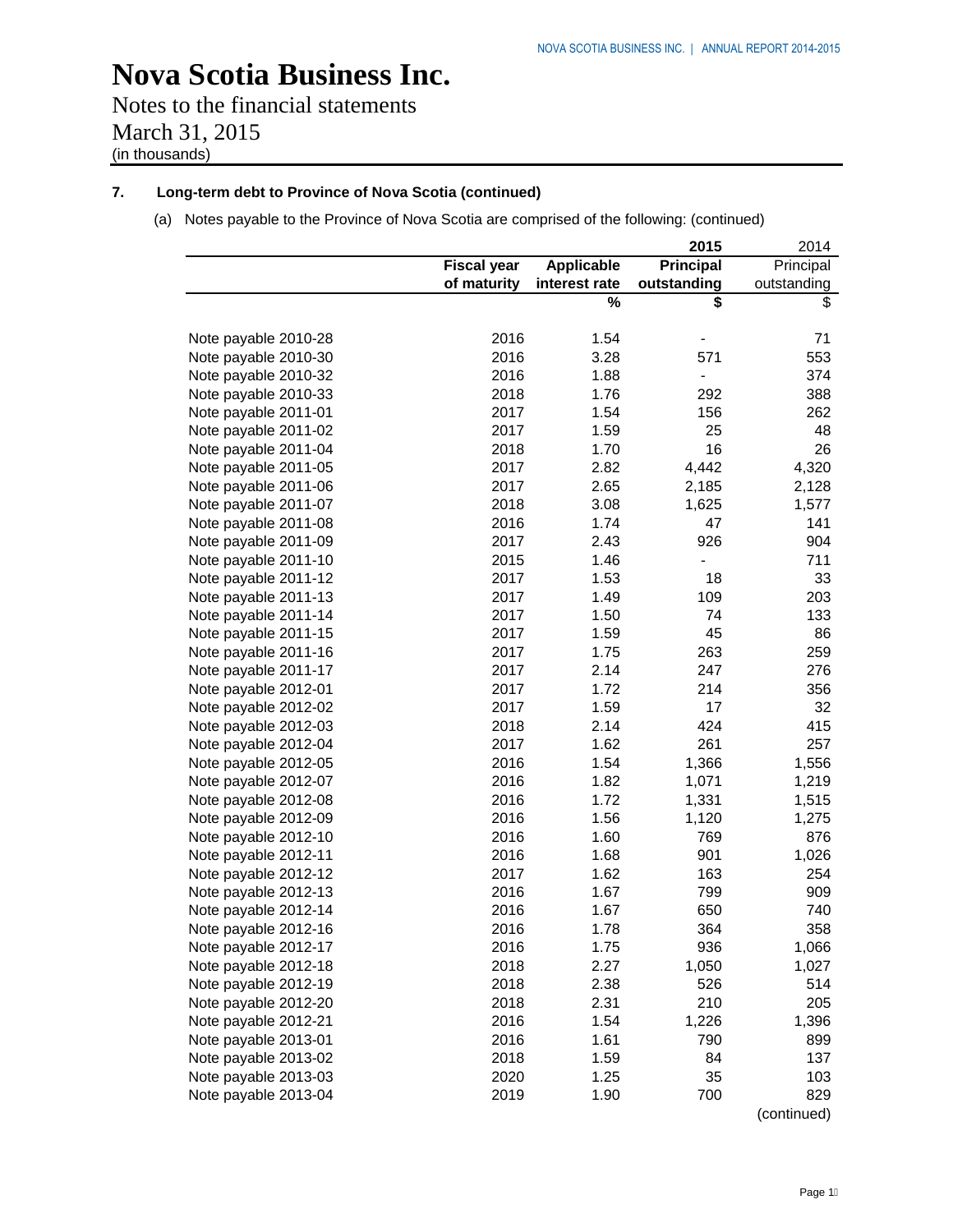Notes to the financial statements March 31, 2015 (in thousands)

#### **7. Long-term debt to Province of Nova Scotia (continued)**

(a) Notes payable to the Province of Nova Scotia are comprised of the following: (continued)

|                      |                    |                   | 2015                     | 2014        |
|----------------------|--------------------|-------------------|--------------------------|-------------|
|                      | <b>Fiscal year</b> | <b>Applicable</b> | Principal                | Principal   |
|                      | of maturity        | interest rate     | outstanding              | outstanding |
|                      |                    | %                 | \$                       | S           |
| Note payable 2010-28 | 2016               | 1.54              |                          | 71          |
| Note payable 2010-30 | 2016               | 3.28              | 571                      | 553         |
| Note payable 2010-32 | 2016               | 1.88              | $\overline{\phantom{0}}$ | 374         |
| Note payable 2010-33 | 2018               | 1.76              | 292                      | 388         |
| Note payable 2011-01 | 2017               | 1.54              | 156                      | 262         |
| Note payable 2011-02 | 2017               | 1.59              | 25                       | 48          |
| Note payable 2011-04 | 2018               | 1.70              | 16                       | 26          |
| Note payable 2011-05 | 2017               | 2.82              | 4,442                    | 4,320       |
| Note payable 2011-06 | 2017               | 2.65              | 2,185                    | 2,128       |
| Note payable 2011-07 | 2018               | 3.08              | 1,625                    | 1,577       |
| Note payable 2011-08 | 2016               | 1.74              | 47                       | 141         |
| Note payable 2011-09 | 2017               | 2.43              | 926                      | 904         |
| Note payable 2011-10 | 2015               | 1.46              | $\overline{\phantom{0}}$ | 711         |
| Note payable 2011-12 | 2017               | 1.53              | 18                       | 33          |
| Note payable 2011-13 | 2017               | 1.49              | 109                      | 203         |
| Note payable 2011-14 | 2017               | 1.50              | 74                       | 133         |
| Note payable 2011-15 | 2017               | 1.59              | 45                       | 86          |
| Note payable 2011-16 | 2017               | 1.75              | 263                      | 259         |
| Note payable 2011-17 | 2017               | 2.14              | 247                      | 276         |
| Note payable 2012-01 | 2017               | 1.72              | 214                      | 356         |
| Note payable 2012-02 | 2017               | 1.59              | 17                       | 32          |
| Note payable 2012-03 | 2018               | 2.14              | 424                      | 415         |
| Note payable 2012-04 | 2017               | 1.62              | 261                      | 257         |
| Note payable 2012-05 | 2016               | 1.54              | 1,366                    | 1,556       |
| Note payable 2012-07 | 2016               | 1.82              | 1,071                    | 1,219       |
| Note payable 2012-08 | 2016               | 1.72              | 1,331                    | 1,515       |
| Note payable 2012-09 | 2016               | 1.56              | 1,120                    | 1,275       |
| Note payable 2012-10 | 2016               | 1.60              | 769                      | 876         |
| Note payable 2012-11 | 2016               | 1.68              | 901                      | 1,026       |
| Note payable 2012-12 | 2017               | 1.62              | 163                      | 254         |
| Note payable 2012-13 | 2016               | 1.67              | 799                      | 909         |
| Note payable 2012-14 | 2016               | 1.67              | 650                      | 740         |
| Note payable 2012-16 | 2016               | 1.78              | 364                      | 358         |
| Note payable 2012-17 | 2016               | 1.75              | 936                      | 1,066       |
| Note payable 2012-18 | 2018               | 2.27              | 1,050                    | 1,027       |
| Note payable 2012-19 | 2018               | 2.38              | 526                      | 514         |
| Note payable 2012-20 | 2018               | 2.31              | 210                      | 205         |
| Note payable 2012-21 | 2016               | 1.54              | 1,226                    | 1,396       |
| Note payable 2013-01 | 2016               | 1.61              | 790                      | 899         |
| Note payable 2013-02 | 2018               | 1.59              | 84                       | 137         |
| Note payable 2013-03 | 2020               | 1.25              | 35                       | 103         |
| Note payable 2013-04 | 2019               | 1.90              | 700                      | 829         |
|                      |                    |                   |                          | (continued) |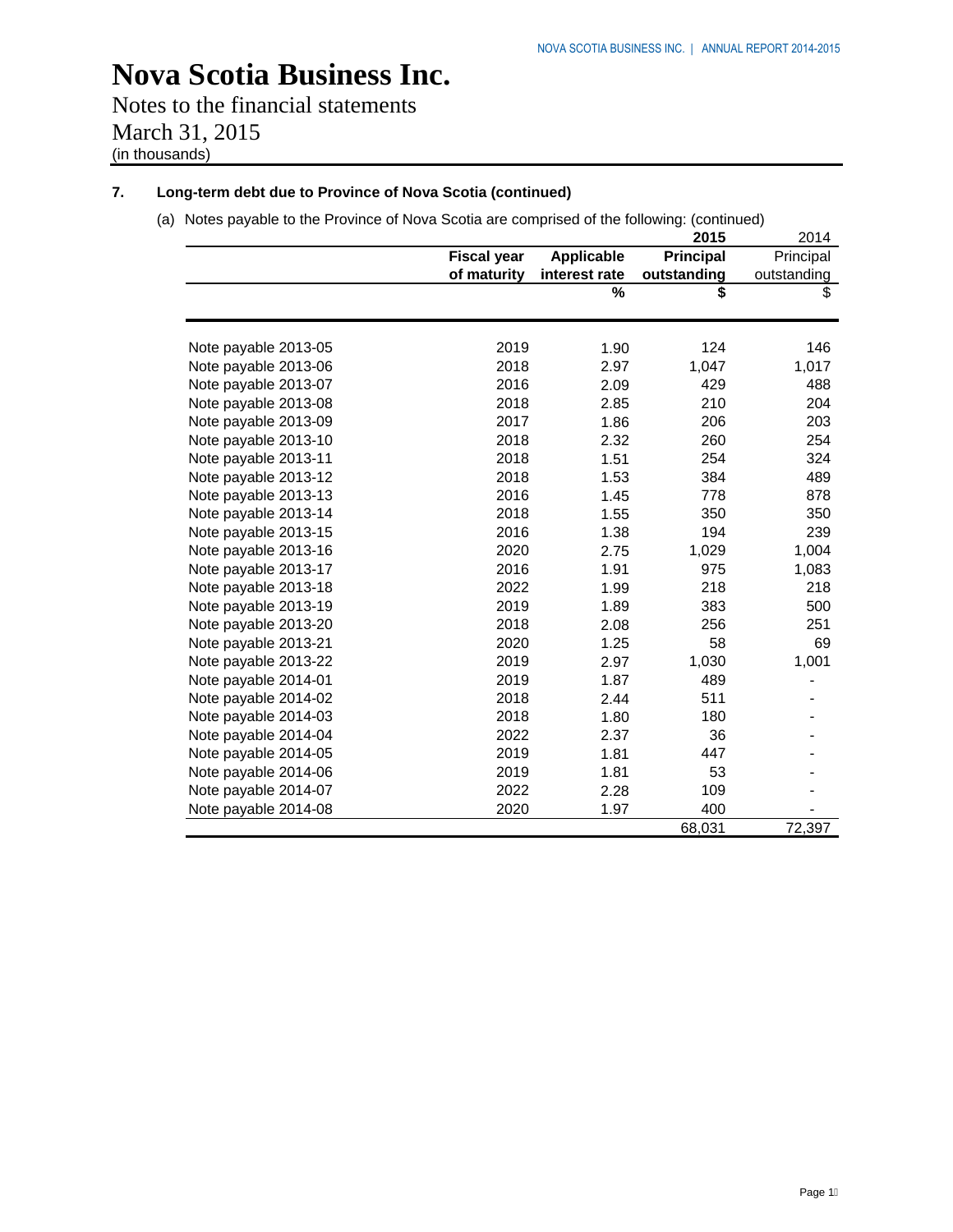Notes to the financial statements March 31, 2015 (in thousands)

#### **7. Long-term debt due to Province of Nova Scotia (continued)**

(a) Notes payable to the Province of Nova Scotia are comprised of the following: (continued)

|                      |                    |                   | 2015             | 2014        |
|----------------------|--------------------|-------------------|------------------|-------------|
|                      | <b>Fiscal year</b> | <b>Applicable</b> | <b>Principal</b> | Principal   |
|                      | of maturity        | interest rate     | outstanding      | outstanding |
|                      |                    | $\%$              | \$               | \$          |
|                      |                    |                   |                  |             |
| Note payable 2013-05 | 2019               | 1.90              | 124              | 146         |
| Note payable 2013-06 | 2018               | 2.97              | 1,047            | 1,017       |
| Note payable 2013-07 | 2016               | 2.09              | 429              | 488         |
| Note payable 2013-08 | 2018               | 2.85              | 210              | 204         |
| Note payable 2013-09 | 2017               | 1.86              | 206              | 203         |
| Note payable 2013-10 | 2018               | 2.32              | 260              | 254         |
| Note payable 2013-11 | 2018               | 1.51              | 254              | 324         |
| Note payable 2013-12 | 2018               | 1.53              | 384              | 489         |
| Note payable 2013-13 | 2016               | 1.45              | 778              | 878         |
| Note payable 2013-14 | 2018               | 1.55              | 350              | 350         |
| Note payable 2013-15 | 2016               | 1.38              | 194              | 239         |
| Note payable 2013-16 | 2020               | 2.75              | 1,029            | 1,004       |
| Note payable 2013-17 | 2016               | 1.91              | 975              | 1,083       |
| Note payable 2013-18 | 2022               | 1.99              | 218              | 218         |
| Note payable 2013-19 | 2019               | 1.89              | 383              | 500         |
| Note payable 2013-20 | 2018               | 2.08              | 256              | 251         |
| Note payable 2013-21 | 2020               | 1.25              | 58               | 69          |
| Note payable 2013-22 | 2019               | 2.97              | 1,030            | 1,001       |
| Note payable 2014-01 | 2019               | 1.87              | 489              |             |
| Note payable 2014-02 | 2018               | 2.44              | 511              |             |
| Note payable 2014-03 | 2018               | 1.80              | 180              |             |
| Note payable 2014-04 | 2022               | 2.37              | 36               |             |
| Note payable 2014-05 | 2019               | 1.81              | 447              |             |
| Note payable 2014-06 | 2019               | 1.81              | 53               |             |
| Note payable 2014-07 | 2022               | 2.28              | 109              |             |
| Note payable 2014-08 | 2020               | 1.97              | 400              |             |
|                      |                    |                   | 68,031           | 72,397      |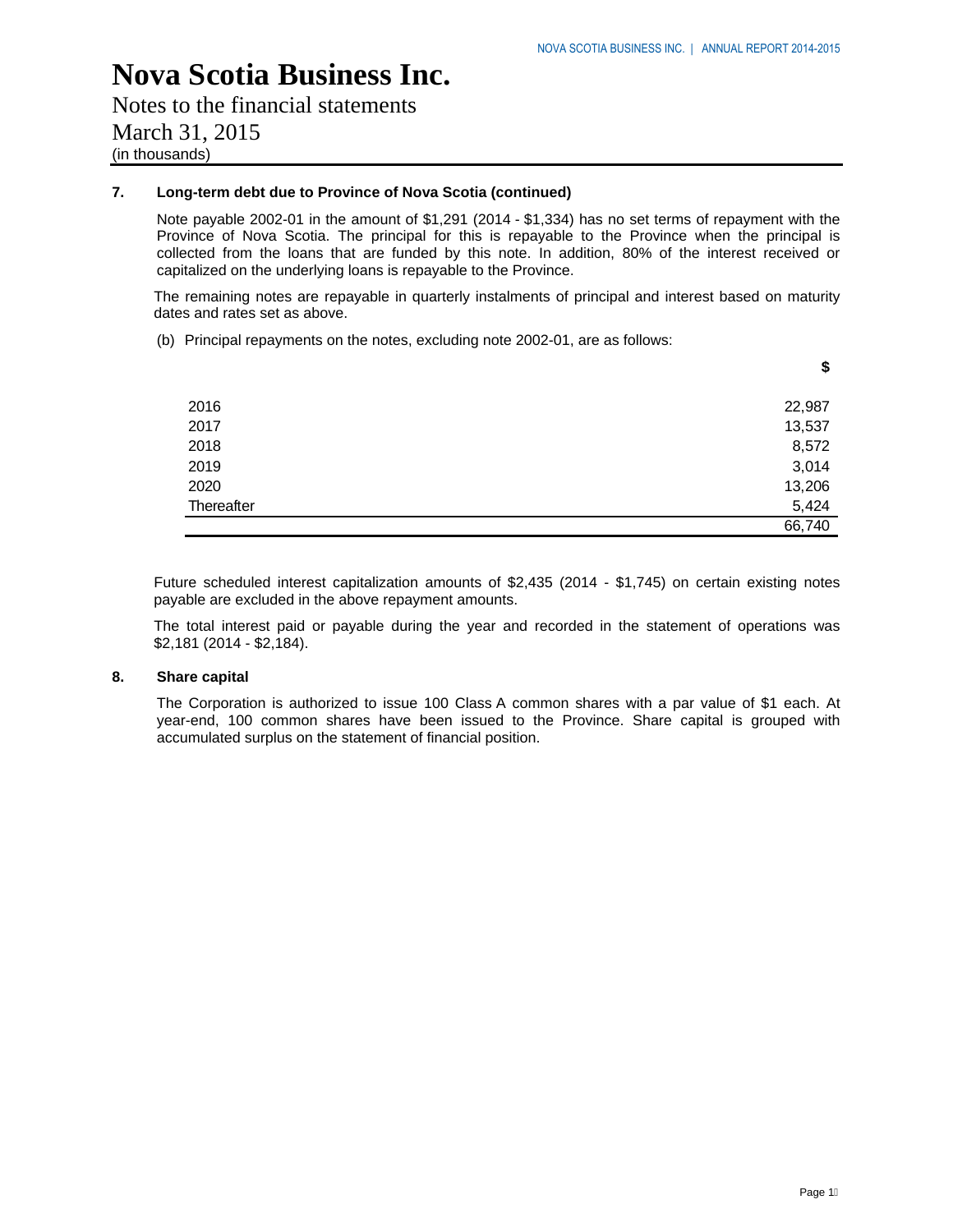Notes to the financial statements

March 31, 2015

(in thousands)

#### **7. Long-term debt due to Province of Nova Scotia (continued)**

Note payable 2002-01 in the amount of \$1,291 (2014 - \$1,334) has no set terms of repayment with the Province of Nova Scotia. The principal for this is repayable to the Province when the principal is collected from the loans that are funded by this note. In addition, 80% of the interest received or capitalized on the underlying loans is repayable to the Province.

The remaining notes are repayable in quarterly instalments of principal and interest based on maturity dates and rates set as above.

(b) Principal repayments on the notes, excluding note 2002-01, are as follows:

|            | \$     |
|------------|--------|
| 2016       | 22,987 |
| 2017       | 13,537 |
| 2018       | 8,572  |
| 2019       | 3,014  |
| 2020       | 13,206 |
| Thereafter | 5,424  |
|            | 66,740 |

Future scheduled interest capitalization amounts of \$2,435 (2014 - \$1,745) on certain existing notes payable are excluded in the above repayment amounts.

The total interest paid or payable during the year and recorded in the statement of operations was \$2,181 (2014 - \$2,184).

#### **8. Share capital**

The Corporation is authorized to issue 100 Class A common shares with a par value of \$1 each. At year-end, 100 common shares have been issued to the Province. Share capital is grouped with accumulated surplus on the statement of financial position.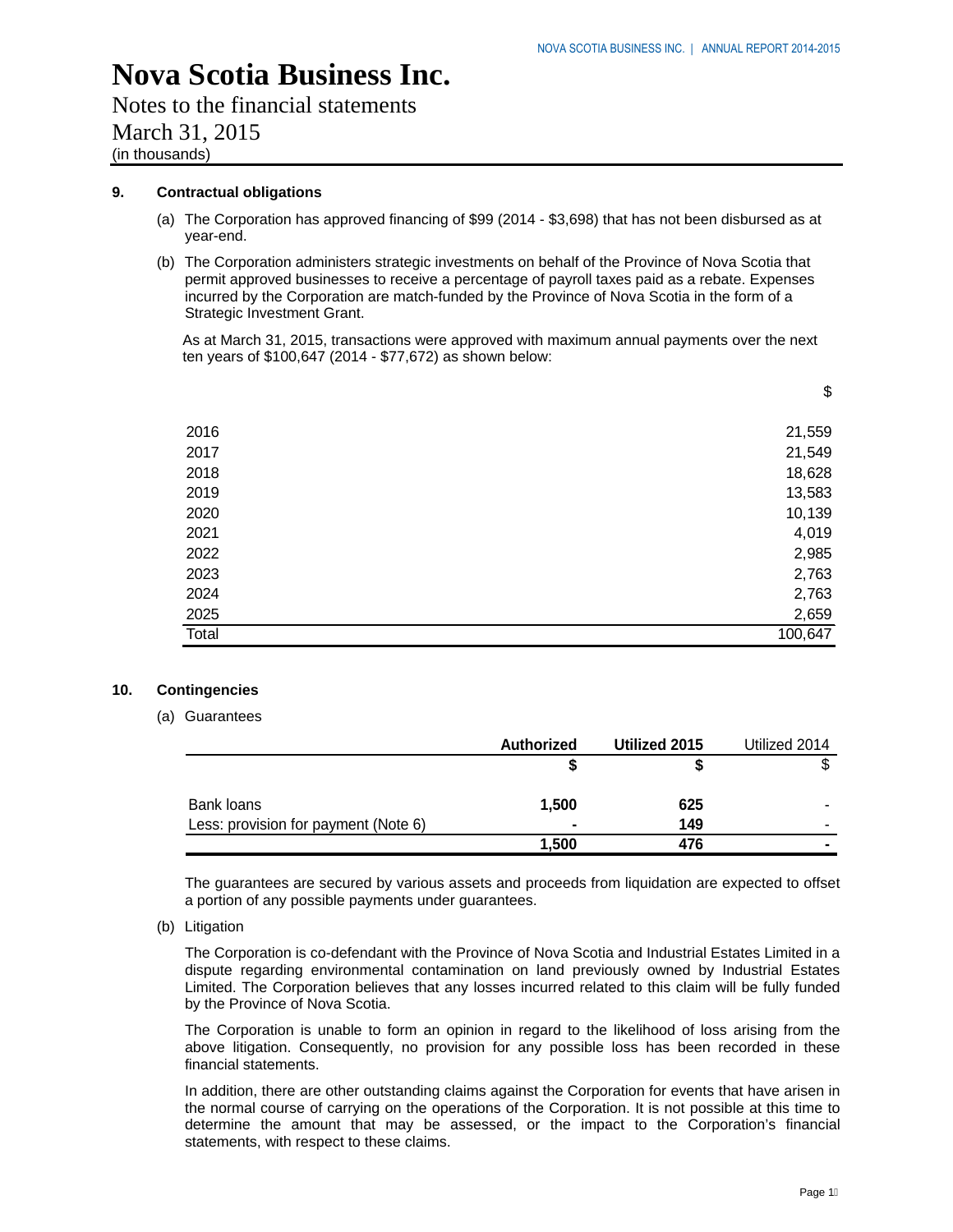Notes to the financial statements March 31, 2015

(in thousands)

#### **9. Contractual obligations**

- (a) The Corporation has approved financing of \$99 (2014 \$3,698) that has not been disbursed as at year-end.
- (b) The Corporation administers strategic investments on behalf of the Province of Nova Scotia that permit approved businesses to receive a percentage of payroll taxes paid as a rebate. Expenses incurred by the Corporation are match-funded by the Province of Nova Scotia in the form of a Strategic Investment Grant.

As at March 31, 2015, transactions were approved with maximum annual payments over the next ten years of \$100,647 (2014 - \$77,672) as shown below:

| 2016  | 21,559  |
|-------|---------|
| 2017  | 21,549  |
| 2018  | 18,628  |
| 2019  | 13,583  |
| 2020  | 10,139  |
| 2021  | 4,019   |
| 2022  | 2,985   |
| 2023  | 2,763   |
| 2024  | 2,763   |
| 2025  | 2,659   |
| Total | 100,647 |

#### **10. Contingencies**

(a) Guarantees

|                                      | <b>Authorized</b> | Utilized 2015 | Utilized 2014 |
|--------------------------------------|-------------------|---------------|---------------|
|                                      |                   |               |               |
| Bank loans                           | 1,500             | 625           |               |
| Less: provision for payment (Note 6) | $\blacksquare$    | 149           |               |
|                                      | 1,500             | 476           |               |

The guarantees are secured by various assets and proceeds from liquidation are expected to offset a portion of any possible payments under guarantees.

(b) Litigation

The Corporation is co-defendant with the Province of Nova Scotia and Industrial Estates Limited in a dispute regarding environmental contamination on land previously owned by Industrial Estates Limited. The Corporation believes that any losses incurred related to this claim will be fully funded by the Province of Nova Scotia.

The Corporation is unable to form an opinion in regard to the likelihood of loss arising from the above litigation. Consequently, no provision for any possible loss has been recorded in these financial statements.

In addition, there are other outstanding claims against the Corporation for events that have arisen in the normal course of carrying on the operations of the Corporation. It is not possible at this time to determine the amount that may be assessed, or the impact to the Corporation's financial statements, with respect to these claims.

\$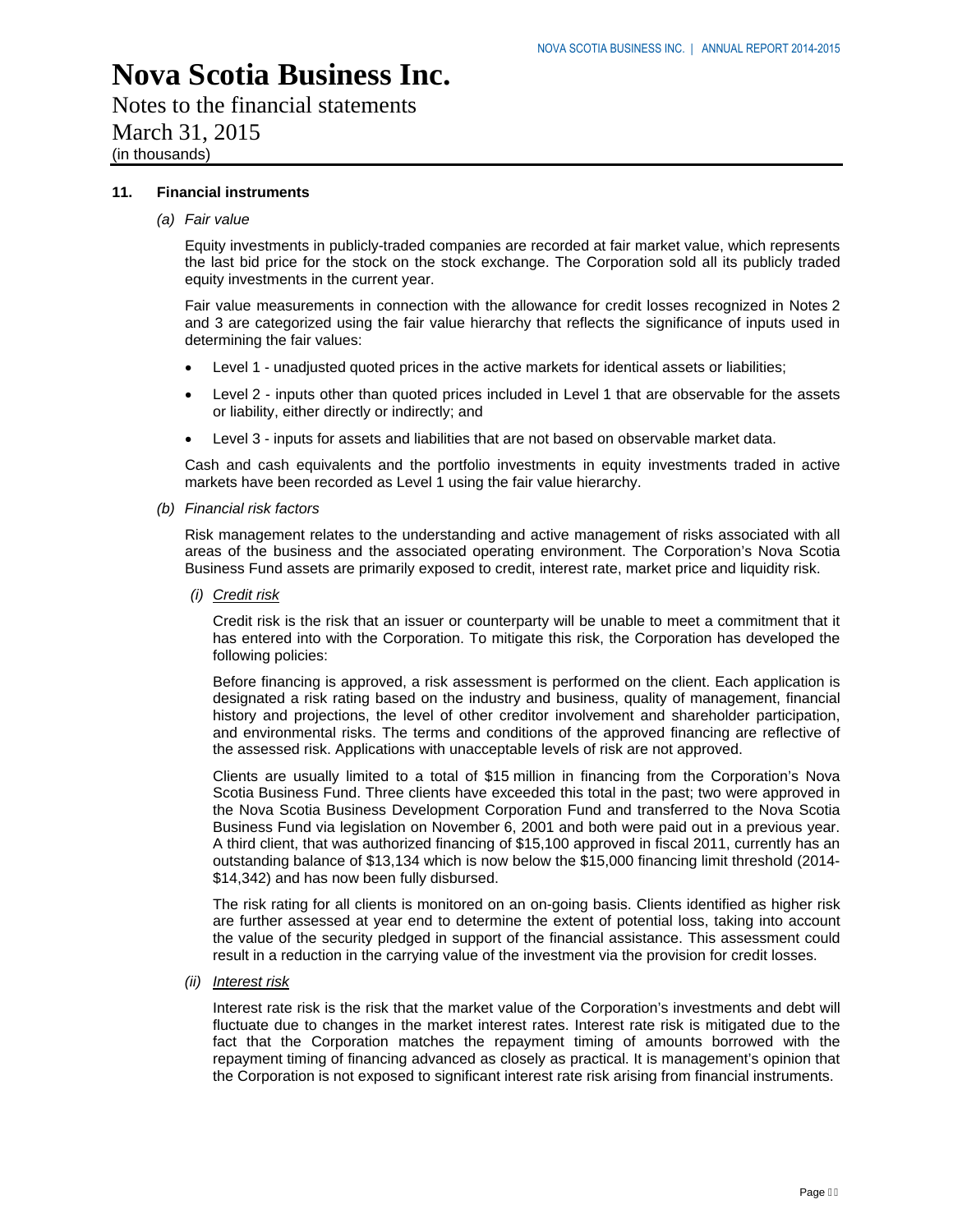Notes to the financial statements

### March 31, 2015

(in thousands)

#### **11. Financial instruments**

#### *(a) Fair value*

Equity investments in publicly-traded companies are recorded at fair market value, which represents the last bid price for the stock on the stock exchange. The Corporation sold all its publicly traded equity investments in the current year.

Fair value measurements in connection with the allowance for credit losses recognized in Notes 2 and 3 are categorized using the fair value hierarchy that reflects the significance of inputs used in determining the fair values:

- Level 1 unadjusted quoted prices in the active markets for identical assets or liabilities;
- Level 2 inputs other than quoted prices included in Level 1 that are observable for the assets or liability, either directly or indirectly; and
- Level 3 inputs for assets and liabilities that are not based on observable market data.

Cash and cash equivalents and the portfolio investments in equity investments traded in active markets have been recorded as Level 1 using the fair value hierarchy.

#### *(b) Financial risk factors*

Risk management relates to the understanding and active management of risks associated with all areas of the business and the associated operating environment. The Corporation's Nova Scotia Business Fund assets are primarily exposed to credit, interest rate, market price and liquidity risk.

#### *(i) Credit risk*

Credit risk is the risk that an issuer or counterparty will be unable to meet a commitment that it has entered into with the Corporation. To mitigate this risk, the Corporation has developed the following policies:

Before financing is approved, a risk assessment is performed on the client. Each application is designated a risk rating based on the industry and business, quality of management, financial history and projections, the level of other creditor involvement and shareholder participation, and environmental risks. The terms and conditions of the approved financing are reflective of the assessed risk. Applications with unacceptable levels of risk are not approved.

Clients are usually limited to a total of \$15 million in financing from the Corporation's Nova Scotia Business Fund. Three clients have exceeded this total in the past; two were approved in the Nova Scotia Business Development Corporation Fund and transferred to the Nova Scotia Business Fund via legislation on November 6, 2001 and both were paid out in a previous year. A third client, that was authorized financing of \$15,100 approved in fiscal 2011, currently has an outstanding balance of \$13,134 which is now below the \$15,000 financing limit threshold (2014- \$14,342) and has now been fully disbursed.

The risk rating for all clients is monitored on an on-going basis. Clients identified as higher risk are further assessed at year end to determine the extent of potential loss, taking into account the value of the security pledged in support of the financial assistance. This assessment could result in a reduction in the carrying value of the investment via the provision for credit losses.

*(ii) Interest risk* 

Interest rate risk is the risk that the market value of the Corporation's investments and debt will fluctuate due to changes in the market interest rates. Interest rate risk is mitigated due to the fact that the Corporation matches the repayment timing of amounts borrowed with the repayment timing of financing advanced as closely as practical. It is management's opinion that the Corporation is not exposed to significant interest rate risk arising from financial instruments.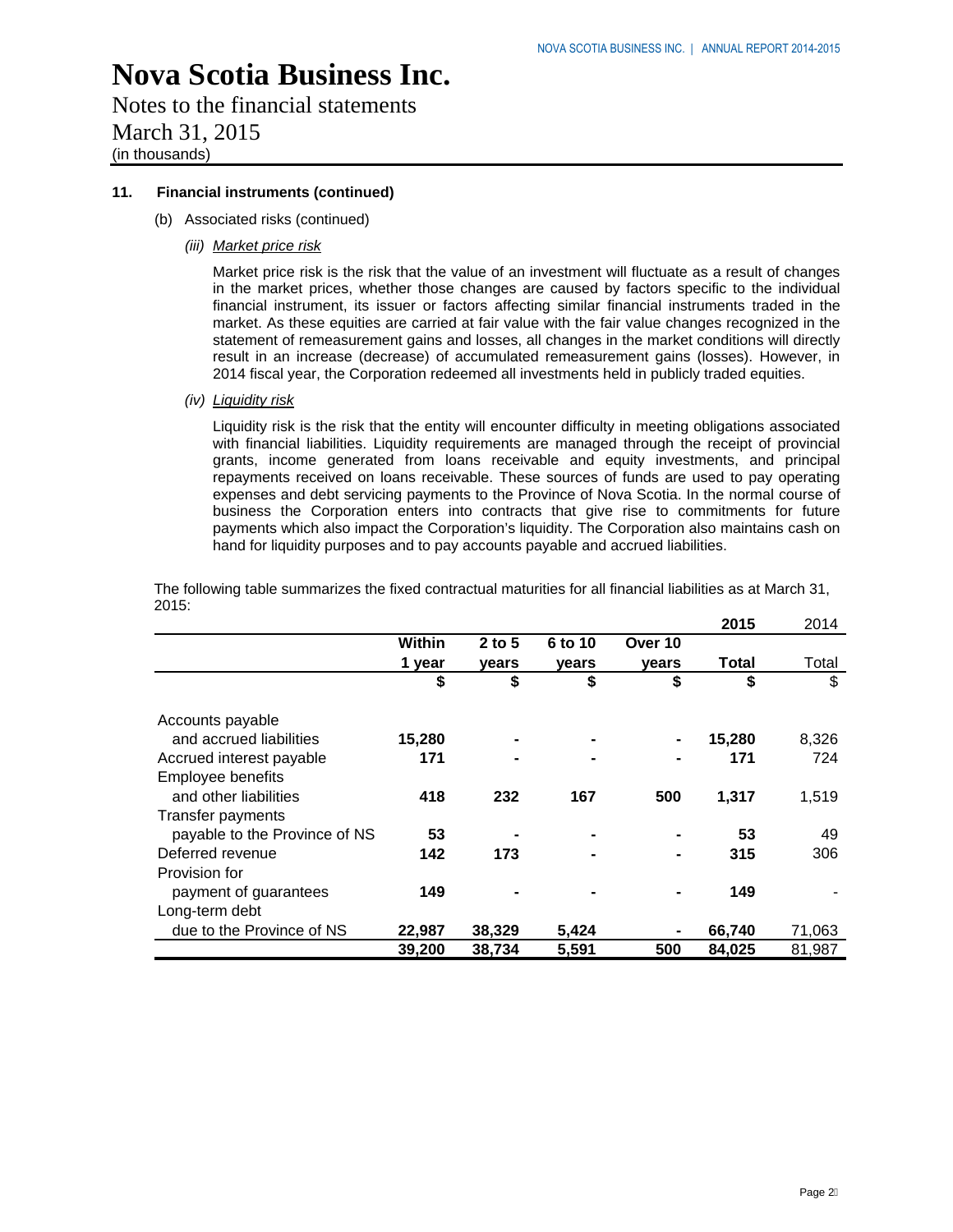Notes to the financial statements March 31, 2015 (in thousands)

#### **11. Financial instruments (continued)**

- (b) Associated risks (continued)
	- *(iii) Market price risk*

Market price risk is the risk that the value of an investment will fluctuate as a result of changes in the market prices, whether those changes are caused by factors specific to the individual financial instrument, its issuer or factors affecting similar financial instruments traded in the market. As these equities are carried at fair value with the fair value changes recognized in the statement of remeasurement gains and losses, all changes in the market conditions will directly result in an increase (decrease) of accumulated remeasurement gains (losses). However, in 2014 fiscal year, the Corporation redeemed all investments held in publicly traded equities.

*(iv) Liquidity risk* 

Liquidity risk is the risk that the entity will encounter difficulty in meeting obligations associated with financial liabilities. Liquidity requirements are managed through the receipt of provincial grants, income generated from loans receivable and equity investments, and principal repayments received on loans receivable. These sources of funds are used to pay operating expenses and debt servicing payments to the Province of Nova Scotia. In the normal course of business the Corporation enters into contracts that give rise to commitments for future payments which also impact the Corporation's liquidity. The Corporation also maintains cash on hand for liquidity purposes and to pay accounts payable and accrued liabilities.

|                               |        |          |         |         | 2015   | 2014   |
|-------------------------------|--------|----------|---------|---------|--------|--------|
|                               | Within | $2$ to 5 | 6 to 10 | Over 10 |        |        |
|                               | 1 year | vears    | years   | years   | Total  | Total  |
|                               | \$     | \$       | \$      | \$      | \$     | \$     |
| Accounts payable              |        |          |         |         |        |        |
| and accrued liabilities       | 15,280 |          | ٠       | ٠       | 15,280 | 8,326  |
| Accrued interest payable      | 171    |          |         |         | 171    | 724    |
| Employee benefits             |        |          |         |         |        |        |
| and other liabilities         | 418    | 232      | 167     | 500     | 1,317  | 1,519  |
| Transfer payments             |        |          |         |         |        |        |
| payable to the Province of NS | 53     |          |         |         | 53     | 49     |
| Deferred revenue              | 142    | 173      |         |         | 315    | 306    |
| Provision for                 |        |          |         |         |        |        |
| payment of guarantees         | 149    |          |         |         | 149    |        |
| Long-term debt                |        |          |         |         |        |        |
| due to the Province of NS     | 22,987 | 38,329   | 5,424   |         | 66,740 | 71,063 |
|                               | 39,200 | 38,734   | 5,591   | 500     | 84,025 | 81,987 |

The following table summarizes the fixed contractual maturities for all financial liabilities as at March 31, 2015: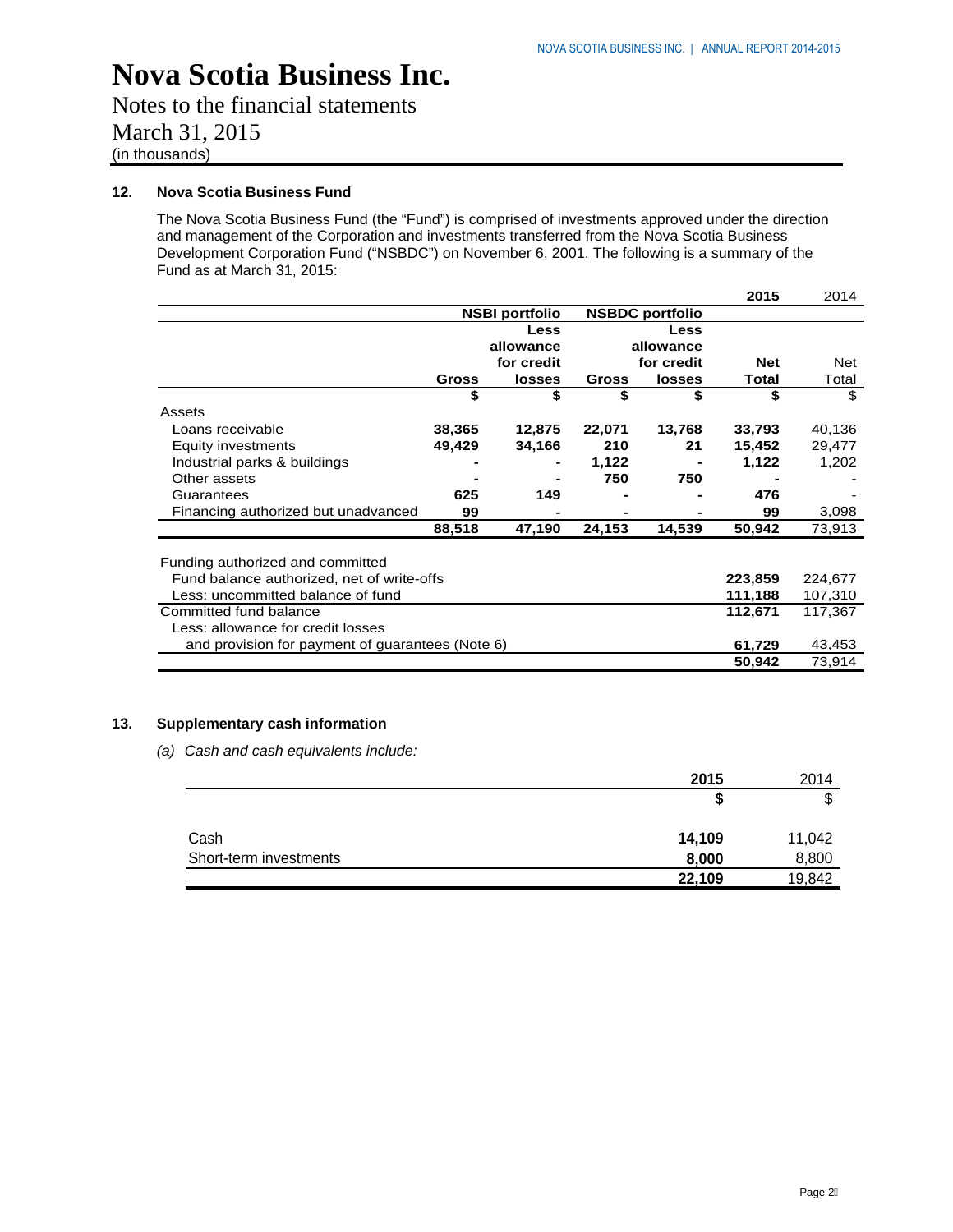Notes to the financial statements

March 31, 2015

(in thousands)

#### **12. Nova Scotia Business Fund**

The Nova Scotia Business Fund (the "Fund") is comprised of investments approved under the direction and management of the Corporation and investments transferred from the Nova Scotia Business Development Corporation Fund ("NSBDC") on November 6, 2001. The following is a summary of the Fund as at March 31, 2015:

|                                                  |              |                       |              |                        | 2015       | 2014    |
|--------------------------------------------------|--------------|-----------------------|--------------|------------------------|------------|---------|
|                                                  |              | <b>NSBI portfolio</b> |              | <b>NSBDC</b> portfolio |            |         |
|                                                  |              | Less                  |              | <b>Less</b>            |            |         |
|                                                  |              | allowance             |              | allowance              |            |         |
|                                                  |              | for credit            |              | for credit             | <b>Net</b> | Net     |
|                                                  | <b>Gross</b> | losses                | <b>Gross</b> | losses                 | Total      | Total   |
|                                                  | \$           | \$                    | \$           | \$                     | \$         | \$      |
| Assets                                           |              |                       |              |                        |            |         |
| Loans receivable                                 | 38,365       | 12,875                | 22,071       | 13,768                 | 33,793     | 40,136  |
| Equity investments                               | 49,429       | 34,166                | 210          | 21                     | 15,452     | 29,477  |
| Industrial parks & buildings                     |              |                       | 1,122        |                        | 1,122      | 1,202   |
| Other assets                                     |              |                       | 750          | 750                    |            |         |
| Guarantees                                       | 625          | 149                   |              |                        | 476        |         |
| Financing authorized but unadvanced              | 99           |                       |              |                        | 99         | 3,098   |
|                                                  | 88,518       | 47,190                | 24,153       | 14,539                 | 50,942     | 73,913  |
|                                                  |              |                       |              |                        |            |         |
| Funding authorized and committed                 |              |                       |              |                        |            |         |
| Fund balance authorized, net of write-offs       |              |                       |              |                        | 223,859    | 224,677 |
| Less: uncommitted balance of fund                |              |                       |              |                        | 111,188    | 107,310 |
| Committed fund balance                           |              |                       |              |                        | 112,671    | 117,367 |
| Less: allowance for credit losses                |              |                       |              |                        |            |         |
| and provision for payment of guarantees (Note 6) |              |                       |              |                        | 61,729     | 43,453  |
|                                                  |              |                       |              |                        | 50,942     | 73,914  |

#### **13. Supplementary cash information**

*(a) Cash and cash equivalents include:*

|                        | 2015   | 2014   |
|------------------------|--------|--------|
|                        | Φ      | ۰D     |
| Cash                   | 14,109 | 11,042 |
| Short-term investments | 8,000  | 8,800  |
|                        | 22,109 | 19,842 |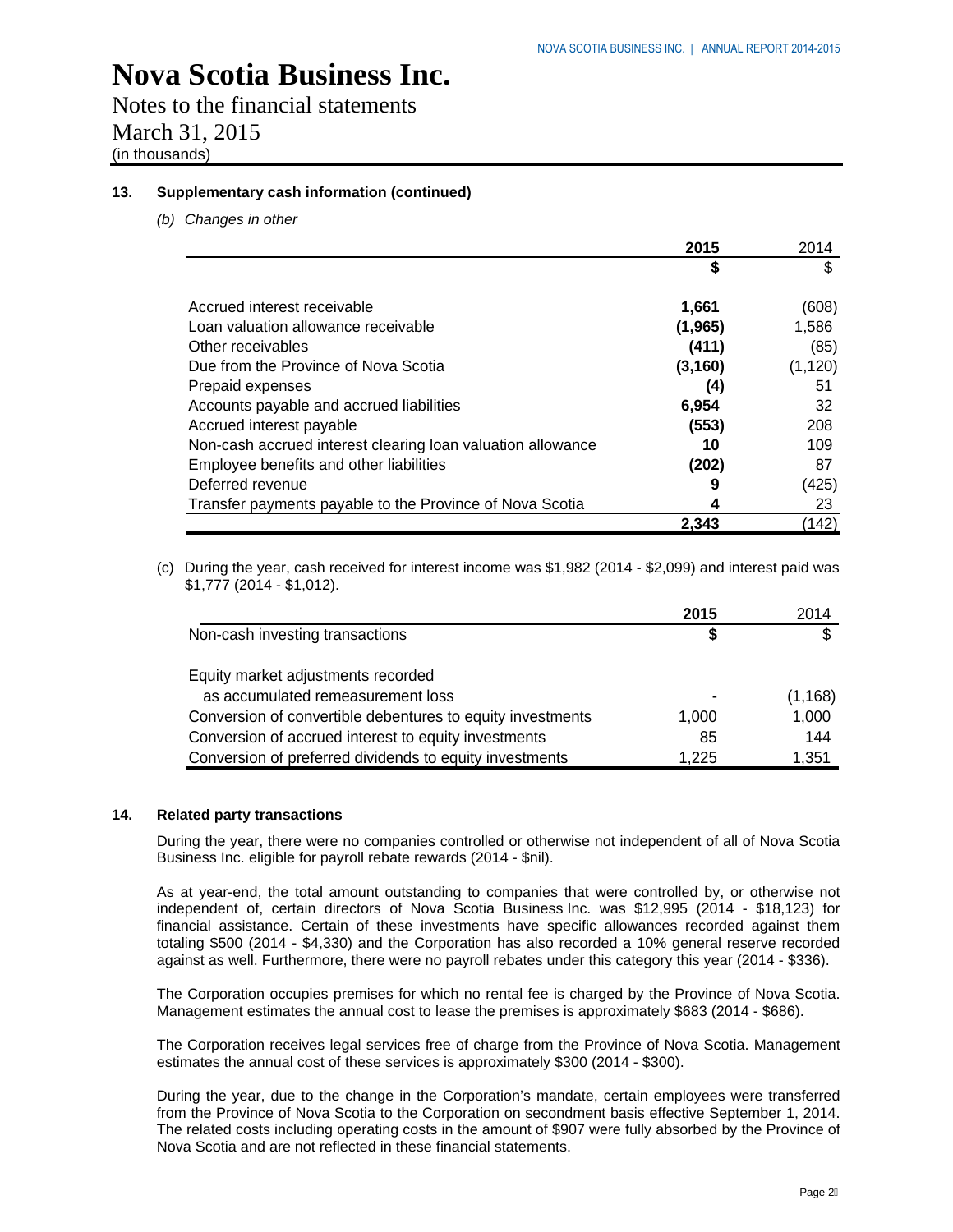Notes to the financial statements March 31, 2015 (in thousands)

#### **13. Supplementary cash information (continued)**

*(b) Changes in other* 

|                                                             | 2015     | 2014     |
|-------------------------------------------------------------|----------|----------|
|                                                             | \$       | \$       |
| Accrued interest receivable                                 | 1,661    | (608)    |
| Loan valuation allowance receivable                         | (1, 965) | 1,586    |
| Other receivables                                           | (411)    | (85)     |
| Due from the Province of Nova Scotia                        | (3, 160) | (1, 120) |
| Prepaid expenses                                            | (4)      | 51       |
| Accounts payable and accrued liabilities                    | 6,954    | 32       |
| Accrued interest payable                                    | (553)    | 208      |
| Non-cash accrued interest clearing loan valuation allowance | 10       | 109      |
| Employee benefits and other liabilities                     | (202)    | 87       |
| Deferred revenue                                            | 9        | (425)    |
| Transfer payments payable to the Province of Nova Scotia    | 4        | 23       |
|                                                             | 2,343    | (142)    |

(c) During the year, cash received for interest income was \$1,982 (2014 - \$2,099) and interest paid was \$1,777 (2014 - \$1,012).

|                                                            | 2015  | 2014     |
|------------------------------------------------------------|-------|----------|
| Non-cash investing transactions                            | S     |          |
| Equity market adjustments recorded                         |       |          |
| as accumulated remeasurement loss                          |       | (1, 168) |
| Conversion of convertible debentures to equity investments | 1.000 | 1,000    |
| Conversion of accrued interest to equity investments       | 85    | 144      |
| Conversion of preferred dividends to equity investments    | 1.225 | 1,351    |

#### **14. Related party transactions**

During the year, there were no companies controlled or otherwise not independent of all of Nova Scotia Business Inc. eligible for payroll rebate rewards (2014 - \$nil).

As at year-end, the total amount outstanding to companies that were controlled by, or otherwise not independent of, certain directors of Nova Scotia Business Inc. was \$12,995 (2014 - \$18,123) for financial assistance. Certain of these investments have specific allowances recorded against them totaling \$500 (2014 - \$4,330) and the Corporation has also recorded a 10% general reserve recorded against as well. Furthermore, there were no payroll rebates under this category this year (2014 - \$336).

The Corporation occupies premises for which no rental fee is charged by the Province of Nova Scotia. Management estimates the annual cost to lease the premises is approximately \$683 (2014 - \$686).

The Corporation receives legal services free of charge from the Province of Nova Scotia. Management estimates the annual cost of these services is approximately \$300 (2014 - \$300).

During the year, due to the change in the Corporation's mandate, certain employees were transferred from the Province of Nova Scotia to the Corporation on secondment basis effective September 1, 2014. The related costs including operating costs in the amount of \$907 were fully absorbed by the Province of Nova Scotia and are not reflected in these financial statements.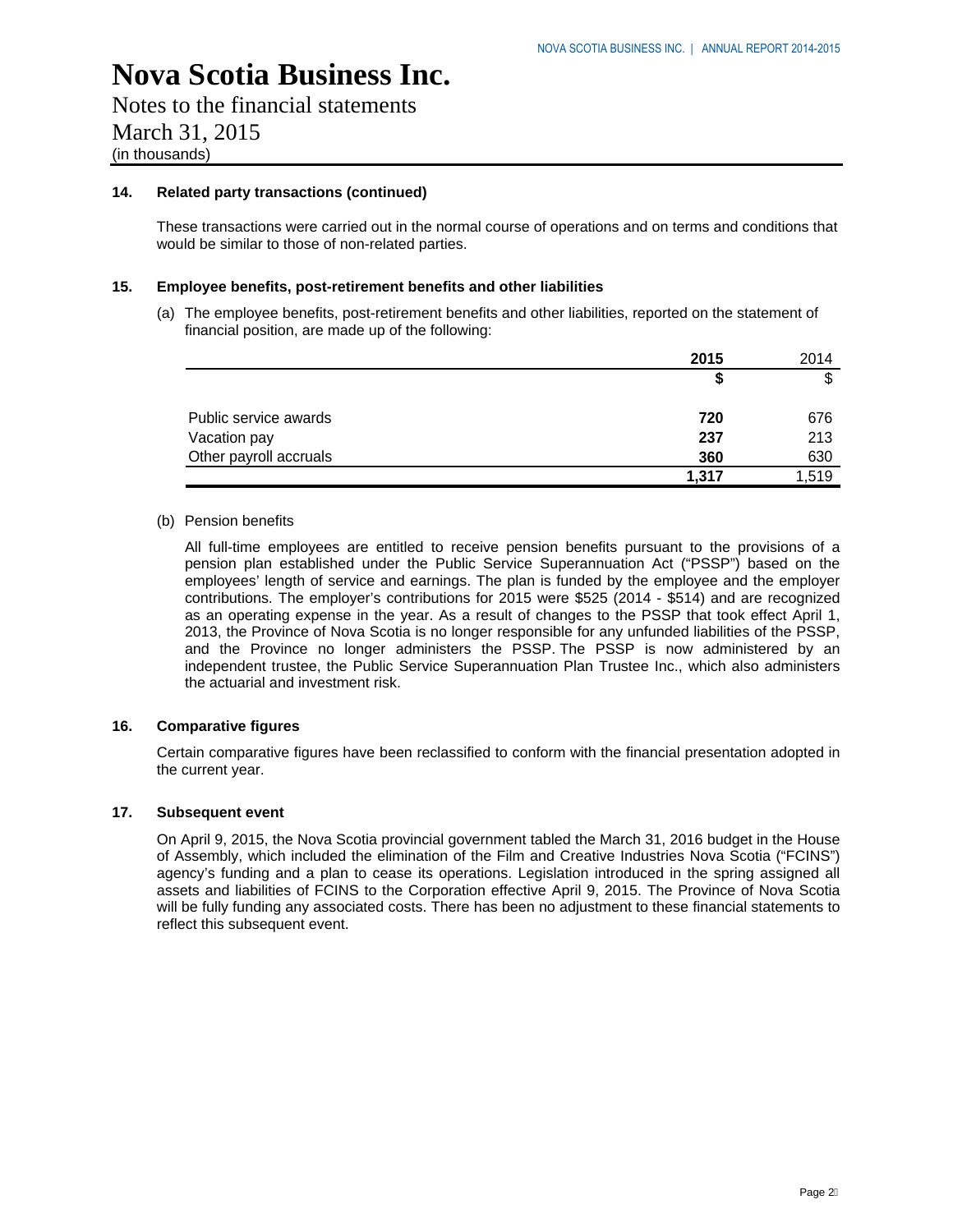Notes to the financial statements

### March 31, 2015

(in thousands)

#### **14. Related party transactions (continued)**

These transactions were carried out in the normal course of operations and on terms and conditions that would be similar to those of non-related parties.

#### **15. Employee benefits, post-retirement benefits and other liabilities**

(a) The employee benefits, post-retirement benefits and other liabilities, reported on the statement of financial position, are made up of the following:

|                        | 2015  | 2014  |
|------------------------|-------|-------|
|                        |       | ጥ     |
| Public service awards  | 720   | 676   |
| Vacation pay           | 237   | 213   |
| Other payroll accruals | 360   | 630   |
|                        | 1,317 | 1,519 |

#### (b) Pension benefits

All full-time employees are entitled to receive pension benefits pursuant to the provisions of a pension plan established under the Public Service Superannuation Act ("PSSP") based on the employees' length of service and earnings. The plan is funded by the employee and the employer contributions. The employer's contributions for 2015 were \$525 (2014 - \$514) and are recognized as an operating expense in the year. As a result of changes to the PSSP that took effect April 1, 2013, the Province of Nova Scotia is no longer responsible for any unfunded liabilities of the PSSP, and the Province no longer administers the PSSP. The PSSP is now administered by an independent trustee, the Public Service Superannuation Plan Trustee Inc., which also administers the actuarial and investment risk.

#### **16. Comparative figures**

Certain comparative figures have been reclassified to conform with the financial presentation adopted in the current year.

#### **17. Subsequent event**

On April 9, 2015, the Nova Scotia provincial government tabled the March 31, 2016 budget in the House of Assembly, which included the elimination of the Film and Creative Industries Nova Scotia ("FCINS") agency's funding and a plan to cease its operations. Legislation introduced in the spring assigned all assets and liabilities of FCINS to the Corporation effective April 9, 2015. The Province of Nova Scotia will be fully funding any associated costs. There has been no adjustment to these financial statements to reflect this subsequent event.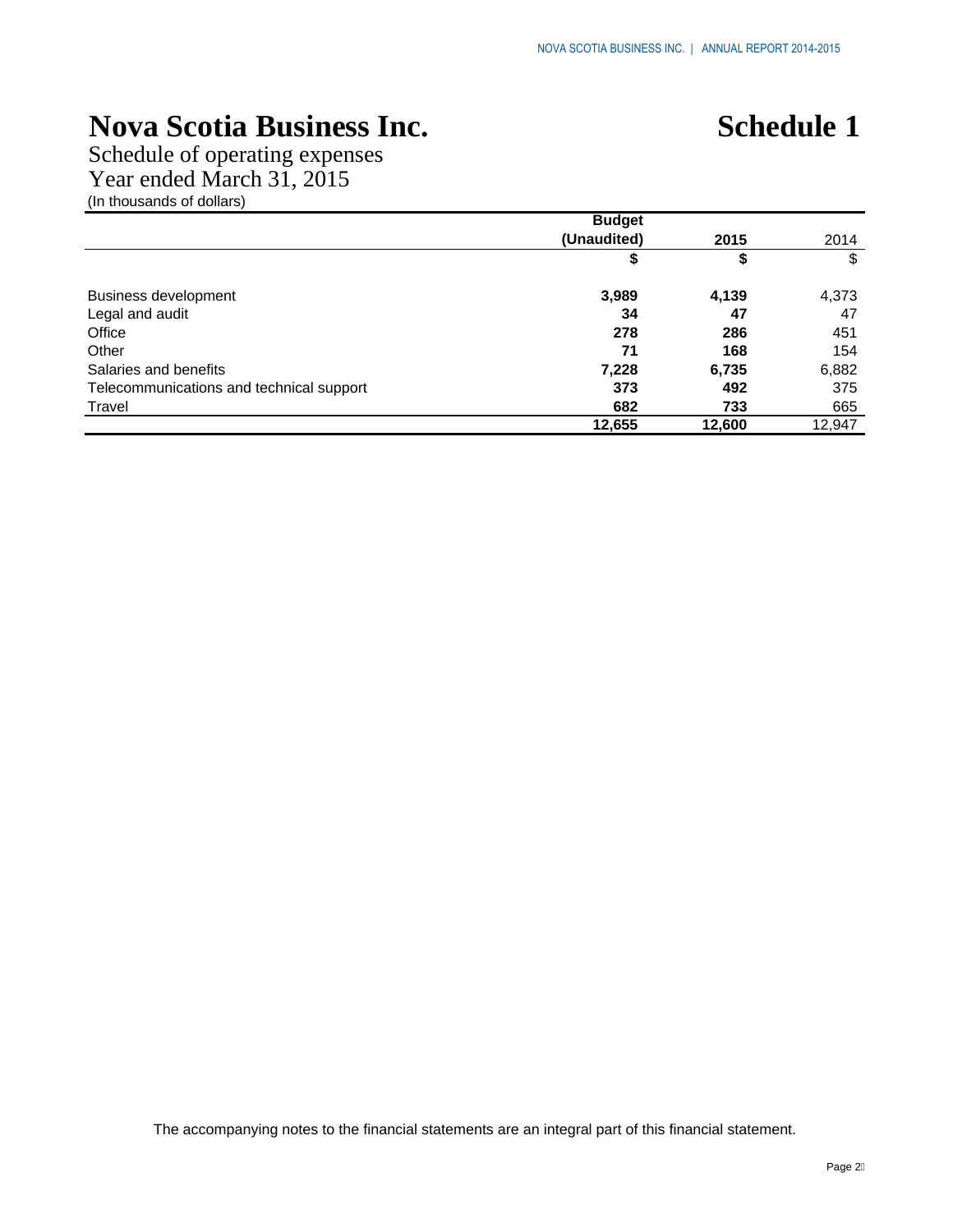## **Nova Scotia Business Inc. Schedule 1**

Schedule of operating expenses Year ended March 31, 2015 (In thousands of dollars)

|                                          | <b>Budget</b> |        |        |
|------------------------------------------|---------------|--------|--------|
|                                          | (Unaudited)   | 2015   | 2014   |
|                                          | \$            | \$     | \$     |
| Business development                     | 3,989         | 4,139  | 4,373  |
| Legal and audit                          | 34            | 47     | 47     |
| Office                                   | 278           | 286    | 451    |
| Other                                    | 71            | 168    | 154    |
| Salaries and benefits                    | 7,228         | 6,735  | 6,882  |
| Telecommunications and technical support | 373           | 492    | 375    |
| Travel                                   | 682           | 733    | 665    |
|                                          | 12,655        | 12,600 | 12,947 |